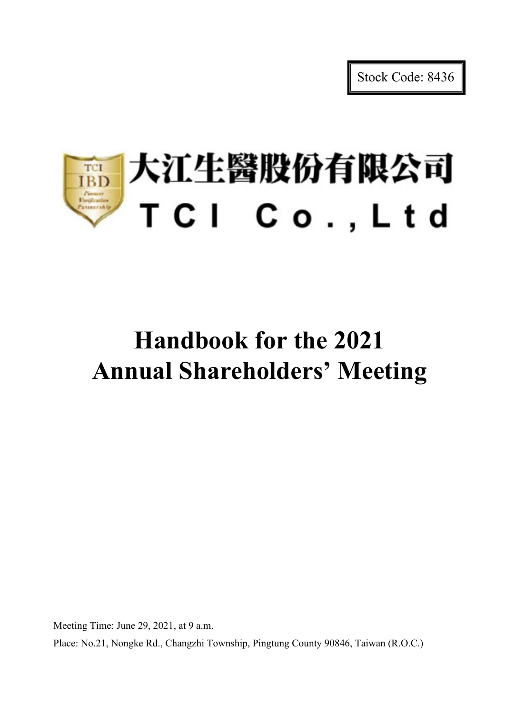Stock Code: 8436

# |大江生醫股份有限公司 TCI **IBD** TCI Co., Ltd

# **Handbook for the 2021 Annual Shareholders' Meeting**

Meeting Time: June 29, 2021, at 9 a.m.

Place: No.21, Nongke Rd., Changzhi Township, Pingtung County 90846, Taiwan (R.O.C.)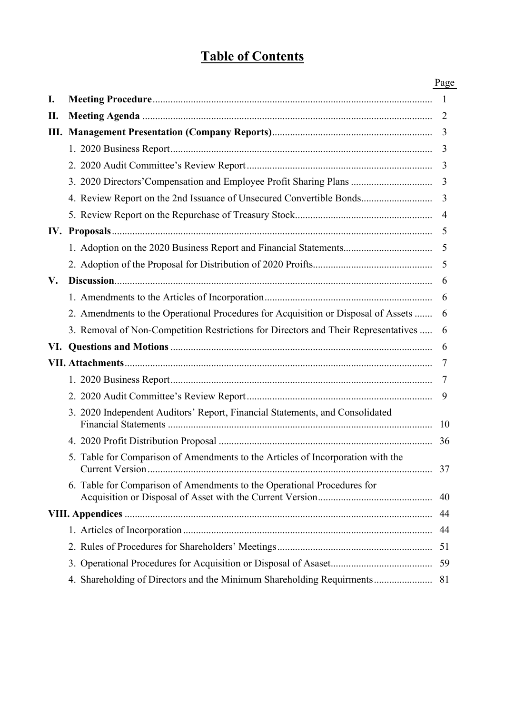# **Table of Contents**

|    |                                                                                    | Page           |
|----|------------------------------------------------------------------------------------|----------------|
| I. |                                                                                    |                |
| П. |                                                                                    | 2              |
|    |                                                                                    | 3              |
|    |                                                                                    | 3              |
|    |                                                                                    | 3              |
|    | 3. 2020 Directors' Compensation and Employee Profit Sharing Plans                  | $\overline{3}$ |
|    | 4. Review Report on the 2nd Issuance of Unsecured Convertible Bonds                | 3              |
|    |                                                                                    | $\overline{4}$ |
|    |                                                                                    | 5              |
|    |                                                                                    | 5              |
|    |                                                                                    | 5              |
| V. |                                                                                    | 6              |
|    |                                                                                    | 6              |
|    | 2. Amendments to the Operational Procedures for Acquisition or Disposal of Assets  | 6              |
|    | 3. Removal of Non-Competition Restrictions for Directors and Their Representatives | 6              |
|    |                                                                                    | 6              |
|    |                                                                                    | 7              |
|    |                                                                                    | 7              |
|    |                                                                                    | 9              |
|    | 3. 2020 Independent Auditors' Report, Financial Statements, and Consolidated       | -10            |
|    |                                                                                    |                |
|    | 5. Table for Comparison of Amendments to the Articles of Incorporation with the    | 37             |
|    | 6. Table for Comparison of Amendments to the Operational Procedures for            | 40             |
|    |                                                                                    | 44             |
|    |                                                                                    | 44             |
|    |                                                                                    |                |
|    |                                                                                    | 59             |
|    | 4. Shareholding of Directors and the Minimum Shareholding Requirments              | 81             |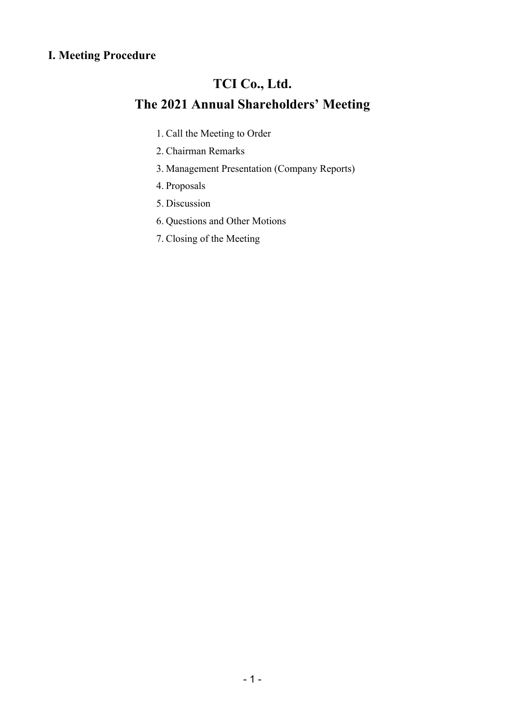# **I. Meeting Procedure**

# **TCI Co., Ltd.**

# **The 2021 Annual Shareholders' Meeting**

- 1. Call the Meeting to Order
- 2. Chairman Remarks
- 3. Management Presentation (Company Reports)
- 4. Proposals
- 5. Discussion
- 6. Questions and Other Motions
- 7. Closing of the Meeting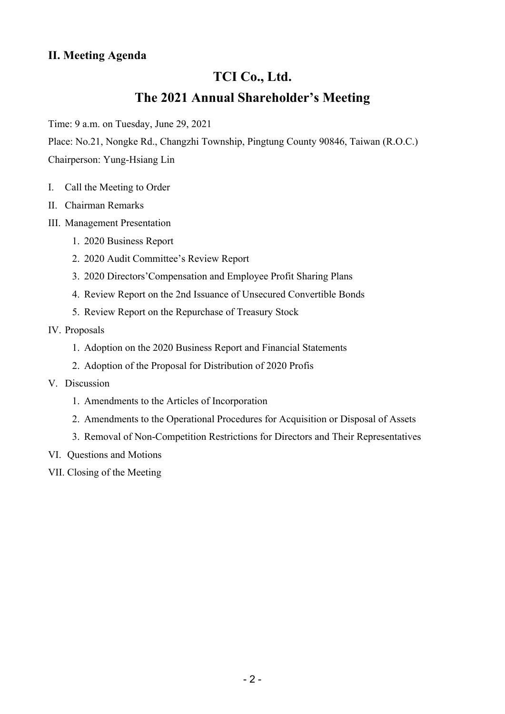# **II. Meeting Agenda**

# **TCI Co., Ltd. The 2021 Annual Shareholder's Meeting**

Time: 9 a.m. on Tuesday, June 29, 2021

Place: No.21, Nongke Rd., Changzhi Township, Pingtung County 90846, Taiwan (R.O.C.)

Chairperson: Yung-Hsiang Lin

- I. Call the Meeting to Order
- II. Chairman Remarks
- III. Management Presentation
	- 1. 2020 Business Report
	- 2. 2020 Audit Committee's Review Report
	- 3. 2020 Directors'Compensation and Employee Profit Sharing Plans
	- 4. Review Report on the 2nd Issuance of Unsecured Convertible Bonds
	- 5. Review Report on the Repurchase of Treasury Stock

#### IV. Proposals

- 1. Adoption on the 2020 Business Report and Financial Statements
- 2. Adoption of the Proposal for Distribution of 2020 Profis
- V. Discussion
	- 1. Amendments to the Articles of Incorporation
	- 2. Amendments to the Operational Procedures for Acquisition or Disposal of Assets
	- 3. Removal of Non-Competition Restrictions for Directors and Their Representatives
- VI. Questions and Motions
- VII. Closing of the Meeting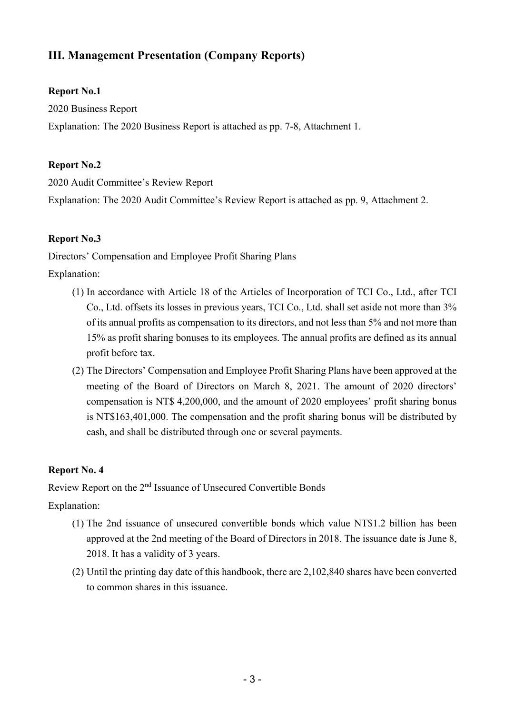# **III. Management Presentation (Company Reports)**

#### **Report No.1**

2020 Business Report

Explanation: The 2020 Business Report is attached as pp. 7-8, Attachment 1.

# **Report No.2**

2020 Audit Committee's Review Report

Explanation: The 2020 Audit Committee's Review Report is attached as pp. 9, Attachment 2.

# **Report No.3**

Directors' Compensation and Employee Profit Sharing Plans

Explanation:

- (1) In accordance with Article 18 of the Articles of Incorporation of TCI Co., Ltd., after TCI Co., Ltd. offsets its losses in previous years, TCI Co., Ltd. shall set aside not more than 3% of its annual profits as compensation to its directors, and not less than 5% and not more than 15% as profit sharing bonuses to its employees. The annual profits are defined as its annual profit before tax.
- (2) The Directors' Compensation and Employee Profit Sharing Plans have been approved at the meeting of the Board of Directors on March 8, 2021. The amount of 2020 directors' compensation is NT\$ 4,200,000, and the amount of 2020 employees' profit sharing bonus is NT\$163,401,000. The compensation and the profit sharing bonus will be distributed by cash, and shall be distributed through one or several payments.

# **Report No. 4**

Review Report on the 2nd Issuance of Unsecured Convertible Bonds

Explanation:

- (1) The 2nd issuance of unsecured convertible bonds which value NT\$1.2 billion has been approved at the 2nd meeting of the Board of Directors in 2018. The issuance date is June 8, 2018. It has a validity of 3 years.
- (2) Until the printing day date of this handbook, there are 2,102,840 shares have been converted to common shares in this issuance.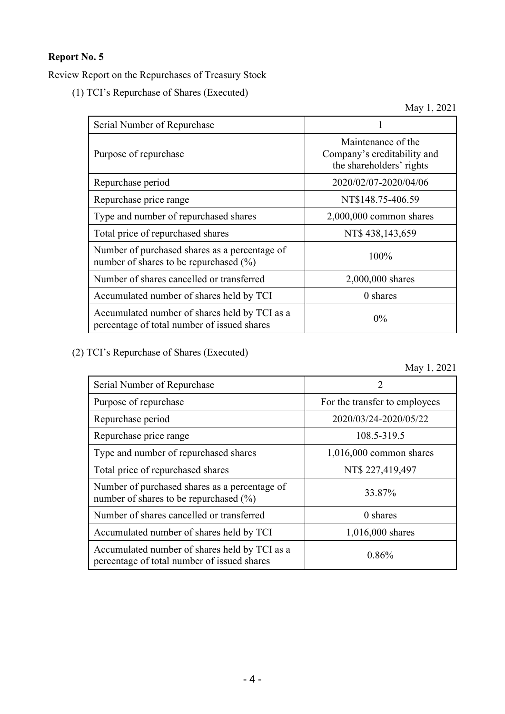### **Report No. 5**

Review Report on the Repurchases of Treasury Stock

(1) TCI's Repurchase of Shares (Executed)

May 1, 2021

| Serial Number of Repurchase                                                                  |                                                                               |
|----------------------------------------------------------------------------------------------|-------------------------------------------------------------------------------|
| Purpose of repurchase                                                                        | Maintenance of the<br>Company's creditability and<br>the shareholders' rights |
| Repurchase period                                                                            | 2020/02/07-2020/04/06                                                         |
| Repurchase price range                                                                       | NT\$148.75-406.59                                                             |
| Type and number of repurchased shares                                                        | $2,000,000$ common shares                                                     |
| Total price of repurchased shares                                                            | NT\$ 438,143,659                                                              |
| Number of purchased shares as a percentage of<br>number of shares to be repurchased $(\% )$  | $100\%$                                                                       |
| Number of shares cancelled or transferred                                                    | 2,000,000 shares                                                              |
| Accumulated number of shares held by TCI                                                     | 0 shares                                                                      |
| Accumulated number of shares held by TCI as a<br>percentage of total number of issued shares | $0\%$                                                                         |

(2) TCI's Repurchase of Shares (Executed)

May 1, 2021

| Serial Number of Repurchase                                                                  | $\mathcal{D}_{\mathcal{L}}$   |
|----------------------------------------------------------------------------------------------|-------------------------------|
| Purpose of repurchase                                                                        | For the transfer to employees |
| Repurchase period                                                                            | 2020/03/24-2020/05/22         |
| Repurchase price range                                                                       | 108.5-319.5                   |
| Type and number of repurchased shares                                                        | $1,016,000$ common shares     |
| Total price of repurchased shares                                                            | NT\$ 227,419,497              |
| Number of purchased shares as a percentage of<br>number of shares to be repurchased $(\%)$   | 33.87%                        |
| Number of shares cancelled or transferred                                                    | 0 shares                      |
| Accumulated number of shares held by TCI                                                     | 1,016,000 shares              |
| Accumulated number of shares held by TCI as a<br>percentage of total number of issued shares | 0.86%                         |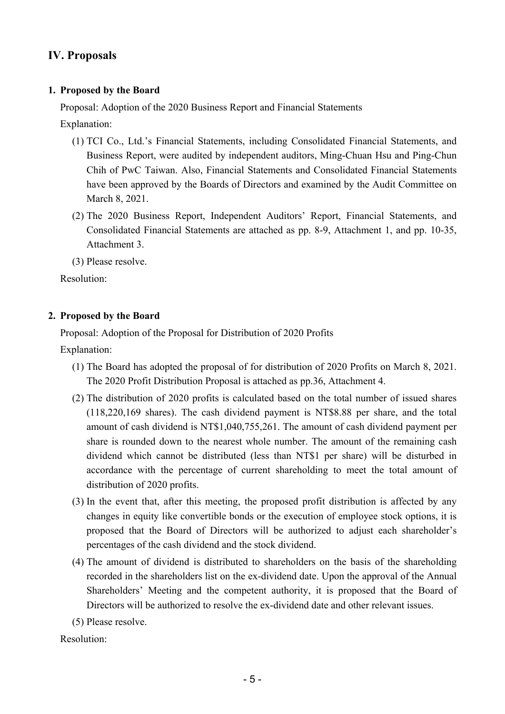# **IV. Proposals**

#### **1. Proposed by the Board**

Proposal: Adoption of the 2020 Business Report and Financial Statements

Explanation:

- (1) TCI Co., Ltd.'s Financial Statements, including Consolidated Financial Statements, and Business Report, were audited by independent auditors, Ming-Chuan Hsu and Ping-Chun Chih of PwC Taiwan. Also, Financial Statements and Consolidated Financial Statements have been approved by the Boards of Directors and examined by the Audit Committee on March 8, 2021.
- (2) The 2020 Business Report, Independent Auditors' Report, Financial Statements, and Consolidated Financial Statements are attached as pp. 8-9, Attachment 1, and pp. 10-35, Attachment 3.
- (3) Please resolve.

Resolution:

#### **2. Proposed by the Board**

Proposal: Adoption of the Proposal for Distribution of 2020 Profits

Explanation:

- (1) The Board has adopted the proposal of for distribution of 2020 Profits on March 8, 2021. The 2020 Profit Distribution Proposal is attached as pp.36, Attachment 4.
- (2) The distribution of 2020 profits is calculated based on the total number of issued shares (118,220,169 shares). The cash dividend payment is NT\$8.88 per share, and the total amount of cash dividend is NT\$1,040,755,261. The amount of cash dividend payment per share is rounded down to the nearest whole number. The amount of the remaining cash dividend which cannot be distributed (less than NT\$1 per share) will be disturbed in accordance with the percentage of current shareholding to meet the total amount of distribution of 2020 profits.
- (3) In the event that, after this meeting, the proposed profit distribution is affected by any changes in equity like convertible bonds or the execution of employee stock options, it is proposed that the Board of Directors will be authorized to adjust each shareholder's percentages of the cash dividend and the stock dividend.
- (4) The amount of dividend is distributed to shareholders on the basis of the shareholding recorded in the shareholders list on the ex-dividend date. Upon the approval of the Annual Shareholders' Meeting and the competent authority, it is proposed that the Board of Directors will be authorized to resolve the ex-dividend date and other relevant issues.
- (5) Please resolve.

Resolution: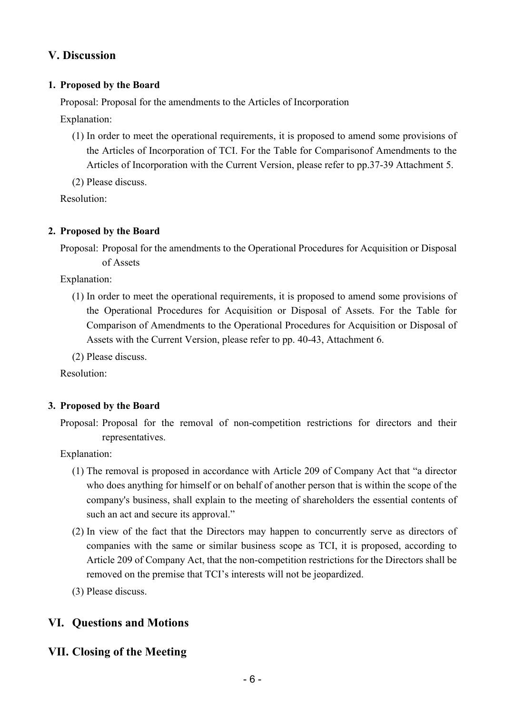# **V. Discussion**

#### **1. Proposed by the Board**

Proposal: Proposal for the amendments to the Articles of Incorporation

Explanation:

- (1) In order to meet the operational requirements, it is proposed to amend some provisions of the Articles of Incorporation of TCI. For the Table for Comparisonof Amendments to the Articles of Incorporation with the Current Version, please refer to pp.37-39 Attachment 5.
- (2) Please discuss.

Resolution:

#### **2. Proposed by the Board**

Proposal: Proposal for the amendments to the Operational Procedures for Acquisition or Disposal of Assets

Explanation:

(1) In order to meet the operational requirements, it is proposed to amend some provisions of the Operational Procedures for Acquisition or Disposal of Assets. For the Table for Comparison of Amendments to the Operational Procedures for Acquisition or Disposal of Assets with the Current Version, please refer to pp. 40-43, Attachment 6.

(2) Please discuss.

Resolution:

#### **3. Proposed by the Board**

Proposal: Proposal for the removal of non-competition restrictions for directors and their representatives.

Explanation:

- (1) The removal is proposed in accordance with Article 209 of Company Act that "a director who does anything for himself or on behalf of another person that is within the scope of the company's business, shall explain to the meeting of shareholders the essential contents of such an act and secure its approval."
- (2) In view of the fact that the Directors may happen to concurrently serve as directors of companies with the same or similar business scope as TCI, it is proposed, according to Article 209 of Company Act, that the non-competition restrictions for the Directors shall be removed on the premise that TCI's interests will not be jeopardized.
- (3) Please discuss.

# **VI. Questions and Motions**

**VII. Closing of the Meeting**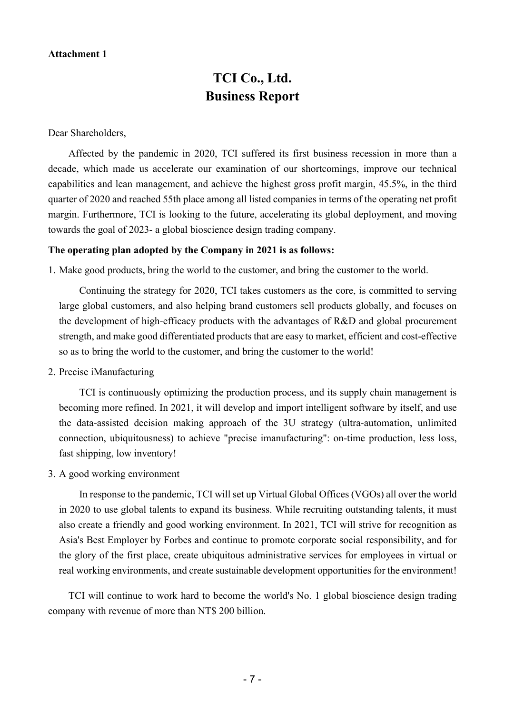#### **Attachment 1**

# **TCI Co., Ltd. Business Report**

Dear Shareholders,

Affected by the pandemic in 2020, TCI suffered its first business recession in more than a decade, which made us accelerate our examination of our shortcomings, improve our technical capabilities and lean management, and achieve the highest gross profit margin, 45.5%, in the third quarter of 2020 and reached 55th place among all listed companies in terms of the operating net profit margin. Furthermore, TCI is looking to the future, accelerating its global deployment, and moving towards the goal of 2023- a global bioscience design trading company.

#### **The operating plan adopted by the Company in 2021 is as follows:**

1. Make good products, bring the world to the customer, and bring the customer to the world.

Continuing the strategy for 2020, TCI takes customers as the core, is committed to serving large global customers, and also helping brand customers sell products globally, and focuses on the development of high-efficacy products with the advantages of R&D and global procurement strength, and make good differentiated products that are easy to market, efficient and cost-effective so as to bring the world to the customer, and bring the customer to the world!

2. Precise iManufacturing

TCI is continuously optimizing the production process, and its supply chain management is becoming more refined. In 2021, it will develop and import intelligent software by itself, and use the data-assisted decision making approach of the 3U strategy (ultra-automation, unlimited connection, ubiquitousness) to achieve "precise imanufacturing": on-time production, less loss, fast shipping, low inventory!

3. A good working environment

In response to the pandemic, TCI will set up Virtual Global Offices (VGOs) all over the world in 2020 to use global talents to expand its business. While recruiting outstanding talents, it must also create a friendly and good working environment. In 2021, TCI will strive for recognition as Asia's Best Employer by Forbes and continue to promote corporate social responsibility, and for the glory of the first place, create ubiquitous administrative services for employees in virtual or real working environments, and create sustainable development opportunities for the environment!

TCI will continue to work hard to become the world's No. 1 global bioscience design trading company with revenue of more than NT\$ 200 billion.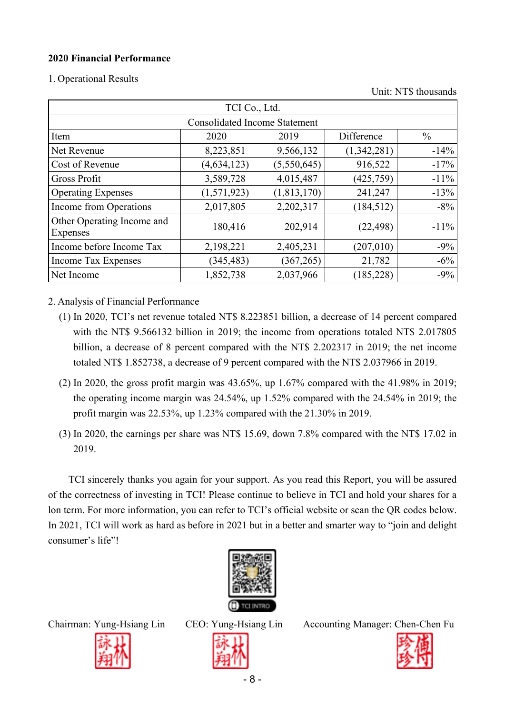#### **2020 Financial Performance**

1. Operational Results

Unit: NT\$ thousands

| TCI Co., Ltd.                                       |               |               |             |         |  |  |  |  |  |  |  |  |
|-----------------------------------------------------|---------------|---------------|-------------|---------|--|--|--|--|--|--|--|--|
| <b>Consolidated Income Statement</b>                |               |               |             |         |  |  |  |  |  |  |  |  |
| Difference<br>$\frac{0}{0}$<br>2020<br>2019<br>Item |               |               |             |         |  |  |  |  |  |  |  |  |
| Net Revenue                                         | 8,223,851     | 9,566,132     | (1,342,281) | $-14%$  |  |  |  |  |  |  |  |  |
| Cost of Revenue                                     | (4, 634, 123) | (5,550,645)   | 916,522     | $-17%$  |  |  |  |  |  |  |  |  |
| Gross Profit                                        | 3,589,728     | 4,015,487     | (425, 759)  | $-11\%$ |  |  |  |  |  |  |  |  |
| <b>Operating Expenses</b>                           | (1,571,923)   | (1, 813, 170) | 241,247     | $-13%$  |  |  |  |  |  |  |  |  |
| Income from Operations                              | 2,017,805     | 2,202,317     | (184, 512)  | $-8\%$  |  |  |  |  |  |  |  |  |
| Other Operating Income and<br><b>Expenses</b>       | 180,416       | 202,914       | (22, 498)   | $-11\%$ |  |  |  |  |  |  |  |  |
| Income before Income Tax                            | 2,198,221     | 2,405,231     | (207,010)   | $-9\%$  |  |  |  |  |  |  |  |  |
| <b>Income Tax Expenses</b>                          | (345, 483)    | (367, 265)    | 21,782      | $-6\%$  |  |  |  |  |  |  |  |  |
| Net Income                                          | 1,852,738     | 2,037,966     | (185, 228)  | $-9%$   |  |  |  |  |  |  |  |  |

2. Analysis of Financial Performance

- (1) In 2020, TCI's net revenue totaled NT\$ 8.223851 billion, a decrease of 14 percent compared with the NT\$ 9.566132 billion in 2019; the income from operations totaled NT\$ 2.017805 billion, a decrease of 8 percent compared with the NT\$ 2.202317 in 2019; the net income totaled NT\$ 1.852738, a decrease of 9 percent compared with the NT\$ 2.037966 in 2019.
- (2) In 2020, the gross profit margin was  $43.65\%$ , up  $1.67\%$  compared with the  $41.98\%$  in 2019; the operating income margin was 24.54%, up 1.52% compared with the 24.54% in 2019; the profit margin was 22.53%, up 1.23% compared with the 21.30% in 2019.
- (3) In 2020, the earnings per share was NT\$ 15.69, down 7.8% compared with the NT\$ 17.02 in 2019.

TCI sincerely thanks you again for your support. As you read this Report, you will be assured of the correctness of investing in TCI! Please continue to believe in TCI and hold your shares for a lon term. For more information, you can refer to TCI's official website or scan the QR codes below. In 2021, TCI will work as hard as before in 2021 but in a better and smarter way to "join and delight consumer's life"!





Chairman: Yung-Hsiang Lin CEO: Yung-Hsiang Lin Accounting Manager: Chen-Chen Fu

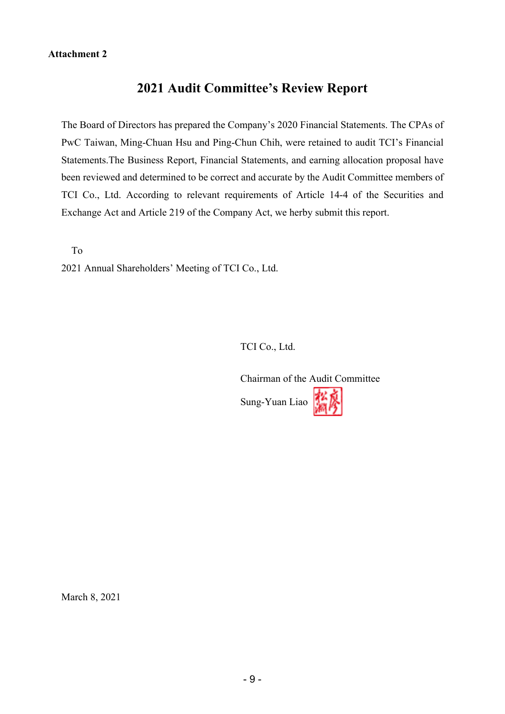#### **Attachment 2**

# **2021 Audit Committee's Review Report**

The Board of Directors has prepared the Company's 2020 Financial Statements. The CPAs of PwC Taiwan, Ming-Chuan Hsu and Ping-Chun Chih, were retained to audit TCI's Financial Statements.The Business Report, Financial Statements, and earning allocation proposal have been reviewed and determined to be correct and accurate by the Audit Committee members of TCI Co., Ltd. According to relevant requirements of Article 14-4 of the Securities and Exchange Act and Article 219 of the Company Act, we herby submit this report.

To

2021 Annual Shareholders' Meeting of TCI Co., Ltd.

TCI Co., Ltd.

Chairman of the Audit Committee Sung-Yuan Liao

March 8, 2021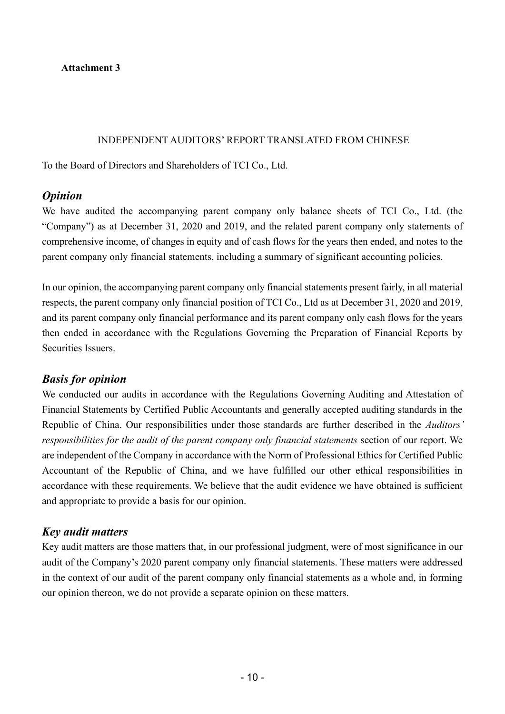**Attachment 3** 

#### INDEPENDENT AUDITORS' REPORT TRANSLATED FROM CHINESE

To the Board of Directors and Shareholders of TCI Co., Ltd.

### *Opinion*

We have audited the accompanying parent company only balance sheets of TCI Co., Ltd. (the "Company") as at December 31, 2020 and 2019, and the related parent company only statements of comprehensive income, of changes in equity and of cash flows for the years then ended, and notes to the parent company only financial statements, including a summary of significant accounting policies.

In our opinion, the accompanying parent company only financial statements present fairly, in all material respects, the parent company only financial position of TCI Co., Ltd as at December 31, 2020 and 2019, and its parent company only financial performance and its parent company only cash flows for the years then ended in accordance with the Regulations Governing the Preparation of Financial Reports by Securities Issuers.

# *Basis for opinion*

We conducted our audits in accordance with the Regulations Governing Auditing and Attestation of Financial Statements by Certified Public Accountants and generally accepted auditing standards in the Republic of China. Our responsibilities under those standards are further described in the *Auditors' responsibilities for the audit of the parent company only financial statements* section of our report. We are independent of the Company in accordance with the Norm of Professional Ethics for Certified Public Accountant of the Republic of China, and we have fulfilled our other ethical responsibilities in accordance with these requirements. We believe that the audit evidence we have obtained is sufficient and appropriate to provide a basis for our opinion.

# *Key audit matters*

Key audit matters are those matters that, in our professional judgment, were of most significance in our audit of the Company's 2020 parent company only financial statements. These matters were addressed in the context of our audit of the parent company only financial statements as a whole and, in forming our opinion thereon, we do not provide a separate opinion on these matters.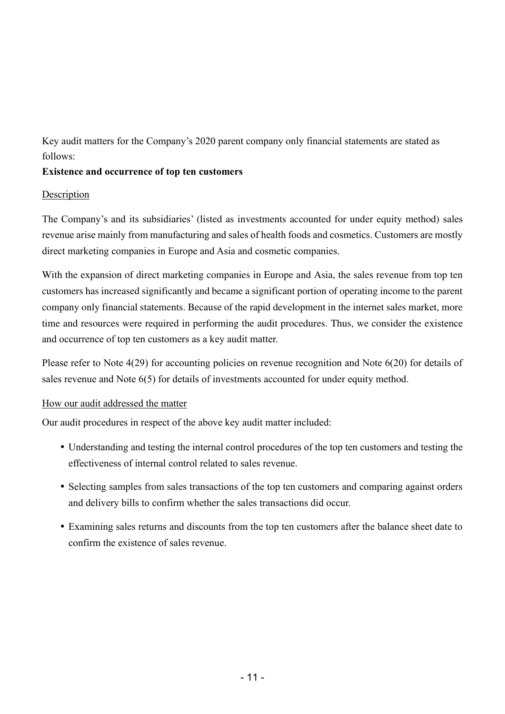Key audit matters for the Company's 2020 parent company only financial statements are stated as follows:

#### **Existence and occurrence of top ten customers**

#### Description

The Company's and its subsidiaries' (listed as investments accounted for under equity method) sales revenue arise mainly from manufacturing and sales of health foods and cosmetics. Customers are mostly direct marketing companies in Europe and Asia and cosmetic companies.

With the expansion of direct marketing companies in Europe and Asia, the sales revenue from top ten customers has increased significantly and became a significant portion of operating income to the parent company only financial statements. Because of the rapid development in the internet sales market, more time and resources were required in performing the audit procedures. Thus, we consider the existence and occurrence of top ten customers as a key audit matter.

Please refer to Note 4(29) for accounting policies on revenue recognition and Note 6(20) for details of sales revenue and Note 6(5) for details of investments accounted for under equity method.

#### How our audit addressed the matter

Our audit procedures in respect of the above key audit matter included:

- Understanding and testing the internal control procedures of the top ten customers and testing the effectiveness of internal control related to sales revenue.
- Selecting samples from sales transactions of the top ten customers and comparing against orders and delivery bills to confirm whether the sales transactions did occur.
- Examining sales returns and discounts from the top ten customers after the balance sheet date to confirm the existence of sales revenue.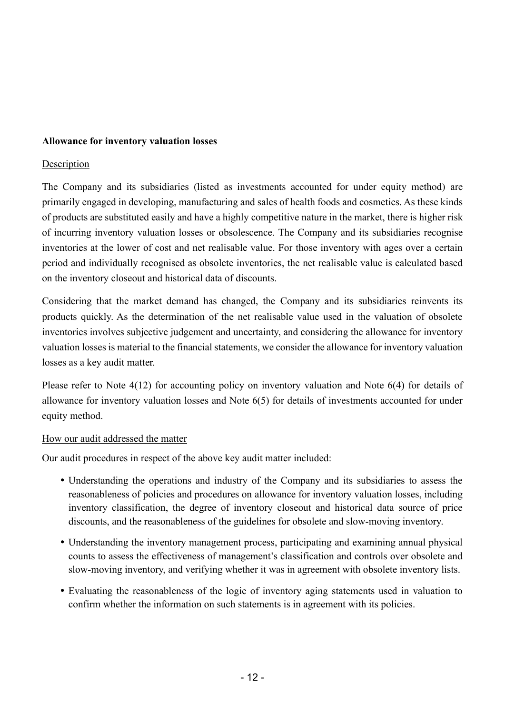#### **Allowance for inventory valuation losses**

#### Description

The Company and its subsidiaries (listed as investments accounted for under equity method) are primarily engaged in developing, manufacturing and sales of health foods and cosmetics. As these kinds of products are substituted easily and have a highly competitive nature in the market, there is higher risk of incurring inventory valuation losses or obsolescence. The Company and its subsidiaries recognise inventories at the lower of cost and net realisable value. For those inventory with ages over a certain period and individually recognised as obsolete inventories, the net realisable value is calculated based on the inventory closeout and historical data of discounts.

Considering that the market demand has changed, the Company and its subsidiaries reinvents its products quickly. As the determination of the net realisable value used in the valuation of obsolete inventories involves subjective judgement and uncertainty, and considering the allowance for inventory valuation losses is material to the financial statements, we consider the allowance for inventory valuation losses as a key audit matter.

Please refer to Note 4(12) for accounting policy on inventory valuation and Note 6(4) for details of allowance for inventory valuation losses and Note 6(5) for details of investments accounted for under equity method.

#### How our audit addressed the matter

Our audit procedures in respect of the above key audit matter included:

- Understanding the operations and industry of the Company and its subsidiaries to assess the reasonableness of policies and procedures on allowance for inventory valuation losses, including inventory classification, the degree of inventory closeout and historical data source of price discounts, and the reasonableness of the guidelines for obsolete and slow-moving inventory.
- Understanding the inventory management process, participating and examining annual physical counts to assess the effectiveness of management's classification and controls over obsolete and slow-moving inventory, and verifying whether it was in agreement with obsolete inventory lists.
- Evaluating the reasonableness of the logic of inventory aging statements used in valuation to confirm whether the information on such statements is in agreement with its policies.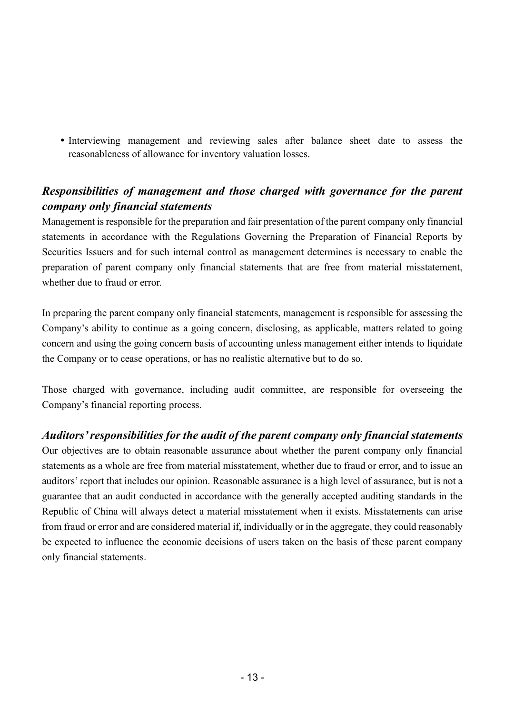Interviewing management and reviewing sales after balance sheet date to assess the reasonableness of allowance for inventory valuation losses.

# *Responsibilities of management and those charged with governance for the parent company only financial statements*

Management is responsible for the preparation and fair presentation of the parent company only financial statements in accordance with the Regulations Governing the Preparation of Financial Reports by Securities Issuers and for such internal control as management determines is necessary to enable the preparation of parent company only financial statements that are free from material misstatement, whether due to fraud or error.

In preparing the parent company only financial statements, management is responsible for assessing the Company's ability to continue as a going concern, disclosing, as applicable, matters related to going concern and using the going concern basis of accounting unless management either intends to liquidate the Company or to cease operations, or has no realistic alternative but to do so.

Those charged with governance, including audit committee, are responsible for overseeing the Company's financial reporting process.

# *Auditors' responsibilities for the audit of the parent company only financial statements*

Our objectives are to obtain reasonable assurance about whether the parent company only financial statements as a whole are free from material misstatement, whether due to fraud or error, and to issue an auditors' report that includes our opinion. Reasonable assurance is a high level of assurance, but is not a guarantee that an audit conducted in accordance with the generally accepted auditing standards in the Republic of China will always detect a material misstatement when it exists. Misstatements can arise from fraud or error and are considered material if, individually or in the aggregate, they could reasonably be expected to influence the economic decisions of users taken on the basis of these parent company only financial statements.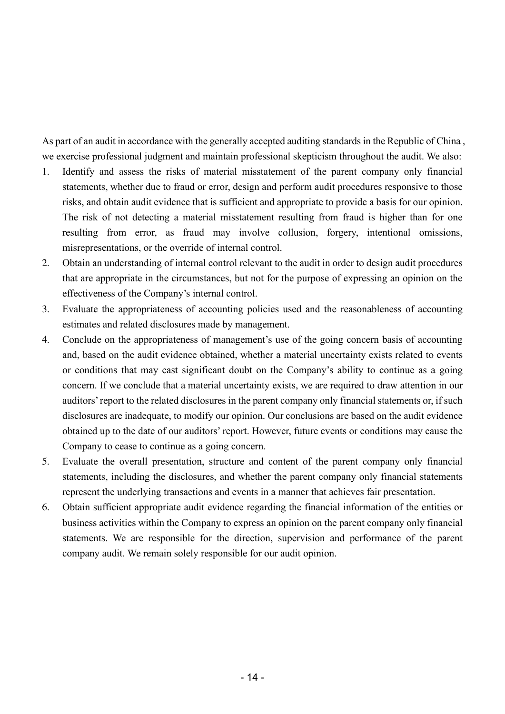As part of an audit in accordance with the generally accepted auditing standards in the Republic of China , we exercise professional judgment and maintain professional skepticism throughout the audit. We also:

- 1. Identify and assess the risks of material misstatement of the parent company only financial statements, whether due to fraud or error, design and perform audit procedures responsive to those risks, and obtain audit evidence that is sufficient and appropriate to provide a basis for our opinion. The risk of not detecting a material misstatement resulting from fraud is higher than for one resulting from error, as fraud may involve collusion, forgery, intentional omissions, misrepresentations, or the override of internal control.
- 2. Obtain an understanding of internal control relevant to the audit in order to design audit procedures that are appropriate in the circumstances, but not for the purpose of expressing an opinion on the effectiveness of the Company's internal control.
- 3. Evaluate the appropriateness of accounting policies used and the reasonableness of accounting estimates and related disclosures made by management.
- 4. Conclude on the appropriateness of management's use of the going concern basis of accounting and, based on the audit evidence obtained, whether a material uncertainty exists related to events or conditions that may cast significant doubt on the Company's ability to continue as a going concern. If we conclude that a material uncertainty exists, we are required to draw attention in our auditors' report to the related disclosures in the parent company only financial statements or, if such disclosures are inadequate, to modify our opinion. Our conclusions are based on the audit evidence obtained up to the date of our auditors' report. However, future events or conditions may cause the Company to cease to continue as a going concern.
- 5. Evaluate the overall presentation, structure and content of the parent company only financial statements, including the disclosures, and whether the parent company only financial statements represent the underlying transactions and events in a manner that achieves fair presentation.
- 6. Obtain sufficient appropriate audit evidence regarding the financial information of the entities or business activities within the Company to express an opinion on the parent company only financial statements. We are responsible for the direction, supervision and performance of the parent company audit. We remain solely responsible for our audit opinion.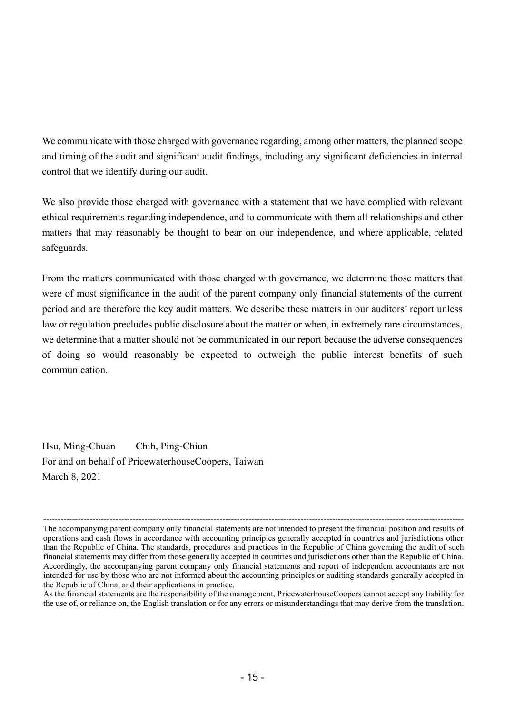We communicate with those charged with governance regarding, among other matters, the planned scope and timing of the audit and significant audit findings, including any significant deficiencies in internal control that we identify during our audit.

We also provide those charged with governance with a statement that we have complied with relevant ethical requirements regarding independence, and to communicate with them all relationships and other matters that may reasonably be thought to bear on our independence, and where applicable, related safeguards.

From the matters communicated with those charged with governance, we determine those matters that were of most significance in the audit of the parent company only financial statements of the current period and are therefore the key audit matters. We describe these matters in our auditors' report unless law or regulation precludes public disclosure about the matter or when, in extremely rare circumstances, we determine that a matter should not be communicated in our report because the adverse consequences of doing so would reasonably be expected to outweigh the public interest benefits of such communication.

Hsu, Ming-Chuan Chih, Ping-Chiun For and on behalf of PricewaterhouseCoopers, Taiwan March 8, 2021

<sup>----------------------------------------------------------------------------------------------------------------------------- --------------------</sup> The accompanying parent company only financial statements are not intended to present the financial position and results of operations and cash flows in accordance with accounting principles generally accepted in countries and jurisdictions other than the Republic of China. The standards, procedures and practices in the Republic of China governing the audit of such financial statements may differ from those generally accepted in countries and jurisdictions other than the Republic of China. Accordingly, the accompanying parent company only financial statements and report of independent accountants are not intended for use by those who are not informed about the accounting principles or auditing standards generally accepted in the Republic of China, and their applications in practice.

As the financial statements are the responsibility of the management, PricewaterhouseCoopers cannot accept any liability for the use of, or reliance on, the English translation or for any errors or misunderstandings that may derive from the translation.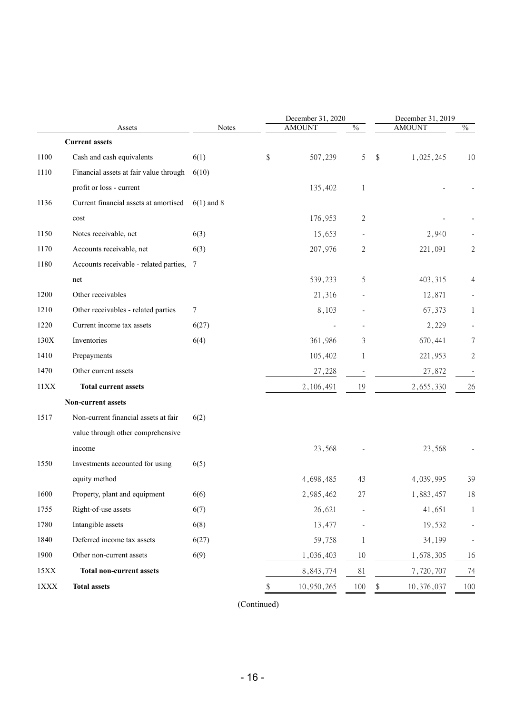|             |                                          |              | December 31, 2020 |                          | December 31, 2019 |                          |  |  |  |
|-------------|------------------------------------------|--------------|-------------------|--------------------------|-------------------|--------------------------|--|--|--|
|             | Assets                                   | <b>Notes</b> | <b>AMOUNT</b>     | $\overline{\frac{0}{0}}$ | <b>AMOUNT</b>     | $\frac{0}{6}$            |  |  |  |
|             | <b>Current assets</b>                    |              |                   |                          |                   |                          |  |  |  |
| 1100        | Cash and cash equivalents                | 6(1)         | \$<br>507,239     | 5                        | \$<br>1,025,245   | 10                       |  |  |  |
| 1110        | Financial assets at fair value through   | 6(10)        |                   |                          |                   |                          |  |  |  |
|             | profit or loss - current                 |              | 135,402           | 1                        |                   |                          |  |  |  |
| 1136        | Current financial assets at amortised    | $6(1)$ and 8 |                   |                          |                   |                          |  |  |  |
|             | cost                                     |              | 176,953           | 2                        |                   |                          |  |  |  |
| 1150        | Notes receivable, net                    | 6(3)         | 15,653            |                          | 2,940             |                          |  |  |  |
| 1170        | Accounts receivable, net                 | 6(3)         | 207,976           | 2                        | 221,091           | 2                        |  |  |  |
| 1180        | Accounts receivable - related parties, 7 |              |                   |                          |                   |                          |  |  |  |
|             | net                                      |              | 539,233           | 5                        | 403,315           | 4                        |  |  |  |
| 1200        | Other receivables                        |              | 21,316            |                          | 12,871            |                          |  |  |  |
| 1210        | Other receivables - related parties      | 7            | 8,103             |                          | 67,373            | 1                        |  |  |  |
| 1220        | Current income tax assets                | 6(27)        |                   |                          | 2,229             |                          |  |  |  |
| 130X        | Inventories                              | 6(4)         | 361,986           | 3                        | 670,441           | 7                        |  |  |  |
| 1410        | Prepayments                              |              | 105,402           | 1                        | 221,953           | $\mathbf{2}$             |  |  |  |
| 1470        | Other current assets                     |              | 27,228            |                          | 27,872            | $\overline{\phantom{a}}$ |  |  |  |
| 11XX        | <b>Total current assets</b>              |              | 2,106,491         | 19                       | 2,655,330         | 26                       |  |  |  |
|             | Non-current assets                       |              |                   |                          |                   |                          |  |  |  |
| 1517        | Non-current financial assets at fair     | 6(2)         |                   |                          |                   |                          |  |  |  |
|             | value through other comprehensive        |              |                   |                          |                   |                          |  |  |  |
|             | income                                   |              | 23,568            |                          | 23,568            |                          |  |  |  |
| 1550        | Investments accounted for using          | 6(5)         |                   |                          |                   |                          |  |  |  |
|             | equity method                            |              | 4,698,485         | 43                       | 4,039,995         | 39                       |  |  |  |
| 1600        | Property, plant and equipment            | 6(6)         | 2,985,462         | 27                       | 1,883,457         | 18                       |  |  |  |
| 1755        | Right-of-use assets                      | 6(7)         | 26,621            |                          | 41,651            | 1                        |  |  |  |
| 1780        | Intangible assets                        | 6(8)         | 13,477            |                          | 19,532            |                          |  |  |  |
| 1840        | Deferred income tax assets               | 6(27)        | 59,758            | 1                        | 34,199            |                          |  |  |  |
| 1900        | Other non-current assets                 | 6(9)         | 1,036,403         | 10                       | 1,678,305         | 16                       |  |  |  |
| 15XX        | <b>Total non-current assets</b>          |              | 8,843,774         | 81                       | 7,720,707         | 74                       |  |  |  |
| $1\rm{XXX}$ | <b>Total assets</b>                      |              | \$<br>10,950,265  | 100                      | \$<br>10,376,037  | 100                      |  |  |  |
|             |                                          |              |                   |                          |                   |                          |  |  |  |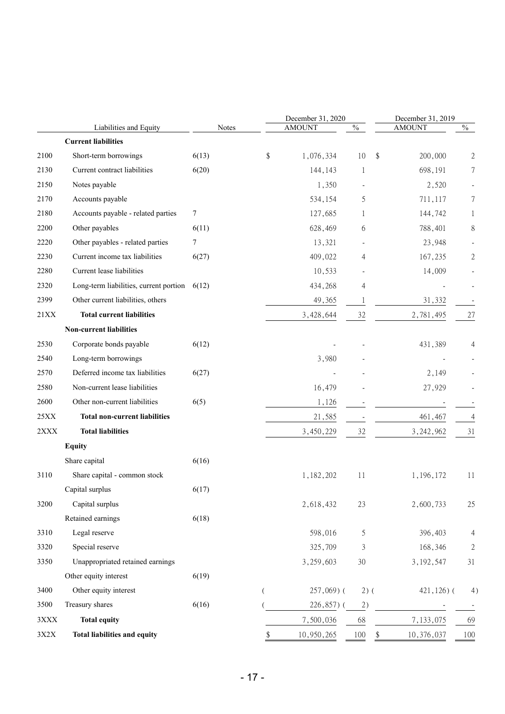|              | Liabilities and Equity                         | Notes |    | December 31, 2020<br><b>AMOUNT</b> | $\frac{0}{6}$ | December 31, 2019<br><b>AMOUNT</b> | $\%$             |
|--------------|------------------------------------------------|-------|----|------------------------------------|---------------|------------------------------------|------------------|
|              | <b>Current liabilities</b>                     |       |    |                                    |               |                                    |                  |
| 2100         | Short-term borrowings                          | 6(13) | \$ | 1,076,334                          | 10            | \$<br>200,000                      | 2                |
| 2130         | Current contract liabilities                   | 6(20) |    | 144,143                            | 1             | 698,191                            | 7                |
| 2150         | Notes payable                                  |       |    | 1,350                              |               | 2,520                              |                  |
| 2170         | Accounts payable                               |       |    | 534,154                            | 5             | 711,117                            | 7                |
| 2180         | Accounts payable - related parties             | 7     |    | 127,685                            | 1             | 144,742                            | 1                |
| 2200         | Other payables                                 | 6(11) |    | 628,469                            | 6             | 788,401                            | 8                |
| 2220         | Other payables - related parties               | 7     |    | 13,321                             |               | 23,948                             |                  |
| 2230         | Current income tax liabilities                 | 6(27) |    | 409,022                            | 4             | 167,235                            | 2                |
| 2280         | Current lease liabilities                      |       |    | 10,533                             |               | 14,009                             |                  |
| 2320         | Long-term liabilities, current portion $6(12)$ |       |    | 434,268                            | 4             |                                    |                  |
| 2399         | Other current liabilities, others              |       |    | 49,365                             | 1             | 31,332                             |                  |
| 21XX         | <b>Total current liabilities</b>               |       |    | 3,428,644                          | 32            | 2,781,495                          | 27               |
|              | <b>Non-current liabilities</b>                 |       |    |                                    |               |                                    |                  |
| 2530         | Corporate bonds payable                        | 6(12) |    |                                    |               | 431,389                            | 4                |
| 2540         | Long-term borrowings                           |       |    | 3,980                              |               |                                    |                  |
| 2570         | Deferred income tax liabilities                | 6(27) |    |                                    |               | 2,149                              |                  |
| 2580         | Non-current lease liabilities                  |       |    | 16,479                             |               | 27,929                             |                  |
| 2600         | Other non-current liabilities                  | 6(5)  |    | 1,126                              |               |                                    |                  |
| 25XX         | <b>Total non-current liabilities</b>           |       |    | 21,585                             |               | 461,467                            | 4                |
| 2XXX         | <b>Total liabilities</b>                       |       |    | 3,450,229                          | 32            | 3, 242, 962                        | 31               |
|              | <b>Equity</b>                                  |       |    |                                    |               |                                    |                  |
|              | Share capital                                  | 6(16) |    |                                    |               |                                    |                  |
| 3110         | Share capital - common stock                   |       |    | 1,182,202                          | 11            | 1,196,172                          | 11               |
|              | Capital surplus                                | 6(17) |    |                                    |               |                                    |                  |
| 3200         | Capital surplus                                |       |    | 2,618,432                          | 23            | 2,600,733                          | 25               |
|              | Retained earnings                              | 6(18) |    |                                    |               |                                    |                  |
| 3310         | Legal reserve                                  |       |    | 598,016                            | 5             | 396,403                            | 4                |
| 3320         | Special reserve                                |       |    | 325,709                            | 3             | 168,346                            | $\boldsymbol{2}$ |
| 3350         | Unappropriated retained earnings               |       |    | 3,259,603                          | 30            | 3, 192, 547                        | 31               |
|              | Other equity interest                          | 6(19) |    |                                    |               |                                    |                  |
| 3400         | Other equity interest                          |       | €  | $257,069$ (                        | $2)$ (        | 421,126)(                          | 4)               |
| 3500         | Treasury shares                                | 6(16) |    | 226,857)(                          | 2)            |                                    |                  |
| $3{\rm XXX}$ | <b>Total equity</b>                            |       |    | 7,500,036                          | 68            | 7,133,075                          | 69               |
| $3X2X$       | <b>Total liabilities and equity</b>            |       | \$ | 10,950,265                         | 100           | 10,376,037<br>\$                   | 100              |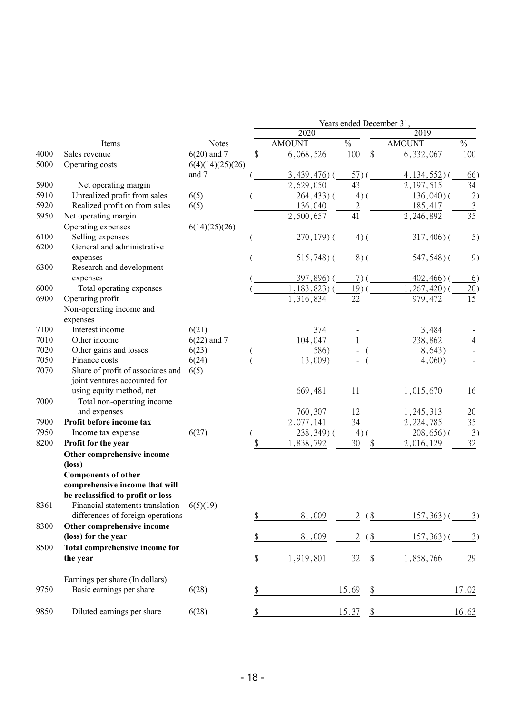|      |                                   |                  | Years ended December 31, |                 |                 |               |                |                   |  |  |  |  |  |  |  |
|------|-----------------------------------|------------------|--------------------------|-----------------|-----------------|---------------|----------------|-------------------|--|--|--|--|--|--|--|
|      |                                   |                  |                          | 2020            |                 |               | 2019           |                   |  |  |  |  |  |  |  |
|      | Items                             | Notes            |                          | <b>AMOUNT</b>   | $\frac{0}{0}$   |               | <b>AMOUNT</b>  | $\frac{0}{0}$     |  |  |  |  |  |  |  |
| 4000 | Sales revenue                     | $6(20)$ and 7    | \$                       | 6,068,526       | 100             | \$            | 6,332,067      | 100               |  |  |  |  |  |  |  |
| 5000 | Operating costs                   | 6(4)(14)(25)(26) |                          |                 |                 |               |                |                   |  |  |  |  |  |  |  |
|      |                                   | and 7            |                          | $3,439,476$ ) ( | 57)             |               | $4,134,552$ )( | 66)               |  |  |  |  |  |  |  |
| 5900 | Net operating margin              |                  |                          | 2,629,050       | 43              |               | 2, 197, 515    | 34                |  |  |  |  |  |  |  |
| 5910 | Unrealized profit from sales      | 6(5)             |                          | $264, 433$ ) (  | $4)$ (          |               | $136,040$ ) (  | 2)                |  |  |  |  |  |  |  |
| 5920 | Realized profit on from sales     | 6(5)             |                          | 136,040         | $\overline{2}$  |               | 185,417        | $\overline{3}$    |  |  |  |  |  |  |  |
| 5950 | Net operating margin              |                  |                          | 2,500,657       | 41              |               | 2,246,892      | 35                |  |  |  |  |  |  |  |
|      | Operating expenses                | 6(14)(25)(26)    |                          |                 |                 |               |                |                   |  |  |  |  |  |  |  |
| 6100 | Selling expenses                  |                  |                          | $270, 179$ ) (  | $4)$ (          |               | $317,406$ ) (  | 5)                |  |  |  |  |  |  |  |
| 6200 | General and administrative        |                  |                          |                 |                 |               |                |                   |  |  |  |  |  |  |  |
|      | expenses                          |                  |                          | $515,748$ ) (   | $8)$ (          |               | 547,548)(      | 9)                |  |  |  |  |  |  |  |
| 6300 | Research and development          |                  |                          |                 |                 |               |                |                   |  |  |  |  |  |  |  |
|      | expenses                          |                  |                          | 397,896)(       | $7)$ (          |               | $402,466$ ) (  | 6)                |  |  |  |  |  |  |  |
| 6000 | Total operating expenses          |                  |                          | $,183,823)$ (   | 19 <sup>0</sup> |               | , 267, 420) (  | 20)               |  |  |  |  |  |  |  |
| 6900 | Operating profit                  |                  |                          | 1,316,834       | 22              |               | 979,472        | 15                |  |  |  |  |  |  |  |
|      | Non-operating income and          |                  |                          |                 |                 |               |                |                   |  |  |  |  |  |  |  |
|      | expenses                          |                  |                          |                 |                 |               |                |                   |  |  |  |  |  |  |  |
| 7100 | Interest income                   | 6(21)            |                          | 374             |                 |               | 3,484          |                   |  |  |  |  |  |  |  |
| 7010 | Other income                      | $6(22)$ and 7    |                          | 104,047         |                 |               | 238,862        | 4                 |  |  |  |  |  |  |  |
| 7020 | Other gains and losses            | 6(23)            |                          | 586)            |                 |               | 8,643)         |                   |  |  |  |  |  |  |  |
| 7050 | Finance costs                     | 6(24)            |                          | 13,009)         |                 |               | 4,060)         |                   |  |  |  |  |  |  |  |
| 7070 | Share of profit of associates and | 6(5)             |                          |                 |                 |               |                |                   |  |  |  |  |  |  |  |
|      | joint ventures accounted for      |                  |                          |                 |                 |               |                |                   |  |  |  |  |  |  |  |
|      | using equity method, net          |                  |                          | 669,481         | 11              |               | 1,015,670      | 16                |  |  |  |  |  |  |  |
| 7000 | Total non-operating income        |                  |                          |                 |                 |               |                |                   |  |  |  |  |  |  |  |
|      | and expenses                      |                  |                          | 760,307         | 12              |               | 1,245,313      | 20                |  |  |  |  |  |  |  |
| 7900 | Profit before income tax          |                  |                          | 2,077,141       | 34              |               | 2, 224, 785    | 35                |  |  |  |  |  |  |  |
| 7950 | Income tax expense                | 6(27)            |                          | $238,349$ )     | 4)              |               | $208,656$ )    | 3)                |  |  |  |  |  |  |  |
| 8200 | Profit for the year               |                  |                          | ,838,792        | 30              | \$            | 2,016,129      | 32                |  |  |  |  |  |  |  |
|      | Other comprehensive income        |                  |                          |                 |                 |               |                |                   |  |  |  |  |  |  |  |
|      | (loss)                            |                  |                          |                 |                 |               |                |                   |  |  |  |  |  |  |  |
|      | <b>Components of other</b>        |                  |                          |                 |                 |               |                |                   |  |  |  |  |  |  |  |
|      | comprehensive income that will    |                  |                          |                 |                 |               |                |                   |  |  |  |  |  |  |  |
|      | be reclassified to profit or loss |                  |                          |                 |                 |               |                |                   |  |  |  |  |  |  |  |
| 8361 | Financial statements translation  | 6(5)(19)         |                          |                 |                 |               |                |                   |  |  |  |  |  |  |  |
|      | differences of foreign operations |                  | \$                       | 81,009          | 2               | $($ \$        | $157,363$ )    | $\underline{3}$ ) |  |  |  |  |  |  |  |
| 8300 | Other comprehensive income        |                  |                          |                 |                 |               |                |                   |  |  |  |  |  |  |  |
|      | (loss) for the year               |                  | \$                       | 81,009          | $\overline{2}$  | $\frac{1}{2}$ | $157,363$ )(   | $\overline{3})$   |  |  |  |  |  |  |  |
| 8500 | Total comprehensive income for    |                  |                          |                 |                 |               |                |                   |  |  |  |  |  |  |  |
|      | the year                          |                  | \$                       | 1,919,801       | 32              | $\frac{1}{2}$ | 1,858,766      | <u>29</u>         |  |  |  |  |  |  |  |
|      |                                   |                  |                          |                 |                 |               |                |                   |  |  |  |  |  |  |  |
|      | Earnings per share (In dollars)   |                  |                          |                 |                 |               |                |                   |  |  |  |  |  |  |  |
| 9750 | Basic earnings per share          | 6(28)            |                          |                 | 15.69           | \$            |                | 17.02             |  |  |  |  |  |  |  |
|      |                                   |                  |                          |                 |                 |               |                |                   |  |  |  |  |  |  |  |
| 9850 | Diluted earnings per share        | 6(28)            |                          |                 | 15.37           | \$            |                | 16.63             |  |  |  |  |  |  |  |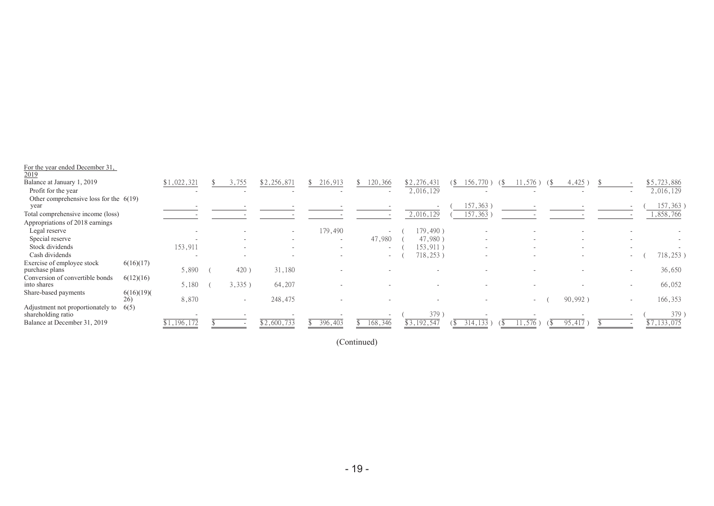| For the year ended December 31,<br>$\frac{2019}{ }$             |           |                          |                          |                          |         |                          |             |   |                          |                          |                          |                          |                        |
|-----------------------------------------------------------------|-----------|--------------------------|--------------------------|--------------------------|---------|--------------------------|-------------|---|--------------------------|--------------------------|--------------------------|--------------------------|------------------------|
| Balance at January 1, 2019                                      |           | \$1,022,321              | 3,755                    | \$2,256,871              | 216,913 | 120,366                  | \$2,276,431 | Ъ | 156                      | 1,576                    | 4,425                    |                          | \$5,723,886            |
| Profit for the year                                             |           |                          |                          |                          |         |                          | 2,016,129   |   |                          |                          |                          |                          | 2,016,129              |
| Other comprehensive loss for the $6(19)$                        |           |                          |                          |                          |         |                          |             |   |                          |                          |                          |                          |                        |
| year                                                            |           |                          |                          |                          |         |                          |             |   | 157,363)                 |                          |                          |                          | 157,363)               |
| Total comprehensive income (loss)                               |           |                          |                          |                          |         |                          | 2,016,129   |   | 157,363                  |                          |                          |                          | $\overline{1,858,766}$ |
| Appropriations of 2018 earnings                                 |           |                          |                          |                          |         |                          |             |   |                          |                          |                          |                          |                        |
| Legal reserve                                                   |           |                          |                          | $\sim$                   | 179,490 |                          | 179,490)    |   |                          |                          |                          |                          |                        |
| Special reserve                                                 |           | $\overline{\phantom{0}}$ | $\overline{\phantom{a}}$ | $\overline{\phantom{a}}$ | $\sim$  | 47,980                   | 47,980      |   |                          | $\overline{\phantom{a}}$ | $\sim$                   |                          |                        |
| Stock dividends                                                 |           | 153,911                  |                          | $\overline{\phantom{a}}$ |         | $\overline{\phantom{0}}$ | 153,911     |   |                          | $\overline{\phantom{a}}$ | $\overline{\phantom{a}}$ |                          |                        |
| Cash dividends                                                  |           | $\overline{\phantom{0}}$ |                          | $\overline{\phantom{a}}$ | $\sim$  | $\sim$                   | 718,253)    |   | $\overline{\phantom{a}}$ | $\overline{\phantom{a}}$ | $\sim$                   | $\sim$                   | 718,253)               |
| Exercise of employee stock<br>purchase plans                    | 6(16)(17) | 5,890                    | 420                      | 31,180                   |         |                          |             |   |                          |                          |                          |                          | 36,650                 |
| Conversion of convertible bonds                                 | 6(12)(16) |                          |                          |                          |         |                          |             |   |                          |                          |                          |                          |                        |
| into shares                                                     |           | 5,180                    | 3,335)                   | 64,207                   |         |                          |             |   |                          |                          |                          | $\overline{\phantom{a}}$ | 66,052                 |
| Share-based payments                                            | 6(16)(19) |                          |                          |                          |         |                          |             |   |                          |                          |                          |                          |                        |
| 26)                                                             |           | 8,870                    | $\overline{\phantom{0}}$ | 248,475                  |         |                          |             |   |                          | $-$                      | 90,992)                  | $\overline{a}$           | 166,353                |
| 6(5)<br>Adjustment not proportionately to<br>shareholding ratio |           |                          |                          |                          |         |                          | 379         |   |                          |                          |                          |                          | 379                    |
| Balance at December 31, 2019                                    |           | \$1,196,172              |                          | \$2,600,733              | 396,403 | 168,346                  | \$3,192,547 |   | 314<br>133               | 11,576<br>(\$            | 95,417                   |                          | \$7,133,075            |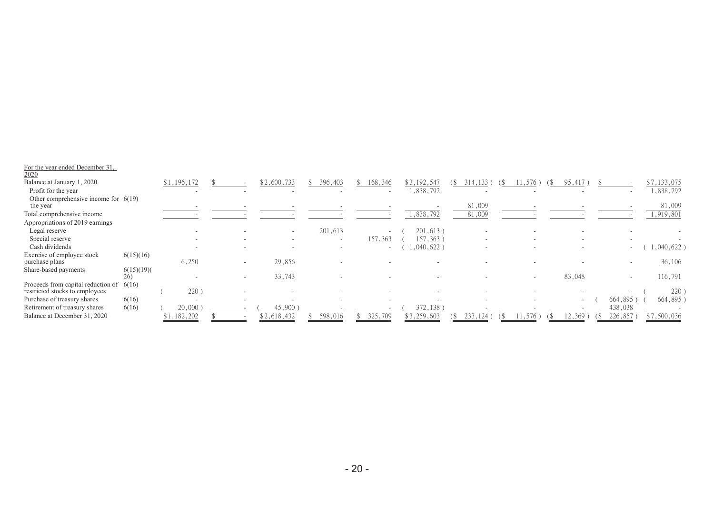| For the year ended December 31,<br>2020 |           |             |                |                          |         |         |                          |             |                          |        |                          |                          |         |             |
|-----------------------------------------|-----------|-------------|----------------|--------------------------|---------|---------|--------------------------|-------------|--------------------------|--------|--------------------------|--------------------------|---------|-------------|
| Balance at January 1, 2020              |           | \$1,196,172 |                | \$2,600,733              | 396,403 | 168,346 |                          | \$3,192,547 | 314, 133                 | 11,576 |                          | 95,417                   |         | \$7,133,075 |
| Profit for the year                     |           |             |                |                          |         |         |                          | ,838,792    |                          |        |                          |                          |         | ,838,792    |
| Other comprehensive income for $6(19)$  |           |             |                |                          |         |         |                          |             |                          |        |                          |                          |         |             |
| the year                                |           |             |                |                          |         |         |                          |             | 81,009                   |        |                          |                          |         | 81,009      |
| Total comprehensive income              |           |             |                |                          |         |         |                          | 1,838,792   | 81,009                   |        |                          |                          |         | 1,919,801   |
| Appropriations of 2019 earnings         |           |             |                |                          |         |         |                          |             |                          |        |                          |                          |         |             |
| Legal reserve                           |           |             |                | $\overline{\phantom{0}}$ | 201,613 |         | $\overline{\phantom{0}}$ | 201,613)    |                          |        |                          |                          |         |             |
| Special reserve                         |           |             | $\overline{a}$ | $\overline{\phantom{a}}$ |         | 157,363 |                          | 157,363     | $\overline{\phantom{0}}$ |        |                          | $\overline{\phantom{a}}$ |         |             |
| Cash dividends                          |           |             |                |                          |         |         | $\sim$                   | ,040,622)   |                          |        |                          |                          | $\sim$  | ,040,622)   |
| Exercise of employee stock              | 6(15)(16) |             |                |                          |         |         |                          |             |                          |        |                          |                          |         |             |
| purchase plans                          |           | 6,250       |                | 29,856                   |         |         |                          |             |                          |        |                          |                          |         | 36,106      |
| Share-based payments                    | 6(15)(19) |             |                |                          |         |         |                          |             |                          |        |                          |                          |         |             |
|                                         | 26)       |             |                | 33,743                   |         |         |                          |             |                          |        | $\overline{\phantom{0}}$ | 83,048                   | $\sim$  | 116,791     |
| Proceeds from capital reduction of      | 6(16)     |             |                |                          |         |         |                          |             |                          |        |                          |                          |         |             |
| restricted stocks to employees          |           | 220)        |                | $\overline{\phantom{a}}$ |         |         |                          |             |                          |        |                          |                          |         | 220)        |
| Purchase of treasury shares             | 6(16)     |             |                |                          |         |         |                          |             |                          |        |                          | $\overline{\phantom{a}}$ | 664,895 | 664,895)    |
| Retirement of treasury shares           | 6(16)     | 20,000      |                | 45,900                   |         |         |                          | 372,138     |                          |        |                          |                          | 438,038 |             |
| Balance at December 31, 2020            |           | \$1,182,202 |                | \$2,618,432              | 598,016 | 325,709 |                          | \$3,259,603 |                          |        |                          | 369                      | 226,857 | \$7,500,036 |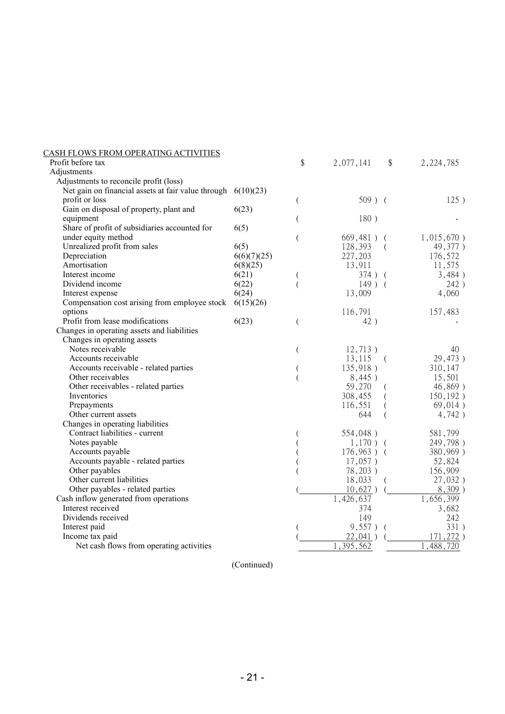| <u>CASH FLOWS FROM OPERATING ACTIVITIES</u>        |             |    |               |          |             |
|----------------------------------------------------|-------------|----|---------------|----------|-------------|
| Profit before tax                                  |             | \$ | 2,077,141     | \$       | 2, 224, 785 |
| Adjustments                                        |             |    |               |          |             |
| Adjustments to reconcile profit (loss)             |             |    |               |          |             |
| Net gain on financial assets at fair value through | 6(10)(23)   |    |               |          |             |
| profit or loss                                     |             | (  | $509$ ) (     |          | 125)        |
| Gain on disposal of property, plant and            | 6(23)       |    |               |          |             |
| equipment                                          |             |    | 180)          |          |             |
| Share of profit of subsidiaries accounted for      | 6(5)        |    |               |          |             |
| under equity method                                |             | (  | 669,481)      |          | 1,015,670)  |
| Unrealized profit from sales                       | 6(5)        |    | 128,393       | $\left($ | 49,377)     |
| Depreciation                                       | 6(6)(7)(25) |    | 227,203       |          | 176,572     |
| Amortisation                                       | 6(8)(25)    |    | 13,911        |          | 11,575      |
| Interest income                                    | 6(21)       |    | 374) (        |          | 3,484)      |
| Dividend income                                    | 6(22)       |    | $149$ ) (     |          | 242)        |
| Interest expense                                   | 6(24)       |    | 13,009        |          | 4,060       |
| Compensation cost arising from employee stock      | 6(15)(26)   |    |               |          |             |
| options                                            |             |    | 116,791       |          | 157,483     |
| Profit from lease modifications                    | 6(23)       | (  | 42)           |          |             |
| Changes in operating assets and liabilities        |             |    |               |          |             |
| Changes in operating assets                        |             |    |               |          |             |
| Notes receivable                                   |             | (  | 12,713)       |          | 40          |
| Accounts receivable                                |             |    | 13,115        | $\left($ | 29,473)     |
| Accounts receivable - related parties              |             |    | 135,918)      |          | 310,147     |
| Other receivables                                  |             |    | 8,445)        |          | 15,501      |
| Other receivables - related parties                |             |    | 59,270        |          | 46,869)     |
| Inventories                                        |             |    | 308,455       |          | 150, 192)   |
| Prepayments                                        |             |    | 116,551       |          | 69,014)     |
| Other current assets                               |             |    | 644           |          | 4,742)      |
| Changes in operating liabilities                   |             |    |               |          |             |
| Contract liabilities - current                     |             |    | 554,048)      |          | 581,799     |
| Notes payable                                      |             |    | $1,170$ ) (   |          | 249,798)    |
| Accounts payable                                   |             |    | $176,963$ ) ( |          | 380,969)    |
| Accounts payable - related parties                 |             |    | $17,057$ )    |          | 52,824      |
| Other payables                                     |             |    | 78,203)       |          | 156,909     |
| Other current liabilities                          |             |    | 18,033        |          | 27,032)     |
| Other payables - related parties                   |             |    | 10,627)       |          | $8,309$ )   |
| Cash inflow generated from operations              |             |    | 1,426,637     |          | 1,656,399   |
| Interest received                                  |             |    | 374           |          | 3,682       |
| Dividends received                                 |             |    | 149           |          | 242         |
| Interest paid                                      |             |    | 9,557)        | $\left($ | 331)        |
| Income tax paid                                    |             |    | 22,041)       |          | 171,272)    |
| Net cash flows from operating activities           |             |    | 395,562       |          | 488<br>720  |
|                                                    |             |    |               |          |             |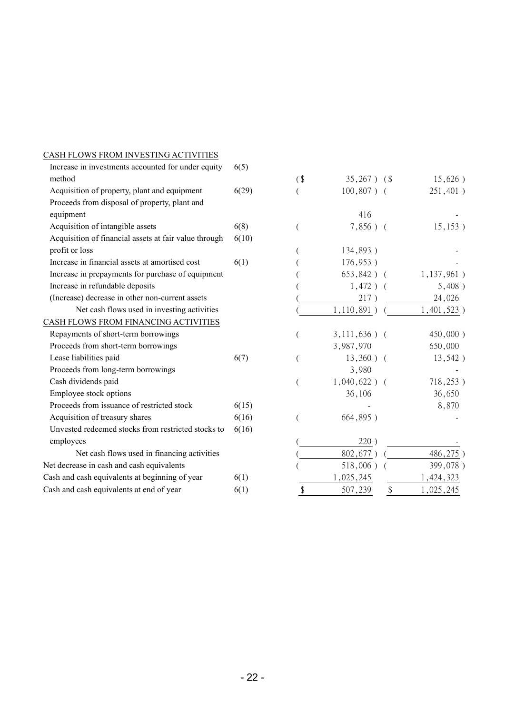| Increase in investments accounted for under equity    | 6(5)  |        |                  |                           |               |
|-------------------------------------------------------|-------|--------|------------------|---------------------------|---------------|
| method                                                |       | $($ \$ | $35,267$ ) $(\$$ |                           | 15,626)       |
| Acquisition of property, plant and equipment          | 6(29) |        | $100,807$ ) (    |                           | 251,401)      |
| Proceeds from disposal of property, plant and         |       |        |                  |                           |               |
| equipment                                             |       |        | 416              |                           |               |
| Acquisition of intangible assets                      | 6(8)  |        | $7,856$ ) (      |                           | 15, 153)      |
| Acquisition of financial assets at fair value through | 6(10) |        |                  |                           |               |
| profit or loss                                        |       |        | 134,893)         |                           |               |
| Increase in financial assets at amortised cost        | 6(1)  |        | 176,953)         |                           |               |
| Increase in prepayments for purchase of equipment     |       |        | $653,842$ ) (    |                           | $1,137,961$ ) |
| Increase in refundable deposits                       |       |        | $1,472$ ) (      |                           | 5,408)        |
| (Increase) decrease in other non-current assets       |       |        | 217)             |                           | 24,026        |
| Net cash flows used in investing activities           |       |        | 1,110,891)       |                           | $1,401,523$ ) |
| CASH FLOWS FROM FINANCING ACTIVITIES                  |       |        |                  |                           |               |
| Repayments of short-term borrowings                   |       |        | $3,111,636$ ) (  |                           | 450,000)      |
| Proceeds from short-term borrowings                   |       |        | 3,987,970        |                           | 650,000       |
| Lease liabilities paid                                | 6(7)  |        | $13,360$ ) (     |                           | 13,542)       |
| Proceeds from long-term borrowings                    |       |        | 3,980            |                           |               |
| Cash dividends paid                                   |       |        | $1,040,622$ ) (  |                           | 718,253)      |
| Employee stock options                                |       |        | 36,106           |                           | 36,650        |
| Proceeds from issuance of restricted stock            | 6(15) |        |                  |                           | 8,870         |
| Acquisition of treasury shares                        | 6(16) |        | 664,895)         |                           |               |
| Unvested redeemed stocks from restricted stocks to    | 6(16) |        |                  |                           |               |
| employees                                             |       |        | 220)             |                           |               |
| Net cash flows used in financing activities           |       |        | 802,677)         |                           | 486,275)      |
| Net decrease in cash and cash equivalents             |       |        | $518,006$ )      |                           | 399,078)      |
| Cash and cash equivalents at beginning of year        | 6(1)  |        | 1,025,245        |                           | 1,424,323     |
| Cash and cash equivalents at end of year              | 6(1)  | \$     | 507,239          | $\boldsymbol{\mathsf{S}}$ | 1,025,245     |

CASH FLOWS FROM INVESTING ACTIVITIES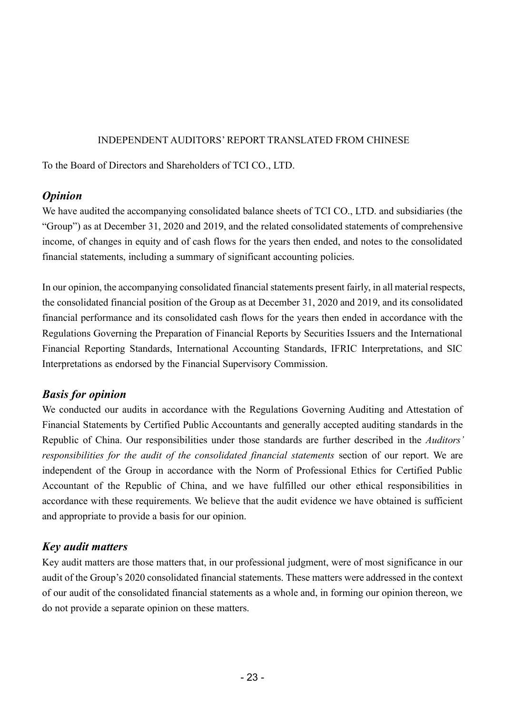#### INDEPENDENT AUDITORS' REPORT TRANSLATED FROM CHINESE

To the Board of Directors and Shareholders of TCI CO., LTD.

# *Opinion*

We have audited the accompanying consolidated balance sheets of TCI CO., LTD. and subsidiaries (the "Group") as at December 31, 2020 and 2019, and the related consolidated statements of comprehensive income, of changes in equity and of cash flows for the years then ended, and notes to the consolidated financial statements, including a summary of significant accounting policies.

In our opinion, the accompanying consolidated financial statements present fairly, in all material respects, the consolidated financial position of the Group as at December 31, 2020 and 2019, and its consolidated financial performance and its consolidated cash flows for the years then ended in accordance with the Regulations Governing the Preparation of Financial Reports by Securities Issuers and the International Financial Reporting Standards, International Accounting Standards, IFRIC Interpretations, and SIC Interpretations as endorsed by the Financial Supervisory Commission.

# *Basis for opinion*

We conducted our audits in accordance with the Regulations Governing Auditing and Attestation of Financial Statements by Certified Public Accountants and generally accepted auditing standards in the Republic of China. Our responsibilities under those standards are further described in the *Auditors' responsibilities for the audit of the consolidated financial statements* section of our report. We are independent of the Group in accordance with the Norm of Professional Ethics for Certified Public Accountant of the Republic of China, and we have fulfilled our other ethical responsibilities in accordance with these requirements. We believe that the audit evidence we have obtained is sufficient and appropriate to provide a basis for our opinion.

# *Key audit matters*

Key audit matters are those matters that, in our professional judgment, were of most significance in our audit of the Group's 2020 consolidated financial statements. These matters were addressed in the context of our audit of the consolidated financial statements as a whole and, in forming our opinion thereon, we do not provide a separate opinion on these matters.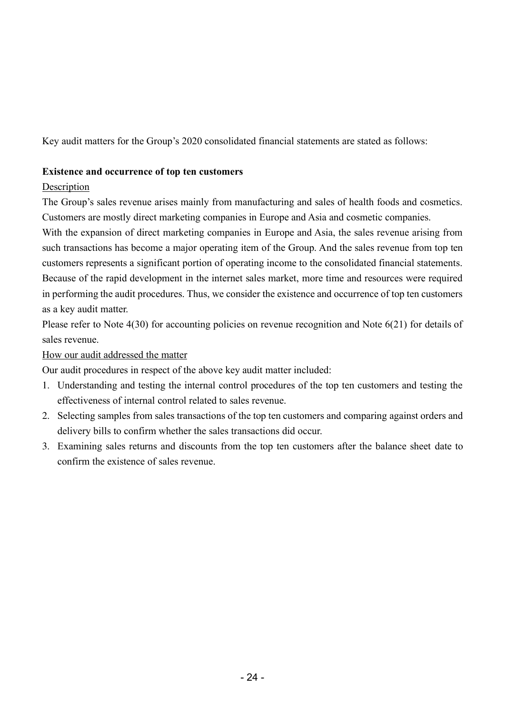Key audit matters for the Group's 2020 consolidated financial statements are stated as follows:

#### **Existence and occurrence of top ten customers**

#### **Description**

The Group's sales revenue arises mainly from manufacturing and sales of health foods and cosmetics. Customers are mostly direct marketing companies in Europe and Asia and cosmetic companies.

With the expansion of direct marketing companies in Europe and Asia, the sales revenue arising from such transactions has become a major operating item of the Group. And the sales revenue from top ten customers represents a significant portion of operating income to the consolidated financial statements. Because of the rapid development in the internet sales market, more time and resources were required in performing the audit procedures. Thus, we consider the existence and occurrence of top ten customers as a key audit matter.

Please refer to Note 4(30) for accounting policies on revenue recognition and Note 6(21) for details of sales revenue.

How our audit addressed the matter

Our audit procedures in respect of the above key audit matter included:

- 1. Understanding and testing the internal control procedures of the top ten customers and testing the effectiveness of internal control related to sales revenue.
- 2. Selecting samples from sales transactions of the top ten customers and comparing against orders and delivery bills to confirm whether the sales transactions did occur.
- 3. Examining sales returns and discounts from the top ten customers after the balance sheet date to confirm the existence of sales revenue.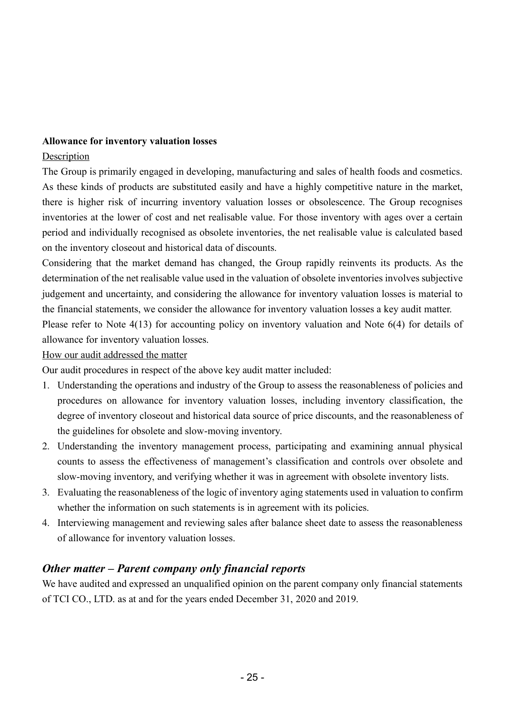#### **Allowance for inventory valuation losses**

#### Description

The Group is primarily engaged in developing, manufacturing and sales of health foods and cosmetics. As these kinds of products are substituted easily and have a highly competitive nature in the market, there is higher risk of incurring inventory valuation losses or obsolescence. The Group recognises inventories at the lower of cost and net realisable value. For those inventory with ages over a certain period and individually recognised as obsolete inventories, the net realisable value is calculated based on the inventory closeout and historical data of discounts.

Considering that the market demand has changed, the Group rapidly reinvents its products. As the determination of the net realisable value used in the valuation of obsolete inventories involves subjective judgement and uncertainty, and considering the allowance for inventory valuation losses is material to the financial statements, we consider the allowance for inventory valuation losses a key audit matter. Please refer to Note 4(13) for accounting policy on inventory valuation and Note 6(4) for details of

allowance for inventory valuation losses.

#### How our audit addressed the matter

Our audit procedures in respect of the above key audit matter included:

- 1. Understanding the operations and industry of the Group to assess the reasonableness of policies and procedures on allowance for inventory valuation losses, including inventory classification, the degree of inventory closeout and historical data source of price discounts, and the reasonableness of the guidelines for obsolete and slow-moving inventory.
- 2. Understanding the inventory management process, participating and examining annual physical counts to assess the effectiveness of management's classification and controls over obsolete and slow-moving inventory, and verifying whether it was in agreement with obsolete inventory lists.
- 3. Evaluating the reasonableness of the logic of inventory aging statements used in valuation to confirm whether the information on such statements is in agreement with its policies.
- 4. Interviewing management and reviewing sales after balance sheet date to assess the reasonableness of allowance for inventory valuation losses.

# *Other matter – Parent company only financial reports*

We have audited and expressed an unqualified opinion on the parent company only financial statements of TCI CO., LTD. as at and for the years ended December 31, 2020 and 2019.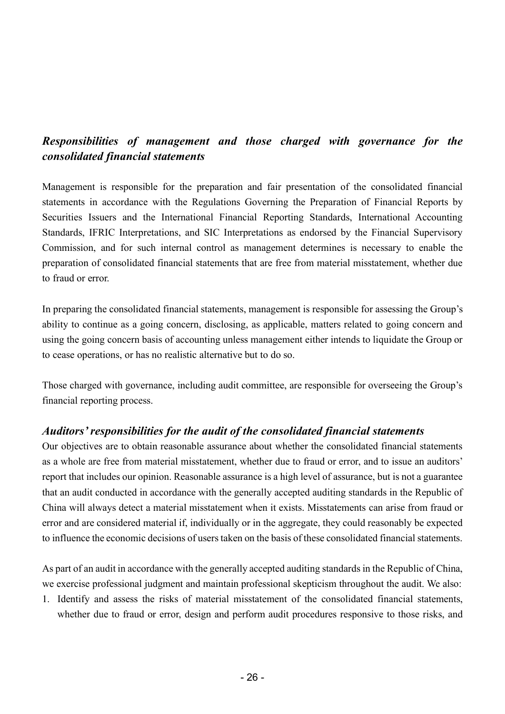# *Responsibilities of management and those charged with governance for the consolidated financial statements*

Management is responsible for the preparation and fair presentation of the consolidated financial statements in accordance with the Regulations Governing the Preparation of Financial Reports by Securities Issuers and the International Financial Reporting Standards, International Accounting Standards, IFRIC Interpretations, and SIC Interpretations as endorsed by the Financial Supervisory Commission, and for such internal control as management determines is necessary to enable the preparation of consolidated financial statements that are free from material misstatement, whether due to fraud or error.

In preparing the consolidated financial statements, management is responsible for assessing the Group's ability to continue as a going concern, disclosing, as applicable, matters related to going concern and using the going concern basis of accounting unless management either intends to liquidate the Group or to cease operations, or has no realistic alternative but to do so.

Those charged with governance, including audit committee, are responsible for overseeing the Group's financial reporting process.

#### *Auditors' responsibilities for the audit of the consolidated financial statements*

Our objectives are to obtain reasonable assurance about whether the consolidated financial statements as a whole are free from material misstatement, whether due to fraud or error, and to issue an auditors' report that includes our opinion. Reasonable assurance is a high level of assurance, but is not a guarantee that an audit conducted in accordance with the generally accepted auditing standards in the Republic of China will always detect a material misstatement when it exists. Misstatements can arise from fraud or error and are considered material if, individually or in the aggregate, they could reasonably be expected to influence the economic decisions of users taken on the basis of these consolidated financial statements.

As part of an audit in accordance with the generally accepted auditing standards in the Republic of China, we exercise professional judgment and maintain professional skepticism throughout the audit. We also:

1. Identify and assess the risks of material misstatement of the consolidated financial statements, whether due to fraud or error, design and perform audit procedures responsive to those risks, and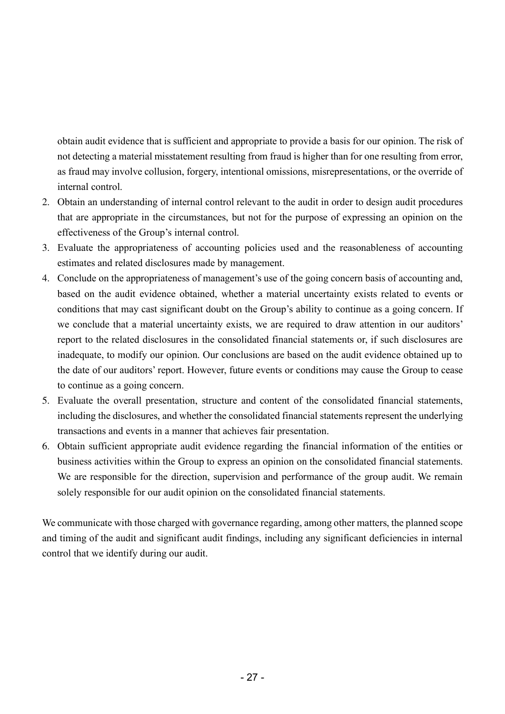obtain audit evidence that is sufficient and appropriate to provide a basis for our opinion. The risk of not detecting a material misstatement resulting from fraud is higher than for one resulting from error, as fraud may involve collusion, forgery, intentional omissions, misrepresentations, or the override of internal control.

- 2. Obtain an understanding of internal control relevant to the audit in order to design audit procedures that are appropriate in the circumstances, but not for the purpose of expressing an opinion on the effectiveness of the Group's internal control.
- 3. Evaluate the appropriateness of accounting policies used and the reasonableness of accounting estimates and related disclosures made by management.
- 4. Conclude on the appropriateness of management's use of the going concern basis of accounting and, based on the audit evidence obtained, whether a material uncertainty exists related to events or conditions that may cast significant doubt on the Group's ability to continue as a going concern. If we conclude that a material uncertainty exists, we are required to draw attention in our auditors' report to the related disclosures in the consolidated financial statements or, if such disclosures are inadequate, to modify our opinion. Our conclusions are based on the audit evidence obtained up to the date of our auditors' report. However, future events or conditions may cause the Group to cease to continue as a going concern.
- 5. Evaluate the overall presentation, structure and content of the consolidated financial statements, including the disclosures, and whether the consolidated financial statements represent the underlying transactions and events in a manner that achieves fair presentation.
- 6. Obtain sufficient appropriate audit evidence regarding the financial information of the entities or business activities within the Group to express an opinion on the consolidated financial statements. We are responsible for the direction, supervision and performance of the group audit. We remain solely responsible for our audit opinion on the consolidated financial statements.

We communicate with those charged with governance regarding, among other matters, the planned scope and timing of the audit and significant audit findings, including any significant deficiencies in internal control that we identify during our audit.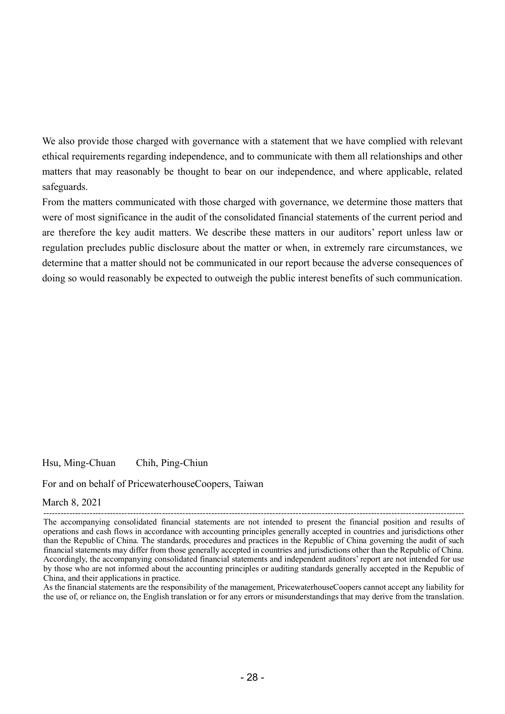We also provide those charged with governance with a statement that we have complied with relevant ethical requirements regarding independence, and to communicate with them all relationships and other matters that may reasonably be thought to bear on our independence, and where applicable, related safeguards.

From the matters communicated with those charged with governance, we determine those matters that were of most significance in the audit of the consolidated financial statements of the current period and are therefore the key audit matters. We describe these matters in our auditors' report unless law or regulation precludes public disclosure about the matter or when, in extremely rare circumstances, we determine that a matter should not be communicated in our report because the adverse consequences of doing so would reasonably be expected to outweigh the public interest benefits of such communication.

Hsu, Ming-Chuan Chih, Ping-Chiun

For and on behalf of PricewaterhouseCoopers, Taiwan

#### March 8, 2021

As the financial statements are the responsibility of the management, PricewaterhouseCoopers cannot accept any liability for the use of, or reliance on, the English translation or for any errors or misunderstandings that may derive from the translation.

<sup>-------------------------------------------------------------------------------------------------------------------------------------------------</sup> The accompanying consolidated financial statements are not intended to present the financial position and results of operations and cash flows in accordance with accounting principles generally accepted in countries and jurisdictions other than the Republic of China. The standards, procedures and practices in the Republic of China governing the audit of such financial statements may differ from those generally accepted in countries and jurisdictions other than the Republic of China. Accordingly, the accompanying consolidated financial statements and independent auditors' report are not intended for use by those who are not informed about the accounting principles or auditing standards generally accepted in the Republic of China, and their applications in practice.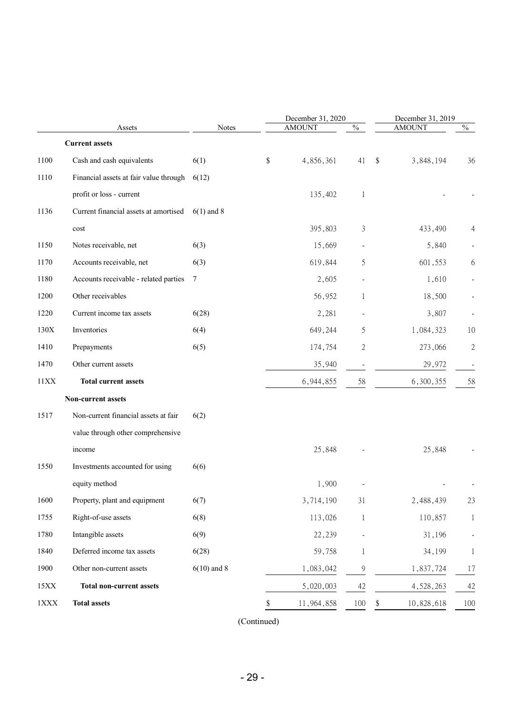|             |                                        |               | December 31, 2020 |               |    | December 31, 2019 |              |
|-------------|----------------------------------------|---------------|-------------------|---------------|----|-------------------|--------------|
|             | Assets                                 | <b>Notes</b>  | <b>AMOUNT</b>     | $\frac{0}{0}$ |    | <b>AMOUNT</b>     | $\%$         |
|             | <b>Current assets</b>                  |               |                   |               |    |                   |              |
| 1100        | Cash and cash equivalents              | 6(1)          | \$<br>4,856,361   | 41            | \$ | 3,848,194         | 36           |
| 1110        | Financial assets at fair value through | 6(12)         |                   |               |    |                   |              |
|             | profit or loss - current               |               | 135,402           | 1             |    |                   |              |
| 1136        | Current financial assets at amortised  | $6(1)$ and 8  |                   |               |    |                   |              |
|             | $\mathop{\text{cost}}$                 |               | 395,803           | 3             |    | 433,490           |              |
| 1150        | Notes receivable, net                  | 6(3)          | 15,669            |               |    | 5,840             |              |
| 1170        | Accounts receivable, net               | 6(3)          | 619,844           | 5             |    | 601,553           | 6            |
| 1180        | Accounts receivable - related parties  | $\tau$        | 2,605             |               |    | 1,610             |              |
| 1200        | Other receivables                      |               | 56,952            | 1             |    | 18,500            |              |
| 1220        | Current income tax assets              | 6(28)         | 2,281             |               |    | 3,807             |              |
| 130X        | Inventories                            | 6(4)          | 649,244           | 5             |    | 1,084,323         | 10           |
| 1410        | Prepayments                            | 6(5)          | 174,754           | 2             |    | 273,066           | $\sqrt{2}$   |
| 1470        | Other current assets                   |               | 35,940            |               |    | 29,972            |              |
| 11XX        | <b>Total current assets</b>            |               | 6,944,855         | 58            |    | 6,300,355         | 58           |
|             | Non-current assets                     |               |                   |               |    |                   |              |
| 1517        | Non-current financial assets at fair   | 6(2)          |                   |               |    |                   |              |
|             | value through other comprehensive      |               |                   |               |    |                   |              |
|             | income                                 |               | 25,848            |               |    | 25,848            |              |
| 1550        | Investments accounted for using        | 6(6)          |                   |               |    |                   |              |
|             | equity method                          |               | 1,900             |               |    |                   |              |
| 1600        | Property, plant and equipment          | 6(7)          | 3,714,190         | 31            |    | 2,488,439         | 23           |
| 1755        | Right-of-use assets                    | 6(8)          | 113,026           | $\mathbf{1}$  |    | 110,857           | $\mathbf{1}$ |
| 1780        | Intangible assets                      | 6(9)          | 22,239            |               |    | 31,196            |              |
| 1840        | Deferred income tax assets             | 6(28)         | 59,758            | 1             |    | 34,199            | 1            |
| 1900        | Other non-current assets               | $6(10)$ and 8 | 1,083,042         | 9             |    | 1,837,724         | 17           |
| 15XX        | <b>Total non-current assets</b>        |               | 5,020,003         | 42            |    | 4,528,263         | 42           |
| $1\rm{XXX}$ | <b>Total assets</b>                    |               | 11,964,858        | 100           | \$ | 10,828,618        | 100          |
|             |                                        |               |                   |               |    |                   |              |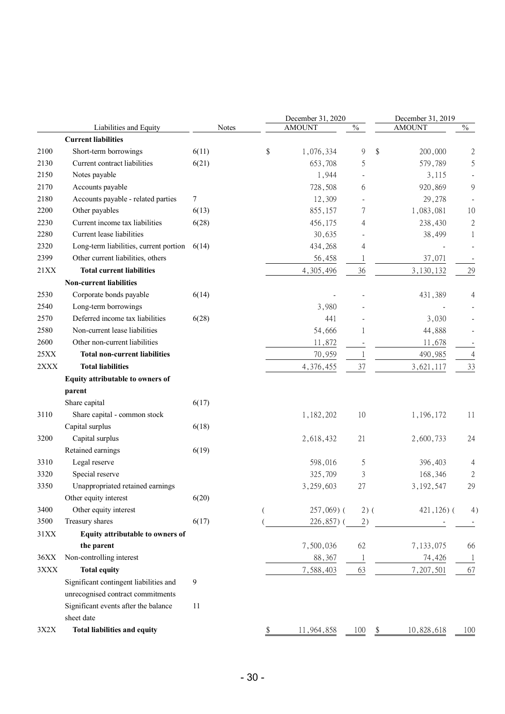| $\%$<br><b>AMOUNT</b><br><b>AMOUNT</b><br>$\%$<br>Liabilities and Equity<br>Notes<br><b>Current liabilities</b><br>\$<br>Short-term borrowings<br>\$<br>6(11)<br>1,076,334<br>9<br>200,000<br>$\mathfrak{2}$<br>5<br>Current contract liabilities<br>6(21)<br>653,708<br>5<br>579,789<br>Notes payable<br>1,944<br>3,115<br>9<br>Accounts payable<br>728,508<br>6<br>920,869<br>Accounts payable - related parties<br>7<br>12,309<br>29,278<br>Other payables<br>855,157<br>1,083,081<br>6(13)<br>7<br>10<br>Current income tax liabilities<br>6(28)<br>456,175<br>238,430<br>$\sqrt{2}$<br>4<br>Current lease liabilities<br>30,635<br>38,499<br>1<br>Long-term liabilities, current portion<br>434,268<br>4<br>6(14)<br>Other current liabilities, others<br>56,458<br>37,071<br>1<br><b>Total current liabilities</b><br>4,305,496<br>36<br>3,130,132<br>29<br><b>Non-current liabilities</b><br>Corporate bonds payable<br>6(14)<br>431,389<br>4<br>Long-term borrowings<br>3,980<br>Deferred income tax liabilities<br>6(28)<br>441<br>3,030<br>Non-current lease liabilities<br>54,666<br>44,888<br>1<br>Other non-current liabilities<br>11,872<br>11,678<br><b>Total non-current liabilities</b><br>70,959<br>490,985<br>$\overline{4}$<br>1<br><b>Total liabilities</b><br>37<br>33<br>4,376,455<br>3,621,117<br>Equity attributable to owners of<br>parent<br>Share capital<br>6(17)<br>Share capital - common stock<br>10<br>11<br>1,182,202<br>1,196,172<br>Capital surplus<br>6(18)<br>Capital surplus<br>2,618,432<br>21<br>2,600,733<br>24<br>Retained earnings<br>6(19)<br>Legal reserve<br>598,016<br>5<br>396,403<br>4<br>Special reserve<br>325,709<br>3<br>168,346<br>2<br>Unappropriated retained earnings<br>3,259,603<br>29<br>27<br>3, 192, 547<br>Other equity interest<br>6(20)<br>Other equity interest<br>$257,069$ (<br>$2)$ (<br>$421,126$ ) (<br>4)<br>Treasury shares<br>6(17)<br>226,857) (<br>2)<br>Equity attributable to owners of<br>7,500,036<br>62<br>7,133,075<br>the parent<br>66<br>Non-controlling interest<br>88,367<br>74,426<br>1<br>$\mathbf{1}$<br><b>Total equity</b><br>63<br>7,588,403<br>7,207,501<br>67<br>Significant contingent liabilities and<br>9<br>unrecognised contract commitments<br>Significant events after the balance<br>11 |      |  | December 31, 2020 | December 31, 2019 |  |  |  |
|------------------------------------------------------------------------------------------------------------------------------------------------------------------------------------------------------------------------------------------------------------------------------------------------------------------------------------------------------------------------------------------------------------------------------------------------------------------------------------------------------------------------------------------------------------------------------------------------------------------------------------------------------------------------------------------------------------------------------------------------------------------------------------------------------------------------------------------------------------------------------------------------------------------------------------------------------------------------------------------------------------------------------------------------------------------------------------------------------------------------------------------------------------------------------------------------------------------------------------------------------------------------------------------------------------------------------------------------------------------------------------------------------------------------------------------------------------------------------------------------------------------------------------------------------------------------------------------------------------------------------------------------------------------------------------------------------------------------------------------------------------------------------------------------------------------------------------------------------------------------------------------------------------------------------------------------------------------------------------------------------------------------------------------------------------------------------------------------------------------------------------------------------------------------------------------------------------------------------------------------------------------------------------------------|------|--|-------------------|-------------------|--|--|--|
|                                                                                                                                                                                                                                                                                                                                                                                                                                                                                                                                                                                                                                                                                                                                                                                                                                                                                                                                                                                                                                                                                                                                                                                                                                                                                                                                                                                                                                                                                                                                                                                                                                                                                                                                                                                                                                                                                                                                                                                                                                                                                                                                                                                                                                                                                                |      |  |                   |                   |  |  |  |
|                                                                                                                                                                                                                                                                                                                                                                                                                                                                                                                                                                                                                                                                                                                                                                                                                                                                                                                                                                                                                                                                                                                                                                                                                                                                                                                                                                                                                                                                                                                                                                                                                                                                                                                                                                                                                                                                                                                                                                                                                                                                                                                                                                                                                                                                                                |      |  |                   |                   |  |  |  |
|                                                                                                                                                                                                                                                                                                                                                                                                                                                                                                                                                                                                                                                                                                                                                                                                                                                                                                                                                                                                                                                                                                                                                                                                                                                                                                                                                                                                                                                                                                                                                                                                                                                                                                                                                                                                                                                                                                                                                                                                                                                                                                                                                                                                                                                                                                | 2100 |  |                   |                   |  |  |  |
|                                                                                                                                                                                                                                                                                                                                                                                                                                                                                                                                                                                                                                                                                                                                                                                                                                                                                                                                                                                                                                                                                                                                                                                                                                                                                                                                                                                                                                                                                                                                                                                                                                                                                                                                                                                                                                                                                                                                                                                                                                                                                                                                                                                                                                                                                                | 2130 |  |                   |                   |  |  |  |
|                                                                                                                                                                                                                                                                                                                                                                                                                                                                                                                                                                                                                                                                                                                                                                                                                                                                                                                                                                                                                                                                                                                                                                                                                                                                                                                                                                                                                                                                                                                                                                                                                                                                                                                                                                                                                                                                                                                                                                                                                                                                                                                                                                                                                                                                                                | 2150 |  |                   |                   |  |  |  |
|                                                                                                                                                                                                                                                                                                                                                                                                                                                                                                                                                                                                                                                                                                                                                                                                                                                                                                                                                                                                                                                                                                                                                                                                                                                                                                                                                                                                                                                                                                                                                                                                                                                                                                                                                                                                                                                                                                                                                                                                                                                                                                                                                                                                                                                                                                | 2170 |  |                   |                   |  |  |  |
|                                                                                                                                                                                                                                                                                                                                                                                                                                                                                                                                                                                                                                                                                                                                                                                                                                                                                                                                                                                                                                                                                                                                                                                                                                                                                                                                                                                                                                                                                                                                                                                                                                                                                                                                                                                                                                                                                                                                                                                                                                                                                                                                                                                                                                                                                                | 2180 |  |                   |                   |  |  |  |
|                                                                                                                                                                                                                                                                                                                                                                                                                                                                                                                                                                                                                                                                                                                                                                                                                                                                                                                                                                                                                                                                                                                                                                                                                                                                                                                                                                                                                                                                                                                                                                                                                                                                                                                                                                                                                                                                                                                                                                                                                                                                                                                                                                                                                                                                                                | 2200 |  |                   |                   |  |  |  |
|                                                                                                                                                                                                                                                                                                                                                                                                                                                                                                                                                                                                                                                                                                                                                                                                                                                                                                                                                                                                                                                                                                                                                                                                                                                                                                                                                                                                                                                                                                                                                                                                                                                                                                                                                                                                                                                                                                                                                                                                                                                                                                                                                                                                                                                                                                | 2230 |  |                   |                   |  |  |  |
|                                                                                                                                                                                                                                                                                                                                                                                                                                                                                                                                                                                                                                                                                                                                                                                                                                                                                                                                                                                                                                                                                                                                                                                                                                                                                                                                                                                                                                                                                                                                                                                                                                                                                                                                                                                                                                                                                                                                                                                                                                                                                                                                                                                                                                                                                                | 2280 |  |                   |                   |  |  |  |
|                                                                                                                                                                                                                                                                                                                                                                                                                                                                                                                                                                                                                                                                                                                                                                                                                                                                                                                                                                                                                                                                                                                                                                                                                                                                                                                                                                                                                                                                                                                                                                                                                                                                                                                                                                                                                                                                                                                                                                                                                                                                                                                                                                                                                                                                                                | 2320 |  |                   |                   |  |  |  |
|                                                                                                                                                                                                                                                                                                                                                                                                                                                                                                                                                                                                                                                                                                                                                                                                                                                                                                                                                                                                                                                                                                                                                                                                                                                                                                                                                                                                                                                                                                                                                                                                                                                                                                                                                                                                                                                                                                                                                                                                                                                                                                                                                                                                                                                                                                | 2399 |  |                   |                   |  |  |  |
|                                                                                                                                                                                                                                                                                                                                                                                                                                                                                                                                                                                                                                                                                                                                                                                                                                                                                                                                                                                                                                                                                                                                                                                                                                                                                                                                                                                                                                                                                                                                                                                                                                                                                                                                                                                                                                                                                                                                                                                                                                                                                                                                                                                                                                                                                                | 21XX |  |                   |                   |  |  |  |
|                                                                                                                                                                                                                                                                                                                                                                                                                                                                                                                                                                                                                                                                                                                                                                                                                                                                                                                                                                                                                                                                                                                                                                                                                                                                                                                                                                                                                                                                                                                                                                                                                                                                                                                                                                                                                                                                                                                                                                                                                                                                                                                                                                                                                                                                                                |      |  |                   |                   |  |  |  |
|                                                                                                                                                                                                                                                                                                                                                                                                                                                                                                                                                                                                                                                                                                                                                                                                                                                                                                                                                                                                                                                                                                                                                                                                                                                                                                                                                                                                                                                                                                                                                                                                                                                                                                                                                                                                                                                                                                                                                                                                                                                                                                                                                                                                                                                                                                | 2530 |  |                   |                   |  |  |  |
|                                                                                                                                                                                                                                                                                                                                                                                                                                                                                                                                                                                                                                                                                                                                                                                                                                                                                                                                                                                                                                                                                                                                                                                                                                                                                                                                                                                                                                                                                                                                                                                                                                                                                                                                                                                                                                                                                                                                                                                                                                                                                                                                                                                                                                                                                                | 2540 |  |                   |                   |  |  |  |
|                                                                                                                                                                                                                                                                                                                                                                                                                                                                                                                                                                                                                                                                                                                                                                                                                                                                                                                                                                                                                                                                                                                                                                                                                                                                                                                                                                                                                                                                                                                                                                                                                                                                                                                                                                                                                                                                                                                                                                                                                                                                                                                                                                                                                                                                                                | 2570 |  |                   |                   |  |  |  |
|                                                                                                                                                                                                                                                                                                                                                                                                                                                                                                                                                                                                                                                                                                                                                                                                                                                                                                                                                                                                                                                                                                                                                                                                                                                                                                                                                                                                                                                                                                                                                                                                                                                                                                                                                                                                                                                                                                                                                                                                                                                                                                                                                                                                                                                                                                | 2580 |  |                   |                   |  |  |  |
|                                                                                                                                                                                                                                                                                                                                                                                                                                                                                                                                                                                                                                                                                                                                                                                                                                                                                                                                                                                                                                                                                                                                                                                                                                                                                                                                                                                                                                                                                                                                                                                                                                                                                                                                                                                                                                                                                                                                                                                                                                                                                                                                                                                                                                                                                                | 2600 |  |                   |                   |  |  |  |
|                                                                                                                                                                                                                                                                                                                                                                                                                                                                                                                                                                                                                                                                                                                                                                                                                                                                                                                                                                                                                                                                                                                                                                                                                                                                                                                                                                                                                                                                                                                                                                                                                                                                                                                                                                                                                                                                                                                                                                                                                                                                                                                                                                                                                                                                                                | 25XX |  |                   |                   |  |  |  |
|                                                                                                                                                                                                                                                                                                                                                                                                                                                                                                                                                                                                                                                                                                                                                                                                                                                                                                                                                                                                                                                                                                                                                                                                                                                                                                                                                                                                                                                                                                                                                                                                                                                                                                                                                                                                                                                                                                                                                                                                                                                                                                                                                                                                                                                                                                | 2XXX |  |                   |                   |  |  |  |
|                                                                                                                                                                                                                                                                                                                                                                                                                                                                                                                                                                                                                                                                                                                                                                                                                                                                                                                                                                                                                                                                                                                                                                                                                                                                                                                                                                                                                                                                                                                                                                                                                                                                                                                                                                                                                                                                                                                                                                                                                                                                                                                                                                                                                                                                                                |      |  |                   |                   |  |  |  |
|                                                                                                                                                                                                                                                                                                                                                                                                                                                                                                                                                                                                                                                                                                                                                                                                                                                                                                                                                                                                                                                                                                                                                                                                                                                                                                                                                                                                                                                                                                                                                                                                                                                                                                                                                                                                                                                                                                                                                                                                                                                                                                                                                                                                                                                                                                |      |  |                   |                   |  |  |  |
|                                                                                                                                                                                                                                                                                                                                                                                                                                                                                                                                                                                                                                                                                                                                                                                                                                                                                                                                                                                                                                                                                                                                                                                                                                                                                                                                                                                                                                                                                                                                                                                                                                                                                                                                                                                                                                                                                                                                                                                                                                                                                                                                                                                                                                                                                                |      |  |                   |                   |  |  |  |
|                                                                                                                                                                                                                                                                                                                                                                                                                                                                                                                                                                                                                                                                                                                                                                                                                                                                                                                                                                                                                                                                                                                                                                                                                                                                                                                                                                                                                                                                                                                                                                                                                                                                                                                                                                                                                                                                                                                                                                                                                                                                                                                                                                                                                                                                                                | 3110 |  |                   |                   |  |  |  |
|                                                                                                                                                                                                                                                                                                                                                                                                                                                                                                                                                                                                                                                                                                                                                                                                                                                                                                                                                                                                                                                                                                                                                                                                                                                                                                                                                                                                                                                                                                                                                                                                                                                                                                                                                                                                                                                                                                                                                                                                                                                                                                                                                                                                                                                                                                |      |  |                   |                   |  |  |  |
|                                                                                                                                                                                                                                                                                                                                                                                                                                                                                                                                                                                                                                                                                                                                                                                                                                                                                                                                                                                                                                                                                                                                                                                                                                                                                                                                                                                                                                                                                                                                                                                                                                                                                                                                                                                                                                                                                                                                                                                                                                                                                                                                                                                                                                                                                                | 3200 |  |                   |                   |  |  |  |
|                                                                                                                                                                                                                                                                                                                                                                                                                                                                                                                                                                                                                                                                                                                                                                                                                                                                                                                                                                                                                                                                                                                                                                                                                                                                                                                                                                                                                                                                                                                                                                                                                                                                                                                                                                                                                                                                                                                                                                                                                                                                                                                                                                                                                                                                                                |      |  |                   |                   |  |  |  |
|                                                                                                                                                                                                                                                                                                                                                                                                                                                                                                                                                                                                                                                                                                                                                                                                                                                                                                                                                                                                                                                                                                                                                                                                                                                                                                                                                                                                                                                                                                                                                                                                                                                                                                                                                                                                                                                                                                                                                                                                                                                                                                                                                                                                                                                                                                | 3310 |  |                   |                   |  |  |  |
|                                                                                                                                                                                                                                                                                                                                                                                                                                                                                                                                                                                                                                                                                                                                                                                                                                                                                                                                                                                                                                                                                                                                                                                                                                                                                                                                                                                                                                                                                                                                                                                                                                                                                                                                                                                                                                                                                                                                                                                                                                                                                                                                                                                                                                                                                                | 3320 |  |                   |                   |  |  |  |
|                                                                                                                                                                                                                                                                                                                                                                                                                                                                                                                                                                                                                                                                                                                                                                                                                                                                                                                                                                                                                                                                                                                                                                                                                                                                                                                                                                                                                                                                                                                                                                                                                                                                                                                                                                                                                                                                                                                                                                                                                                                                                                                                                                                                                                                                                                | 3350 |  |                   |                   |  |  |  |
|                                                                                                                                                                                                                                                                                                                                                                                                                                                                                                                                                                                                                                                                                                                                                                                                                                                                                                                                                                                                                                                                                                                                                                                                                                                                                                                                                                                                                                                                                                                                                                                                                                                                                                                                                                                                                                                                                                                                                                                                                                                                                                                                                                                                                                                                                                |      |  |                   |                   |  |  |  |
|                                                                                                                                                                                                                                                                                                                                                                                                                                                                                                                                                                                                                                                                                                                                                                                                                                                                                                                                                                                                                                                                                                                                                                                                                                                                                                                                                                                                                                                                                                                                                                                                                                                                                                                                                                                                                                                                                                                                                                                                                                                                                                                                                                                                                                                                                                | 3400 |  |                   |                   |  |  |  |
|                                                                                                                                                                                                                                                                                                                                                                                                                                                                                                                                                                                                                                                                                                                                                                                                                                                                                                                                                                                                                                                                                                                                                                                                                                                                                                                                                                                                                                                                                                                                                                                                                                                                                                                                                                                                                                                                                                                                                                                                                                                                                                                                                                                                                                                                                                | 3500 |  |                   |                   |  |  |  |
|                                                                                                                                                                                                                                                                                                                                                                                                                                                                                                                                                                                                                                                                                                                                                                                                                                                                                                                                                                                                                                                                                                                                                                                                                                                                                                                                                                                                                                                                                                                                                                                                                                                                                                                                                                                                                                                                                                                                                                                                                                                                                                                                                                                                                                                                                                | 31XX |  |                   |                   |  |  |  |
|                                                                                                                                                                                                                                                                                                                                                                                                                                                                                                                                                                                                                                                                                                                                                                                                                                                                                                                                                                                                                                                                                                                                                                                                                                                                                                                                                                                                                                                                                                                                                                                                                                                                                                                                                                                                                                                                                                                                                                                                                                                                                                                                                                                                                                                                                                |      |  |                   |                   |  |  |  |
|                                                                                                                                                                                                                                                                                                                                                                                                                                                                                                                                                                                                                                                                                                                                                                                                                                                                                                                                                                                                                                                                                                                                                                                                                                                                                                                                                                                                                                                                                                                                                                                                                                                                                                                                                                                                                                                                                                                                                                                                                                                                                                                                                                                                                                                                                                | 36XX |  |                   |                   |  |  |  |
|                                                                                                                                                                                                                                                                                                                                                                                                                                                                                                                                                                                                                                                                                                                                                                                                                                                                                                                                                                                                                                                                                                                                                                                                                                                                                                                                                                                                                                                                                                                                                                                                                                                                                                                                                                                                                                                                                                                                                                                                                                                                                                                                                                                                                                                                                                | 3XXX |  |                   |                   |  |  |  |
|                                                                                                                                                                                                                                                                                                                                                                                                                                                                                                                                                                                                                                                                                                                                                                                                                                                                                                                                                                                                                                                                                                                                                                                                                                                                                                                                                                                                                                                                                                                                                                                                                                                                                                                                                                                                                                                                                                                                                                                                                                                                                                                                                                                                                                                                                                |      |  |                   |                   |  |  |  |
|                                                                                                                                                                                                                                                                                                                                                                                                                                                                                                                                                                                                                                                                                                                                                                                                                                                                                                                                                                                                                                                                                                                                                                                                                                                                                                                                                                                                                                                                                                                                                                                                                                                                                                                                                                                                                                                                                                                                                                                                                                                                                                                                                                                                                                                                                                |      |  |                   |                   |  |  |  |
|                                                                                                                                                                                                                                                                                                                                                                                                                                                                                                                                                                                                                                                                                                                                                                                                                                                                                                                                                                                                                                                                                                                                                                                                                                                                                                                                                                                                                                                                                                                                                                                                                                                                                                                                                                                                                                                                                                                                                                                                                                                                                                                                                                                                                                                                                                |      |  |                   |                   |  |  |  |
| sheet date                                                                                                                                                                                                                                                                                                                                                                                                                                                                                                                                                                                                                                                                                                                                                                                                                                                                                                                                                                                                                                                                                                                                                                                                                                                                                                                                                                                                                                                                                                                                                                                                                                                                                                                                                                                                                                                                                                                                                                                                                                                                                                                                                                                                                                                                                     |      |  |                   |                   |  |  |  |
| <b>Total liabilities and equity</b><br>11,964,858<br>100<br>10,828,618<br>$\frac{1}{2}$<br>\$<br>100                                                                                                                                                                                                                                                                                                                                                                                                                                                                                                                                                                                                                                                                                                                                                                                                                                                                                                                                                                                                                                                                                                                                                                                                                                                                                                                                                                                                                                                                                                                                                                                                                                                                                                                                                                                                                                                                                                                                                                                                                                                                                                                                                                                           | 3X2X |  |                   |                   |  |  |  |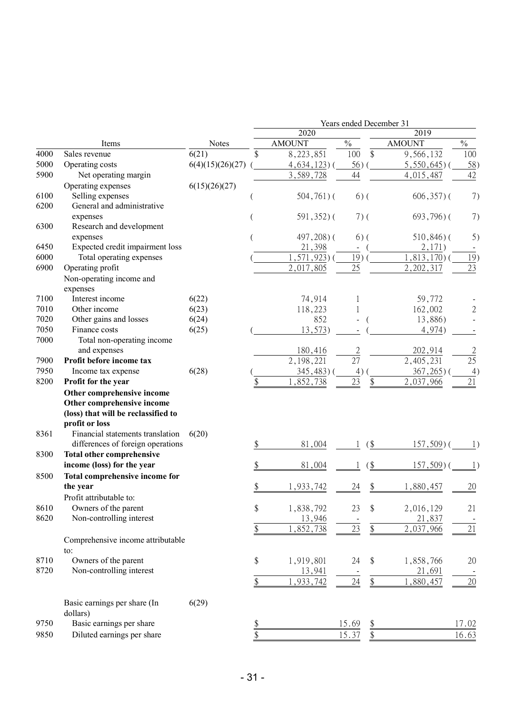|      |                                     |                  |               |                 |                |                   | Years ended December 31 |                  |
|------|-------------------------------------|------------------|---------------|-----------------|----------------|-------------------|-------------------------|------------------|
|      |                                     |                  |               | 2020            |                |                   | 2019                    |                  |
|      | Items                               | <b>Notes</b>     |               | <b>AMOUNT</b>   | $\frac{0}{0}$  |                   | <b>AMOUNT</b>           | $\frac{0}{0}$    |
| 4000 | Sales revenue                       | 6(21)            | \$            | 8,223,851       | 100            | \$                | 9,566,132               | 100              |
| 5000 | Operating costs                     | 6(4)(15)(26)(27) |               | $4,634,123$ ) ( | 56)            |                   | $5,550,645$ )           | 58)              |
| 5900 | Net operating margin                |                  |               | 3,589,728       | 44             |                   | 4,015,487               | 42               |
|      | Operating expenses                  | 6(15)(26)(27)    |               |                 |                |                   |                         |                  |
| 6100 | Selling expenses                    |                  |               | $504,761$ ) (   |                | $6)$ (            | $606, 357$ ) (          | 7)               |
| 6200 | General and administrative          |                  |               |                 |                |                   |                         |                  |
|      | expenses                            |                  |               | $591,352$ )(    |                | $7)$ (            | $693,796$ ) (           | 7)               |
| 6300 | Research and development            |                  |               |                 |                |                   |                         |                  |
|      | expenses                            |                  |               | $497,208$ ) (   |                | $6)$ (            | $510,846$ ) (           | 5)               |
| 6450 | Expected credit impairment loss     |                  |               | 21,398          | $\blacksquare$ |                   | 2,171)                  |                  |
| 6000 | Total operating expenses            |                  |               | $1, 571, 923$ ) | 19)            |                   | $1,813,170$ )           | 19)              |
| 6900 | Operating profit                    |                  |               | 2,017,805       | 25             |                   | 2, 202, 317             | 23               |
|      | Non-operating income and            |                  |               |                 |                |                   |                         |                  |
|      | expenses                            |                  |               |                 |                |                   |                         |                  |
| 7100 | Interest income                     | 6(22)            |               | 74,914          |                |                   | 59,772                  |                  |
| 7010 | Other income                        | 6(23)            |               | 118,223         |                |                   | 162,002                 | $\overline{2}$   |
| 7020 | Other gains and losses              | 6(24)            |               | 852             |                |                   | 13,886)                 |                  |
| 7050 | Finance costs                       | 6(25)            |               | 13,573)         |                |                   | 4,974)                  |                  |
| 7000 | Total non-operating income          |                  |               |                 |                |                   |                         |                  |
|      | and expenses                        |                  |               | 180,416         | $\overline{2}$ |                   | 202,914                 | $\overline{2}$   |
| 7900 | Profit before income tax            |                  |               | 2,198,221       | 27             |                   | 2,405,231               | 25               |
| 7950 | Income tax expense                  | 6(28)            |               | 345,483)        | 4)             |                   | 367,265                 | 4)               |
| 8200 | Profit for the year                 |                  | \$            | ,852,738        | 23             | $\frac{1}{2}$     | 2,037,966               | 21               |
|      | Other comprehensive income          |                  |               |                 |                |                   |                         |                  |
|      | Other comprehensive income          |                  |               |                 |                |                   |                         |                  |
|      | (loss) that will be reclassified to |                  |               |                 |                |                   |                         |                  |
|      | profit or loss                      |                  |               |                 |                |                   |                         |                  |
| 8361 | Financial statements translation    | 6(20)            |               |                 |                |                   |                         |                  |
|      | differences of foreign operations   |                  | \$            | 81,004          |                | $($ \$            | $157,509$ ) (           | 1)               |
| 8300 | <b>Total other comprehensive</b>    |                  |               |                 |                |                   |                         |                  |
|      | income (loss) for the year          |                  |               | 81,004          |                | $($ \$            | $157,509$ )             | $\left  \right $ |
| 8500 | Total comprehensive income for      |                  |               |                 |                |                   |                         |                  |
|      | the year                            |                  |               | 1,933,742       | 24             | \$                | 1,880,457               | 20               |
|      | Profit attributable to:             |                  |               |                 |                |                   |                         |                  |
| 8610 | Owners of the parent                |                  | \$            | 1,838,792       | 23             | \$                | 2,016,129               | 21               |
| 8620 | Non-controlling interest            |                  |               | 13,946          |                |                   | 21,837                  |                  |
|      |                                     |                  | \$            | 1,852,738       | $23\,$         | $\frac{1}{2}$     | 2,037,966               | 21               |
|      | Comprehensive income attributable   |                  |               |                 |                |                   |                         |                  |
|      | to:                                 |                  |               |                 |                |                   |                         |                  |
| 8710 | Owners of the parent                |                  | \$            | 1,919,801       | 24             | \$                | 1,858,766               | 20               |
| 8720 | Non-controlling interest            |                  |               | 13,941          |                |                   | 21,691                  |                  |
|      |                                     |                  | \$            | 1,933,742       | 24             | $\boldsymbol{\$}$ | 1,880,457               | 20               |
|      |                                     |                  |               |                 |                |                   |                         |                  |
|      | Basic earnings per share (In        | 6(29)            |               |                 |                |                   |                         |                  |
|      | dollars)                            |                  |               |                 |                |                   |                         |                  |
| 9750 | Basic earnings per share            |                  | $\frac{1}{2}$ |                 | 15.69          | $\frac{1}{2}$     |                         | 17.02            |
| 9850 | Diluted earnings per share          |                  | \$            |                 | 15.37          | $\frac{1}{2}$     |                         | 16.63            |
|      |                                     |                  |               |                 |                |                   |                         |                  |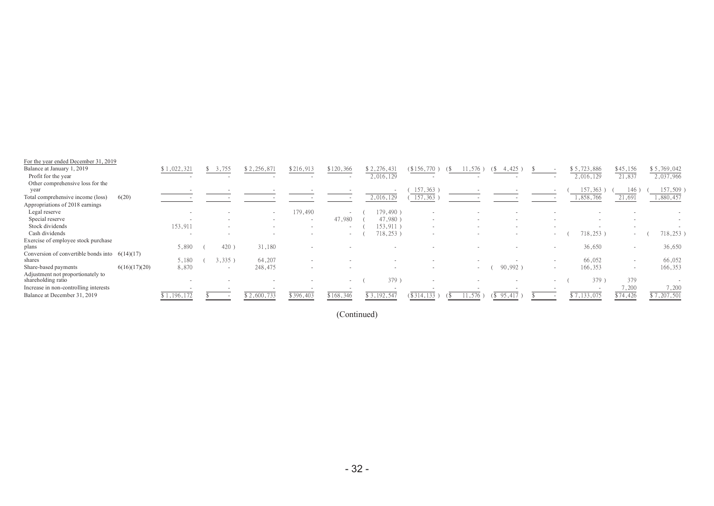| For the year ended December 31, 2019                       |               |             |        |                          |           |           |             |                          |        |                          |        |             |                  |                          |
|------------------------------------------------------------|---------------|-------------|--------|--------------------------|-----------|-----------|-------------|--------------------------|--------|--------------------------|--------|-------------|------------------|--------------------------|
| Balance at January 1, 2019                                 |               | \$1,022,321 | 3,755  | \$2,256,871              | \$216,913 | \$120,366 | \$2,276,431 | (\$156,770)<br>(১)       |        | 4,425<br>(5)             |        | \$5,723,886 | \$45,156         | \$5,769,042              |
| Profit for the year                                        |               |             |        |                          |           |           | 2,016,129   |                          |        |                          |        | 2,016,129   | 21,837           | 2,037,966                |
| Other comprehensive loss for the                           |               |             |        |                          |           |           |             |                          |        |                          |        |             |                  |                          |
| year                                                       |               |             |        |                          |           |           |             | 157,363                  |        |                          |        | 157,363     | 146              | $157,509$ )              |
| Total comprehensive income (loss)                          | 6(20)         |             |        |                          |           |           | 2,016,129   | 157,363                  |        |                          |        | 1,858,766   | 21,691           | 1,880,457                |
| Appropriations of 2018 earnings                            |               |             |        |                          |           |           |             |                          |        |                          |        |             |                  |                          |
| Legal reserve                                              |               |             |        | $\sim$                   | 179,490   |           | 179,490)    | $\sim$                   |        |                          |        |             |                  |                          |
| Special reserve                                            |               |             | $\sim$ | $\overline{\phantom{a}}$ | $\sim$    | 47,980    | 47,980)     | $\sim$                   | $\sim$ |                          |        |             |                  |                          |
| Stock dividends                                            |               | 153,911     | $\sim$ |                          | $\sim$    |           | 153,911)    | $\overline{\phantom{a}}$ |        | $\overline{\phantom{a}}$ |        |             |                  |                          |
| Cash dividends                                             |               |             |        |                          |           | $\sim$    | 718,253)    | $\overline{\phantom{a}}$ |        | $\overline{\phantom{a}}$ | $\sim$ | 718,253     | $\sim$           | 718,253)                 |
| Exercise of employee stock purchase                        |               |             |        |                          |           |           |             |                          |        |                          |        |             |                  |                          |
| plans                                                      |               | 5,890       | 420    | 31,180                   |           |           |             |                          |        |                          |        | 36,650      |                  | 36,650                   |
| Conversion of convertible bonds into $6(14)(17)$<br>shares |               | 5,180       | 3,335  | 64,207                   |           |           |             |                          |        |                          |        | 66,052      |                  | 66,052                   |
| Share-based payments                                       | 6(16)(17)(20) | 8,870       | $\sim$ | 248,475                  |           |           |             |                          | $\sim$ | 90,992)                  | $\sim$ | 166,353     | $\sim$           | 166,353                  |
| Adjustment not proportionately to<br>shareholding ratio    |               |             |        |                          |           | $\sim$    | 379)        | . .                      |        |                          | $\sim$ | 379         | 379              |                          |
| Increase in non-controlling interests                      |               |             |        |                          |           |           |             |                          |        |                          |        |             | 7,200            | 7,200                    |
| Balance at December 31, 2019                               |               | \$1,196,172 |        | \$2,600,733              | \$396,403 | \$168,346 | \$3,192,547 | \$314,133                | 11,576 | 95,417<br>(S)            |        | \$7,133,075 | $\sqrt{$74,426}$ | $\overline{\$7,207,501}$ |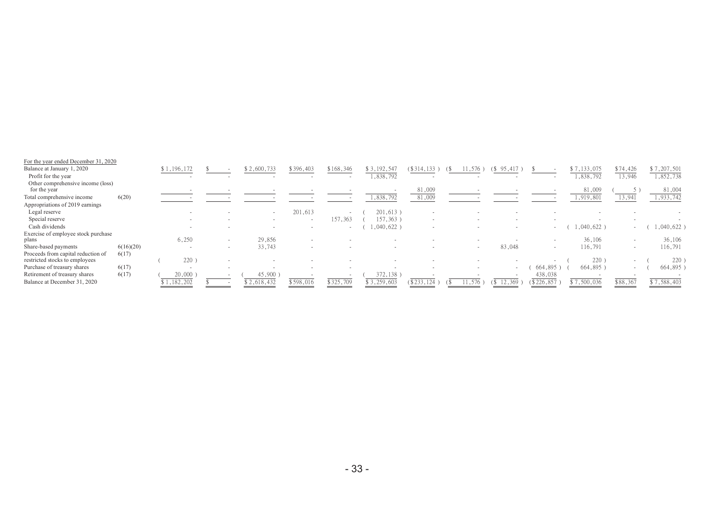| For the year ended December 31, 2020                                 |           |             |                          |             |           |           |             |                          |        |                          |                          |             |          |               |
|----------------------------------------------------------------------|-----------|-------------|--------------------------|-------------|-----------|-----------|-------------|--------------------------|--------|--------------------------|--------------------------|-------------|----------|---------------|
| Balance at January 1, 2020                                           |           | \$1,196,172 |                          | \$2,600,733 | \$396,403 | \$168,346 | \$3,192,54  | (\$314,133)              |        | (\$                      |                          | \$7,133,075 | \$74,426 | \$7,207,501   |
| Profit for the year                                                  |           |             |                          |             |           |           | 1,838,792   | $\overline{\phantom{a}}$ |        | $\sim$                   |                          | ,838,792    | 13,946   | 1,852,738     |
| Other comprehensive income (loss)<br>for the year                    |           |             |                          |             |           |           |             | 81,009                   |        |                          |                          | 81,009      |          | 81,004        |
| Total comprehensive income                                           | 6(20)     |             |                          |             |           |           | 1,838,792   | 81,009                   |        |                          |                          | 1,919,801   | 13,941   | 1,933,742     |
| Appropriations of 2019 earnings                                      |           |             |                          |             |           |           |             |                          |        |                          |                          |             |          |               |
| Legal reserve                                                        |           |             |                          | $\sim$      | 201,613   |           | $201,613$ ) |                          |        |                          |                          |             |          |               |
| Special reserve                                                      |           |             |                          | $\sim$      |           | 157,363   | 157,363)    |                          |        |                          |                          |             |          |               |
| Cash dividends                                                       |           |             |                          |             | $\sim$    |           | 0.040, 622) | $\overline{\phantom{a}}$ |        | $\overline{a}$           | $\sim$                   | 1,040,622   | $\sim$   | $1,040,622$ ) |
| Exercise of employee stock purchase                                  |           |             |                          |             |           |           |             |                          |        |                          |                          |             |          |               |
| plans                                                                |           | 6,250       | $\overline{\phantom{a}}$ | 29,856      |           |           |             |                          |        |                          |                          | 36,106      |          | 36,106        |
| Share-based payments                                                 | 6(16)(20) |             | $\overline{\phantom{a}}$ | 33,743      |           |           |             |                          | $\sim$ | 83,048                   | $\overline{\phantom{0}}$ | 116,791     | $\sim$   | 116,791       |
| Proceeds from capital reduction of<br>restricted stocks to employees | 6(17)     | 220         |                          |             |           |           |             |                          |        |                          |                          | 220         |          | 220           |
| Purchase of treasury shares                                          | 6(17)     |             |                          |             |           |           |             |                          |        | $\overline{\phantom{a}}$ | 664,895                  | 664,895)    | $\sim$   | 664,895)      |
| Retirement of treasury shares                                        | 6(17)     | 20,000      |                          | 45,900      |           |           | 372,138)    |                          |        |                          | 438,038                  |             |          |               |
| Balance at December 31, 2020                                         |           | \$1,182,202 |                          | \$2,618,432 | \$598,016 | \$325,709 | \$3,259,603 | $4$ \$233,.<br>124       |        |                          | $(\$226, 857$            | \$7,500,036 | \$88,367 | \$7,588,403   |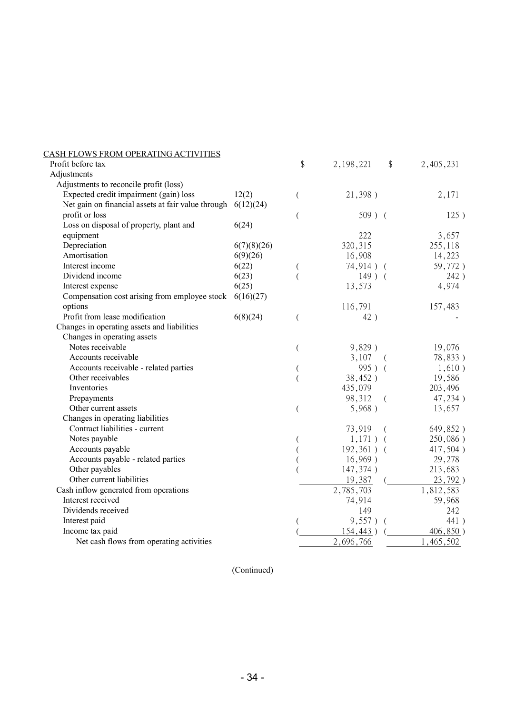| CASH FLOWS FROM OPERATING ACTIVITIES               |             |    |               |            |           |
|----------------------------------------------------|-------------|----|---------------|------------|-----------|
| Profit before tax                                  |             | \$ | 2, 198, 221   | \$         | 2,405,231 |
| Adjustments                                        |             |    |               |            |           |
| Adjustments to reconcile profit (loss)             |             |    |               |            |           |
| Expected credit impairment (gain) loss             | 12(2)       | (  | 21,398)       |            | 2,171     |
| Net gain on financial assets at fair value through | 6(12)(24)   |    |               |            |           |
| profit or loss                                     |             | (  | $509$ ) (     |            | 125)      |
| Loss on disposal of property, plant and            | 6(24)       |    |               |            |           |
| equipment                                          |             |    | 222           |            | 3,657     |
| Depreciation                                       | 6(7)(8)(26) |    | 320, 315      |            | 255,118   |
| Amortisation                                       | 6(9)(26)    |    | 16,908        |            | 14,223    |
| Interest income                                    | 6(22)       |    | $74,914$ ) (  |            | 59,772)   |
| Dividend income                                    | 6(23)       |    | $149$ ) (     |            | 242)      |
| Interest expense                                   | 6(25)       |    | 13,573        |            | 4,974     |
| Compensation cost arising from employee stock      | 6(16)(27)   |    |               |            |           |
| options                                            |             |    | 116,791       |            | 157,483   |
| Profit from lease modification                     | 6(8)(24)    | (  | 42)           |            |           |
| Changes in operating assets and liabilities        |             |    |               |            |           |
| Changes in operating assets                        |             |    |               |            |           |
| Notes receivable                                   |             |    | 9,829)        |            | 19,076    |
| Accounts receivable                                |             |    | 3,107         | $\sqrt{2}$ | 78,833)   |
| Accounts receivable - related parties              |             |    | 995) (        |            | 1,610)    |
| Other receivables                                  |             |    | 38,452)       |            | 19,586    |
| Inventories                                        |             |    | 435,079       |            | 203,496   |
| Prepayments                                        |             |    | 98,312        | $\left($   | 47,234)   |
| Other current assets                               |             |    | 5,968)        |            | 13,657    |
| Changes in operating liabilities                   |             |    |               |            |           |
| Contract liabilities - current                     |             |    | 73,919        | $\left($   | 649,852)  |
| Notes payable                                      |             |    | $1,171)$ (    |            | 250,086)  |
| Accounts payable                                   |             |    | $192,361$ ) ( |            | 417,504)  |
| Accounts payable - related parties                 |             |    | $16,969$ )    |            | 29,278    |
| Other payables                                     |             |    | 147,374)      |            | 213,683   |
| Other current liabilities                          |             |    | 19,387        |            | 23,792)   |
| Cash inflow generated from operations              |             |    | 2,785,703     |            | 1,812,583 |
| Interest received                                  |             |    | 74,914        |            | 59,968    |
| Dividends received                                 |             |    | 149           |            | 242       |
| Interest paid                                      |             |    | 9,557)        |            | 441)      |
| Income tax paid                                    |             |    | 154,443)      |            | 406,850)  |
| Net cash flows from operating activities           |             |    | 2,696,766     |            | 1,465,502 |
|                                                    |             |    |               |            |           |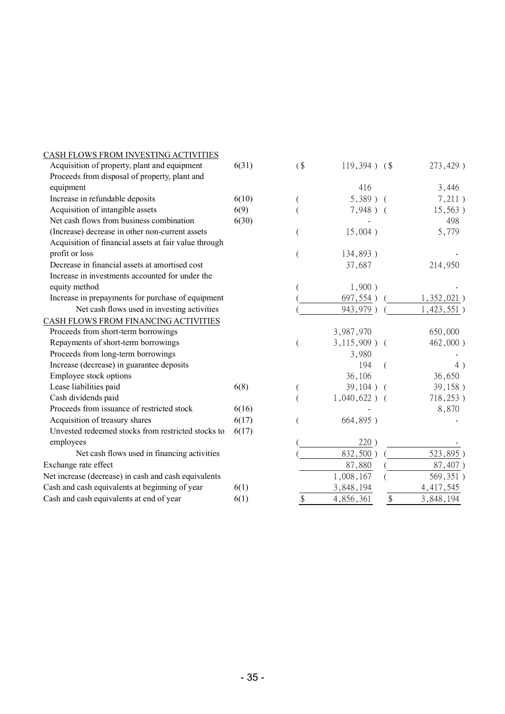| CASH FLOWS FROM INVESTING ACTIVITIES                  |       |        |                 |                |               |
|-------------------------------------------------------|-------|--------|-----------------|----------------|---------------|
| Acquisition of property, plant and equipment          | 6(31) | $($ \$ | $119,394$ ) (\$ |                | 273,429)      |
| Proceeds from disposal of property, plant and         |       |        |                 |                |               |
| equipment                                             |       |        | 416             |                | 3,446         |
| Increase in refundable deposits                       | 6(10) |        | $5,389$ )       | $\overline{ }$ | 7,211)        |
| Acquisition of intangible assets                      | 6(9)  |        | $7,948$ ) (     |                | 15,563)       |
| Net cash flows from business combination              | 6(30) |        |                 |                | 498           |
| (Increase) decrease in other non-current assets       |       |        | 15,004)         |                | 5,779         |
| Acquisition of financial assets at fair value through |       |        |                 |                |               |
| profit or loss                                        |       |        | 134,893)        |                |               |
| Decrease in financial assets at amortised cost        |       |        | 37,687          |                | 214,950       |
| Increase in investments accounted for under the       |       |        |                 |                |               |
| equity method                                         |       |        | 1,900)          |                |               |
| Increase in prepayments for purchase of equipment     |       |        | 697,554)        |                | $1,352,021$ ) |
| Net cash flows used in investing activities           |       |        | 943,979)        |                | 1,423,551)    |
| CASH FLOWS FROM FINANCING ACTIVITIES                  |       |        |                 |                |               |
| Proceeds from short-term borrowings                   |       |        | 3,987,970       |                | 650,000       |
| Repayments of short-term borrowings                   |       |        | $3,115,909$ ) ( |                | 462,000)      |
| Proceeds from long-term borrowings                    |       |        | 3,980           |                |               |
| Increase (decrease) in guarantee deposits             |       |        | 194             |                | 4)            |
| Employee stock options                                |       |        | 36,106          |                | 36,650        |
| Lease liabilities paid                                | 6(8)  |        | 39,104)         |                | 39,158)       |
| Cash dividends paid                                   |       |        | $1,040,622$ ) ( |                | 718,253)      |
| Proceeds from issuance of restricted stock            | 6(16) |        |                 |                | 8,870         |
| Acquisition of treasury shares                        | 6(17) |        | 664,895)        |                |               |
| Unvested redeemed stocks from restricted stocks to    | 6(17) |        |                 |                |               |
| employees                                             |       |        | 220)            |                |               |
| Net cash flows used in financing activities           |       |        | 832,500)        |                | 523,895)      |
| Exchange rate effect                                  |       |        | 87,880          |                | 87,407)       |
| Net increase (decrease) in cash and cash equivalents  |       |        | 1,008,167       |                | 569,351)      |
| Cash and cash equivalents at beginning of year        | 6(1)  |        | 3,848,194       |                | 4, 417, 545   |
| Cash and cash equivalents at end of year              | 6(1)  | \$     | 4,856,361       | \$             | 3,848,194     |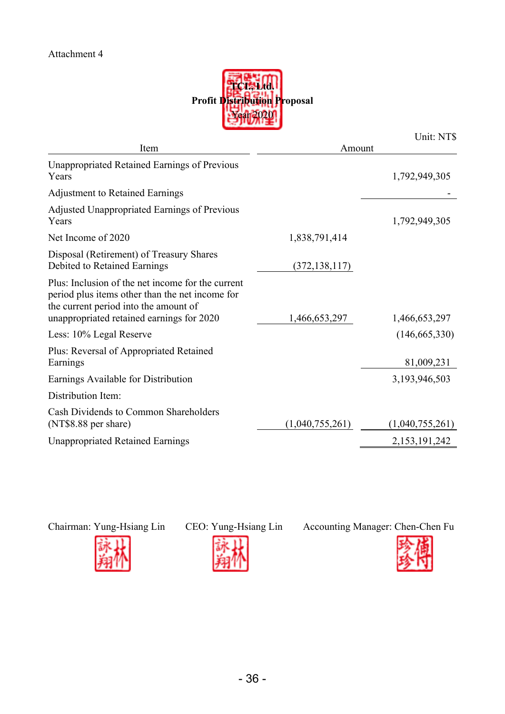

|                                                                                                                                                                                            |                 | Unit: NT\$      |
|--------------------------------------------------------------------------------------------------------------------------------------------------------------------------------------------|-----------------|-----------------|
| Item                                                                                                                                                                                       | Amount          |                 |
| <b>Unappropriated Retained Earnings of Previous</b><br>Years                                                                                                                               |                 | 1,792,949,305   |
| <b>Adjustment to Retained Earnings</b>                                                                                                                                                     |                 |                 |
| Adjusted Unappropriated Earnings of Previous<br>Years                                                                                                                                      |                 | 1,792,949,305   |
| Net Income of 2020                                                                                                                                                                         | 1,838,791,414   |                 |
| Disposal (Retirement) of Treasury Shares<br>Debited to Retained Earnings                                                                                                                   | (372, 138, 117) |                 |
| Plus: Inclusion of the net income for the current<br>period plus items other than the net income for<br>the current period into the amount of<br>unappropriated retained earnings for 2020 | 1,466,653,297   | 1,466,653,297   |
| Less: 10% Legal Reserve                                                                                                                                                                    |                 | (146, 665, 330) |
| Plus: Reversal of Appropriated Retained<br>Earnings                                                                                                                                        |                 | 81,009,231      |
| Earnings Available for Distribution                                                                                                                                                        |                 | 3,193,946,503   |
| Distribution Item:                                                                                                                                                                         |                 |                 |
| Cash Dividends to Common Shareholders<br>(NT\$8.88 per share)                                                                                                                              | (1,040,755,261) | (1,040,755,261) |
| <b>Unappropriated Retained Earnings</b>                                                                                                                                                    |                 | 2,153,191,242   |





Chairman: Yung-Hsiang Lin CEO: Yung-Hsiang Lin Accounting Manager: Chen-Chen Fu

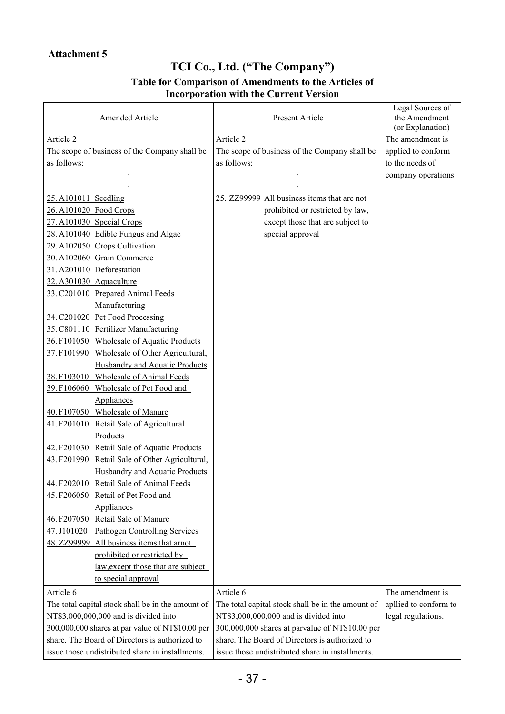## **TCI Co., Ltd. ("The Company") Table for Comparison of Amendments to the Articles of**

## **Incorporation with the Current Version**

| Amended Article                                   | Present Article                                   | Legal Sources of<br>the Amendment<br>(or Explanation) |
|---------------------------------------------------|---------------------------------------------------|-------------------------------------------------------|
| Article 2                                         | Article 2                                         | The amendment is                                      |
| The scope of business of the Company shall be     | The scope of business of the Company shall be     | applied to conform                                    |
| as follows:                                       | as follows:                                       | to the needs of                                       |
|                                                   |                                                   | company operations.                                   |
|                                                   |                                                   |                                                       |
| 25. A101011 Seedling                              | 25. ZZ99999 All business items that are not       |                                                       |
| 26. A101020 Food Crops                            | prohibited or restricted by law,                  |                                                       |
| 27. A101030 Special Crops                         | except those that are subject to                  |                                                       |
| 28. A101040 Edible Fungus and Algae               | special approval                                  |                                                       |
| 29. A102050 Crops Cultivation                     |                                                   |                                                       |
| 30. A102060 Grain Commerce                        |                                                   |                                                       |
| 31.A201010 Deforestation                          |                                                   |                                                       |
| 32. A301030 Aquaculture                           |                                                   |                                                       |
| 33. C201010 Prepared Animal Feeds                 |                                                   |                                                       |
| Manufacturing                                     |                                                   |                                                       |
| 34. C201020 Pet Food Processing                   |                                                   |                                                       |
| 35. C801110 Fertilizer Manufacturing              |                                                   |                                                       |
| 36. F101050 Wholesale of Aquatic Products         |                                                   |                                                       |
| 37. F101990 Wholesale of Other Agricultural,      |                                                   |                                                       |
| Husbandry and Aquatic Products                    |                                                   |                                                       |
| 38. F103010 Wholesale of Animal Feeds             |                                                   |                                                       |
| 39. F106060 Wholesale of Pet Food and             |                                                   |                                                       |
| <b>Appliances</b>                                 |                                                   |                                                       |
| 40. F107050 Wholesale of Manure                   |                                                   |                                                       |
| 41. F201010 Retail Sale of Agricultural           |                                                   |                                                       |
| Products                                          |                                                   |                                                       |
| 42. F201030 Retail Sale of Aquatic Products       |                                                   |                                                       |
| 43. F201990 Retail Sale of Other Agricultural,    |                                                   |                                                       |
| Husbandry and Aquatic Products                    |                                                   |                                                       |
| 44. F202010 Retail Sale of Animal Feeds           |                                                   |                                                       |
| 45. F206050 Retail of Pet Food and                |                                                   |                                                       |
| Appliances                                        |                                                   |                                                       |
| 46. F207050 Retail Sale of Manure                 |                                                   |                                                       |
| 47. J101020 Pathogen Controlling Services         |                                                   |                                                       |
| 48. ZZ99999 All business items that arnot         |                                                   |                                                       |
| prohibited or restricted by                       |                                                   |                                                       |
| law, except those that are subject                |                                                   |                                                       |
| to special approval                               |                                                   |                                                       |
| Article 6                                         | Article 6                                         | The amendment is                                      |
| The total capital stock shall be in the amount of | The total capital stock shall be in the amount of | apllied to conform to                                 |
| NT\$3,000,000,000 and is divided into             | NT\$3,000,000,000 and is divided into             | legal regulations.                                    |
| 300,000,000 shares at par value of NT\$10.00 per  | 300,000,000 shares at parvalue of NT\$10.00 per   |                                                       |
| share. The Board of Directors is authorized to    | share. The Board of Directors is authorized to    |                                                       |
| issue those undistributed share in installments.  | issue those undistributed share in installments.  |                                                       |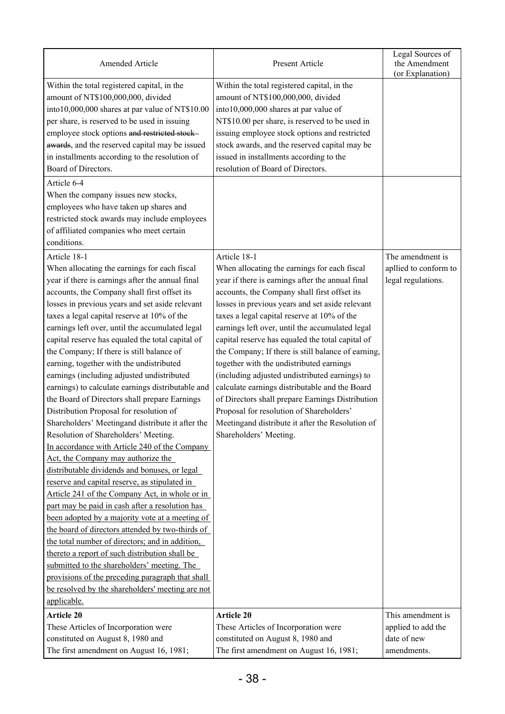| Amended Article                                                                                                                                                                                                                                                                                                                                                                                                                                                                                                                                                                                                                                                                                                                                                                                                                                                                                                                                                                                                                                                                                                                                                                                                                                                                                                                                                                                                                               | Present Article                                                                                                                                                                                                                                                                                                                                                                                                                                                                                                                                                                                                                                                                                                                                               | Legal Sources of<br>the Amendment<br>(or Explanation)           |
|-----------------------------------------------------------------------------------------------------------------------------------------------------------------------------------------------------------------------------------------------------------------------------------------------------------------------------------------------------------------------------------------------------------------------------------------------------------------------------------------------------------------------------------------------------------------------------------------------------------------------------------------------------------------------------------------------------------------------------------------------------------------------------------------------------------------------------------------------------------------------------------------------------------------------------------------------------------------------------------------------------------------------------------------------------------------------------------------------------------------------------------------------------------------------------------------------------------------------------------------------------------------------------------------------------------------------------------------------------------------------------------------------------------------------------------------------|---------------------------------------------------------------------------------------------------------------------------------------------------------------------------------------------------------------------------------------------------------------------------------------------------------------------------------------------------------------------------------------------------------------------------------------------------------------------------------------------------------------------------------------------------------------------------------------------------------------------------------------------------------------------------------------------------------------------------------------------------------------|-----------------------------------------------------------------|
| Within the total registered capital, in the<br>amount of NT\$100,000,000, divided<br>into10,000,000 shares at par value of NT\$10.00<br>per share, is reserved to be used in issuing<br>employee stock options and restricted stock-<br>awards, and the reserved capital may be issued<br>in installments according to the resolution of<br>Board of Directors.                                                                                                                                                                                                                                                                                                                                                                                                                                                                                                                                                                                                                                                                                                                                                                                                                                                                                                                                                                                                                                                                               | Within the total registered capital, in the<br>amount of NT\$100,000,000, divided<br>into10,000,000 shares at par value of<br>NT\$10.00 per share, is reserved to be used in<br>issuing employee stock options and restricted<br>stock awards, and the reserved capital may be<br>issued in installments according to the<br>resolution of Board of Directors.                                                                                                                                                                                                                                                                                                                                                                                                |                                                                 |
| Article 6-4<br>When the company issues new stocks,<br>employees who have taken up shares and<br>restricted stock awards may include employees<br>of affiliated companies who meet certain<br>conditions.                                                                                                                                                                                                                                                                                                                                                                                                                                                                                                                                                                                                                                                                                                                                                                                                                                                                                                                                                                                                                                                                                                                                                                                                                                      |                                                                                                                                                                                                                                                                                                                                                                                                                                                                                                                                                                                                                                                                                                                                                               |                                                                 |
| Article 18-1<br>When allocating the earnings for each fiscal<br>year if there is earnings after the annual final<br>accounts, the Company shall first offset its<br>losses in previous years and set aside relevant<br>taxes a legal capital reserve at 10% of the<br>earnings left over, until the accumulated legal<br>capital reserve has equaled the total capital of<br>the Company; If there is still balance of<br>earning, together with the undistributed<br>earnings (including adjusted undistributed<br>earnings) to calculate earnings distributable and<br>the Board of Directors shall prepare Earnings<br>Distribution Proposal for resolution of<br>Shareholders' Meetingand distribute it after the<br>Resolution of Shareholders' Meeting.<br>In accordance with Article 240 of the Company<br>Act, the Company may authorize the<br>distributable dividends and bonuses, or legal<br>reserve and capital reserve, as stipulated in<br>Article 241 of the Company Act, in whole or in<br>part may be paid in cash after a resolution has<br>been adopted by a majority vote at a meeting of<br>the board of directors attended by two-thirds of<br>the total number of directors; and in addition,<br>thereto a report of such distribution shall be<br>submitted to the shareholders' meeting. The<br>provisions of the preceding paragraph that shall<br>be resolved by the shareholders' meeting are not<br>applicable. | Article 18-1<br>When allocating the earnings for each fiscal<br>year if there is earnings after the annual final<br>accounts, the Company shall first offset its<br>losses in previous years and set aside relevant<br>taxes a legal capital reserve at 10% of the<br>earnings left over, until the accumulated legal<br>capital reserve has equaled the total capital of<br>the Company; If there is still balance of earning,<br>together with the undistributed earnings<br>(including adjusted undistributed earnings) to<br>calculate earnings distributable and the Board<br>of Directors shall prepare Earnings Distribution<br>Proposal for resolution of Shareholders'<br>Meetingand distribute it after the Resolution of<br>Shareholders' Meeting. | The amendment is<br>apllied to conform to<br>legal regulations. |
| <b>Article 20</b><br>These Articles of Incorporation were                                                                                                                                                                                                                                                                                                                                                                                                                                                                                                                                                                                                                                                                                                                                                                                                                                                                                                                                                                                                                                                                                                                                                                                                                                                                                                                                                                                     | <b>Article 20</b><br>These Articles of Incorporation were                                                                                                                                                                                                                                                                                                                                                                                                                                                                                                                                                                                                                                                                                                     | This amendment is<br>applied to add the                         |
| constituted on August 8, 1980 and<br>The first amendment on August 16, 1981;                                                                                                                                                                                                                                                                                                                                                                                                                                                                                                                                                                                                                                                                                                                                                                                                                                                                                                                                                                                                                                                                                                                                                                                                                                                                                                                                                                  | constituted on August 8, 1980 and<br>The first amendment on August 16, 1981;                                                                                                                                                                                                                                                                                                                                                                                                                                                                                                                                                                                                                                                                                  | date of new<br>amendments.                                      |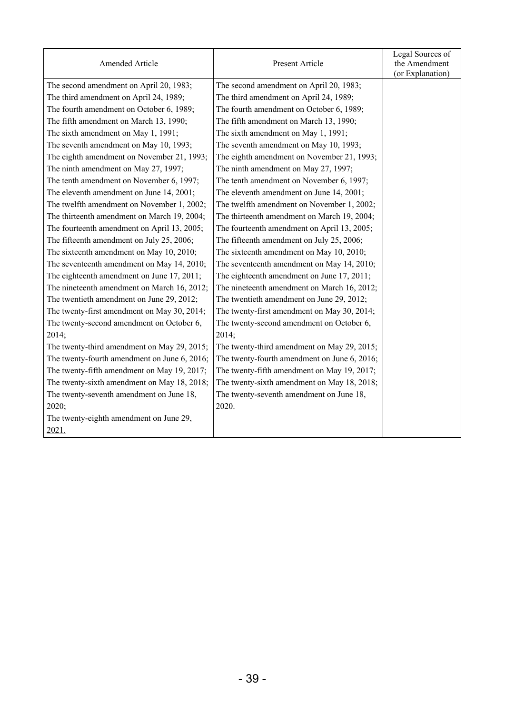|                                              |                                              | Legal Sources of |
|----------------------------------------------|----------------------------------------------|------------------|
| Amended Article                              | Present Article                              | the Amendment    |
|                                              |                                              | (or Explanation) |
| The second amendment on April 20, 1983;      | The second amendment on April 20, 1983;      |                  |
| The third amendment on April 24, 1989;       | The third amendment on April 24, 1989;       |                  |
| The fourth amendment on October 6, 1989;     | The fourth amendment on October 6, 1989;     |                  |
| The fifth amendment on March 13, 1990;       | The fifth amendment on March 13, 1990;       |                  |
| The sixth amendment on May 1, 1991;          | The sixth amendment on May 1, 1991;          |                  |
| The seventh amendment on May 10, 1993;       | The seventh amendment on May 10, 1993;       |                  |
| The eighth amendment on November 21, 1993;   | The eighth amendment on November 21, 1993;   |                  |
| The ninth amendment on May 27, 1997;         | The ninth amendment on May 27, 1997;         |                  |
| The tenth amendment on November 6, 1997;     | The tenth amendment on November 6, 1997;     |                  |
| The eleventh amendment on June 14, 2001;     | The eleventh amendment on June 14, 2001;     |                  |
| The twelfth amendment on November 1, 2002;   | The twelfth amendment on November 1, 2002;   |                  |
| The thirteenth amendment on March 19, 2004;  | The thirteenth amendment on March 19, 2004;  |                  |
| The fourteenth amendment on April 13, 2005;  | The fourteenth amendment on April 13, 2005;  |                  |
| The fifteenth amendment on July 25, 2006;    | The fifteenth amendment on July 25, 2006;    |                  |
| The sixteenth amendment on May 10, 2010;     | The sixteenth amendment on May 10, 2010;     |                  |
| The seventeenth amendment on May 14, 2010;   | The seventeenth amendment on May 14, 2010;   |                  |
| The eighteenth amendment on June 17, 2011;   | The eighteenth amendment on June 17, 2011;   |                  |
| The nineteenth amendment on March 16, 2012;  | The nineteenth amendment on March 16, 2012;  |                  |
| The twentieth amendment on June 29, 2012;    | The twentieth amendment on June 29, 2012;    |                  |
| The twenty-first amendment on May 30, 2014;  | The twenty-first amendment on May 30, 2014;  |                  |
| The twenty-second amendment on October 6,    | The twenty-second amendment on October 6,    |                  |
| 2014;                                        | 2014;                                        |                  |
| The twenty-third amendment on May 29, 2015;  | The twenty-third amendment on May 29, 2015;  |                  |
| The twenty-fourth amendment on June 6, 2016; | The twenty-fourth amendment on June 6, 2016; |                  |
| The twenty-fifth amendment on May 19, 2017;  | The twenty-fifth amendment on May 19, 2017;  |                  |
| The twenty-sixth amendment on May 18, 2018;  | The twenty-sixth amendment on May 18, 2018;  |                  |
| The twenty-seventh amendment on June 18,     | The twenty-seventh amendment on June 18,     |                  |
| 2020;                                        | 2020.                                        |                  |
| The twenty-eighth amendment on June 29,      |                                              |                  |
| 2021.                                        |                                              |                  |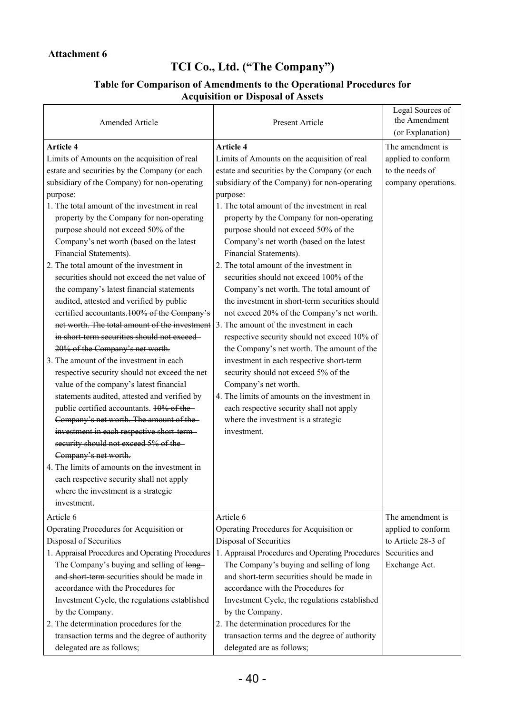## **TCI Co., Ltd. ("The Company")**

## **Table for Comparison of Amendments to the Operational Procedures for Acquisition or Disposal of Assets**

| Amended Article                                                                    | Present Article                                  | Legal Sources of<br>the Amendment<br>(or Explanation) |
|------------------------------------------------------------------------------------|--------------------------------------------------|-------------------------------------------------------|
| <b>Article 4</b>                                                                   | <b>Article 4</b>                                 | The amendment is                                      |
| Limits of Amounts on the acquisition of real                                       | Limits of Amounts on the acquisition of real     | applied to conform                                    |
| estate and securities by the Company (or each                                      | estate and securities by the Company (or each    | to the needs of                                       |
| subsidiary of the Company) for non-operating                                       | subsidiary of the Company) for non-operating     | company operations.                                   |
| purpose:                                                                           | purpose:                                         |                                                       |
| 1. The total amount of the investment in real                                      | 1. The total amount of the investment in real    |                                                       |
| property by the Company for non-operating                                          | property by the Company for non-operating        |                                                       |
| purpose should not exceed 50% of the                                               | purpose should not exceed 50% of the             |                                                       |
| Company's net worth (based on the latest                                           | Company's net worth (based on the latest         |                                                       |
| Financial Statements).                                                             | Financial Statements).                           |                                                       |
| 2. The total amount of the investment in                                           | 2. The total amount of the investment in         |                                                       |
| securities should not exceed the net value of                                      | securities should not exceed 100% of the         |                                                       |
| the company's latest financial statements                                          | Company's net worth. The total amount of         |                                                       |
| audited, attested and verified by public                                           | the investment in short-term securities should   |                                                       |
| certified accountants. 100% of the Company's                                       | not exceed 20% of the Company's net worth.       |                                                       |
| net worth. The total amount of the investment                                      | 3. The amount of the investment in each          |                                                       |
| in short term securities should not exceed-                                        | respective security should not exceed 10% of     |                                                       |
| 20% of the Company's net worth.                                                    | the Company's net worth. The amount of the       |                                                       |
| 3. The amount of the investment in each                                            | investment in each respective short-term         |                                                       |
| respective security should not exceed the net                                      | security should not exceed 5% of the             |                                                       |
| value of the company's latest financial                                            | Company's net worth.                             |                                                       |
| statements audited, attested and verified by                                       | 4. The limits of amounts on the investment in    |                                                       |
| public certified accountants. 10% of the-                                          | each respective security shall not apply         |                                                       |
| Company's net worth. The amount of the-                                            | where the investment is a strategic              |                                                       |
| investment in each respective short term-<br>security should not exceed 5% of the- | investment.                                      |                                                       |
| Company's net worth.                                                               |                                                  |                                                       |
| 4. The limits of amounts on the investment in                                      |                                                  |                                                       |
| each respective security shall not apply                                           |                                                  |                                                       |
| where the investment is a strategic                                                |                                                  |                                                       |
| investment.                                                                        |                                                  |                                                       |
| Article 6                                                                          | Article 6                                        | The amendment is                                      |
| Operating Procedures for Acquisition or                                            | Operating Procedures for Acquisition or          | applied to conform                                    |
| Disposal of Securities                                                             | Disposal of Securities                           | to Article 28-3 of                                    |
| 1. Appraisal Procedures and Operating Procedures                                   | 1. Appraisal Procedures and Operating Procedures | Securities and                                        |
| The Company's buying and selling of long-                                          | The Company's buying and selling of long         | Exchange Act.                                         |
| and short term-securities should be made in                                        | and short-term securities should be made in      |                                                       |
| accordance with the Procedures for                                                 | accordance with the Procedures for               |                                                       |
| Investment Cycle, the regulations established                                      | Investment Cycle, the regulations established    |                                                       |
| by the Company.                                                                    | by the Company.                                  |                                                       |
| 2. The determination procedures for the                                            | 2. The determination procedures for the          |                                                       |
| transaction terms and the degree of authority                                      | transaction terms and the degree of authority    |                                                       |
| delegated are as follows;                                                          | delegated are as follows;                        |                                                       |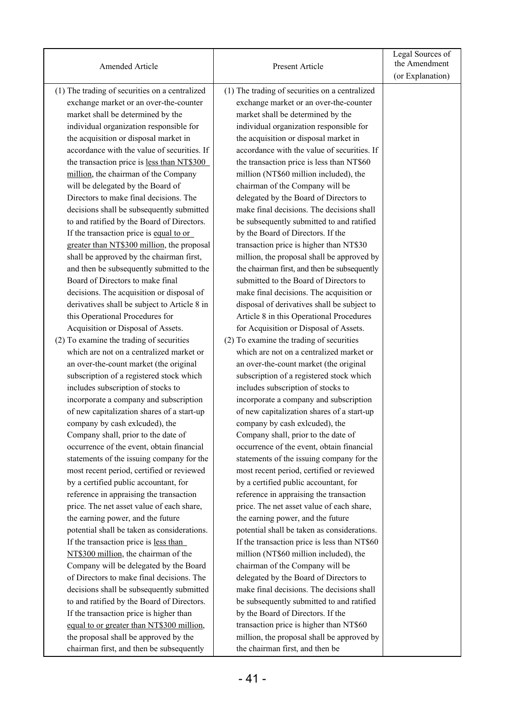| Amended Article                                | Present Article                                | Legal Sources of<br>the Amendment<br>(or Explanation) |
|------------------------------------------------|------------------------------------------------|-------------------------------------------------------|
| (1) The trading of securities on a centralized | (1) The trading of securities on a centralized |                                                       |
| exchange market or an over-the-counter         | exchange market or an over-the-counter         |                                                       |
| market shall be determined by the              | market shall be determined by the              |                                                       |
| individual organization responsible for        | individual organization responsible for        |                                                       |
| the acquisition or disposal market in          | the acquisition or disposal market in          |                                                       |
| accordance with the value of securities. If    | accordance with the value of securities. If    |                                                       |
| the transaction price is less than NT\$300     | the transaction price is less than NT\$60      |                                                       |
| million, the chairman of the Company           | million (NT\$60 million included), the         |                                                       |
| will be delegated by the Board of              | chairman of the Company will be                |                                                       |
| Directors to make final decisions. The         | delegated by the Board of Directors to         |                                                       |
| decisions shall be subsequently submitted      | make final decisions. The decisions shall      |                                                       |
| to and ratified by the Board of Directors.     | be subsequently submitted to and ratified      |                                                       |
| If the transaction price is equal to or        | by the Board of Directors. If the              |                                                       |
| greater than NT\$300 million, the proposal     | transaction price is higher than NT\$30        |                                                       |
| shall be approved by the chairman first,       | million, the proposal shall be approved by     |                                                       |
| and then be subsequently submitted to the      | the chairman first, and then be subsequently   |                                                       |
| Board of Directors to make final               | submitted to the Board of Directors to         |                                                       |
| decisions. The acquisition or disposal of      | make final decisions. The acquisition or       |                                                       |
| derivatives shall be subject to Article 8 in   | disposal of derivatives shall be subject to    |                                                       |
| this Operational Procedures for                | Article 8 in this Operational Procedures       |                                                       |
| Acquisition or Disposal of Assets.             | for Acquisition or Disposal of Assets.         |                                                       |
| (2) To examine the trading of securities       | (2) To examine the trading of securities       |                                                       |
| which are not on a centralized market or       | which are not on a centralized market or       |                                                       |
| an over-the-count market (the original         | an over-the-count market (the original         |                                                       |
| subscription of a registered stock which       | subscription of a registered stock which       |                                                       |
| includes subscription of stocks to             | includes subscription of stocks to             |                                                       |
| incorporate a company and subscription         | incorporate a company and subscription         |                                                       |
| of new capitalization shares of a start-up     | of new capitalization shares of a start-up     |                                                       |
| company by cash exlcuded), the                 | company by cash exlcuded), the                 |                                                       |
| Company shall, prior to the date of            | Company shall, prior to the date of            |                                                       |
| occurrence of the event, obtain financial      | occurrence of the event, obtain financial      |                                                       |
| statements of the issuing company for the      | statements of the issuing company for the      |                                                       |
| most recent period, certified or reviewed      | most recent period, certified or reviewed      |                                                       |
| by a certified public accountant, for          | by a certified public accountant, for          |                                                       |
| reference in appraising the transaction        | reference in appraising the transaction        |                                                       |
| price. The net asset value of each share,      | price. The net asset value of each share,      |                                                       |
| the earning power, and the future              | the earning power, and the future              |                                                       |
| potential shall be taken as considerations.    | potential shall be taken as considerations.    |                                                       |
| If the transaction price is less than          | If the transaction price is less than NT\$60   |                                                       |
| NT\$300 million, the chairman of the           | million (NT\$60 million included), the         |                                                       |
| Company will be delegated by the Board         | chairman of the Company will be                |                                                       |
| of Directors to make final decisions. The      | delegated by the Board of Directors to         |                                                       |
| decisions shall be subsequently submitted      | make final decisions. The decisions shall      |                                                       |
| to and ratified by the Board of Directors.     | be subsequently submitted to and ratified      |                                                       |
| If the transaction price is higher than        | by the Board of Directors. If the              |                                                       |
| equal to or greater than NT\$300 million,      | transaction price is higher than NT\$60        |                                                       |
| the proposal shall be approved by the          | million, the proposal shall be approved by     |                                                       |
| chairman first, and then be subsequently       | the chairman first, and then be                |                                                       |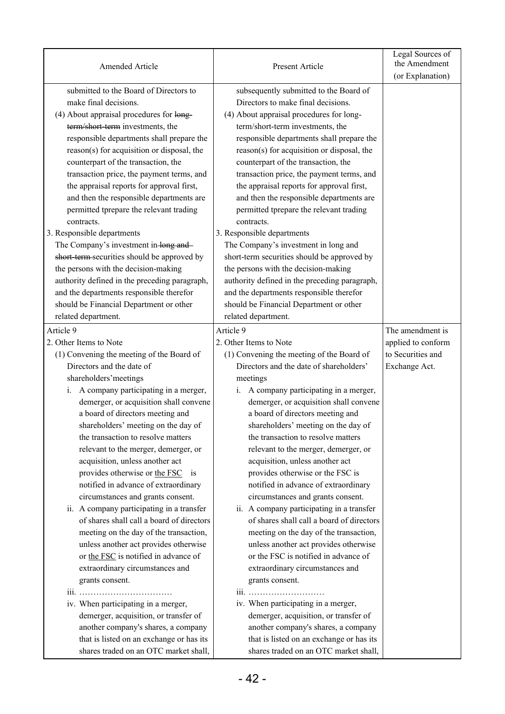| Amended Article                               | Present Article                                                                   | Legal Sources of<br>the Amendment |
|-----------------------------------------------|-----------------------------------------------------------------------------------|-----------------------------------|
|                                               |                                                                                   | (or Explanation)                  |
| submitted to the Board of Directors to        | subsequently submitted to the Board of                                            |                                   |
| make final decisions.                         | Directors to make final decisions.                                                |                                   |
| (4) About appraisal procedures for long-      | (4) About appraisal procedures for long-                                          |                                   |
| term/short-term investments, the              | term/short-term investments, the                                                  |                                   |
| responsible departments shall prepare the     | responsible departments shall prepare the                                         |                                   |
| reason(s) for acquisition or disposal, the    | reason(s) for acquisition or disposal, the                                        |                                   |
| counterpart of the transaction, the           | counterpart of the transaction, the                                               |                                   |
| transaction price, the payment terms, and     | transaction price, the payment terms, and                                         |                                   |
| the appraisal reports for approval first,     | the appraisal reports for approval first,                                         |                                   |
| and then the responsible departments are      | and then the responsible departments are                                          |                                   |
| permitted tprepare the relevant trading       | permitted tprepare the relevant trading                                           |                                   |
| contracts.                                    | contracts.                                                                        |                                   |
| 3. Responsible departments                    | 3. Responsible departments                                                        |                                   |
| The Company's investment in-long and-         | The Company's investment in long and                                              |                                   |
| short term securities should be approved by   | short-term securities should be approved by                                       |                                   |
| the persons with the decision-making          | the persons with the decision-making                                              |                                   |
| authority defined in the preceding paragraph, | authority defined in the preceding paragraph,                                     |                                   |
| and the departments responsible therefor      | and the departments responsible therefor                                          |                                   |
| should be Financial Department or other       | should be Financial Department or other                                           |                                   |
| related department.                           | related department.                                                               |                                   |
| Article 9                                     | Article 9                                                                         | The amendment is                  |
| 2. Other Items to Note                        | 2. Other Items to Note                                                            | applied to conform                |
| (1) Convening the meeting of the Board of     | (1) Convening the meeting of the Board of                                         | to Securities and                 |
| Directors and the date of                     | Directors and the date of shareholders'                                           | Exchange Act.                     |
| shareholders' meetings                        | meetings                                                                          |                                   |
| A company participating in a merger,<br>i.    | A company participating in a merger,<br>i.                                        |                                   |
| demerger, or acquisition shall convene        | demerger, or acquisition shall convene                                            |                                   |
| a board of directors meeting and              | a board of directors meeting and                                                  |                                   |
| shareholders' meeting on the day of           | shareholders' meeting on the day of                                               |                                   |
| the transaction to resolve matters            | the transaction to resolve matters                                                |                                   |
| relevant to the merger, demerger, or          | relevant to the merger, demerger, or                                              |                                   |
| acquisition, unless another act               | acquisition, unless another act                                                   |                                   |
| provides otherwise or the FSC is              | provides otherwise or the FSC is                                                  |                                   |
| notified in advance of extraordinary          | notified in advance of extraordinary                                              |                                   |
| circumstances and grants consent.             | circumstances and grants consent.                                                 |                                   |
| ii. A company participating in a transfer     | ii. A company participating in a transfer                                         |                                   |
| of shares shall call a board of directors     | of shares shall call a board of directors                                         |                                   |
| meeting on the day of the transaction,        | meeting on the day of the transaction,                                            |                                   |
| unless another act provides otherwise         | unless another act provides otherwise                                             |                                   |
| or the FSC is notified in advance of          | or the FSC is notified in advance of                                              |                                   |
| extraordinary circumstances and               | extraordinary circumstances and                                                   |                                   |
| grants consent.                               | grants consent.                                                                   |                                   |
|                                               | iii.                                                                              |                                   |
| iv. When participating in a merger,           | iv. When participating in a merger,                                               |                                   |
| demerger, acquisition, or transfer of         | demerger, acquisition, or transfer of                                             |                                   |
| another company's shares, a company           | another company's shares, a company                                               |                                   |
| that is listed on an exchange or has its      |                                                                                   |                                   |
| shares traded on an OTC market shall,         | that is listed on an exchange or has its<br>shares traded on an OTC market shall, |                                   |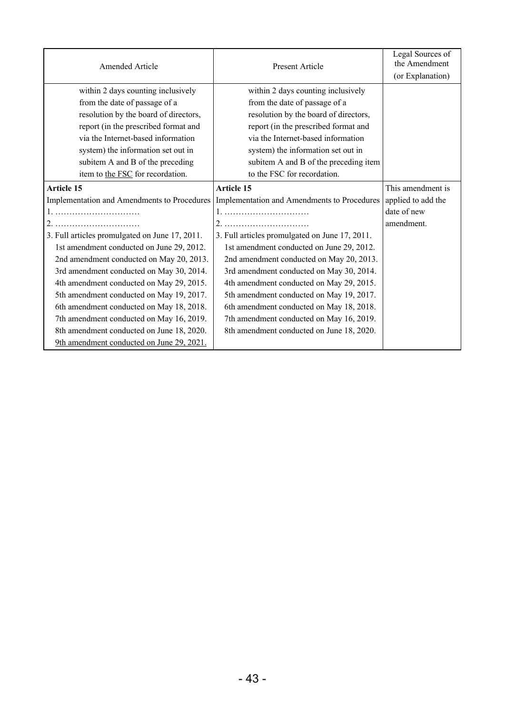| Amended Article                                | Present Article                                | Legal Sources of<br>the Amendment<br>(or Explanation) |
|------------------------------------------------|------------------------------------------------|-------------------------------------------------------|
| within 2 days counting inclusively             | within 2 days counting inclusively             |                                                       |
| from the date of passage of a                  | from the date of passage of a                  |                                                       |
| resolution by the board of directors,          | resolution by the board of directors,          |                                                       |
| report (in the prescribed format and           | report (in the prescribed format and           |                                                       |
| via the Internet-based information             | via the Internet-based information             |                                                       |
| system) the information set out in             | system) the information set out in             |                                                       |
| subitem A and B of the preceding               | subitem A and B of the preceding item          |                                                       |
| item to the FSC for recordation.               | to the FSC for recordation.                    |                                                       |
| <b>Article 15</b>                              | <b>Article 15</b>                              | This amendment is                                     |
| Implementation and Amendments to Procedures    | Implementation and Amendments to Procedures    | applied to add the                                    |
|                                                |                                                | date of new                                           |
| 2.5                                            |                                                | amendment.                                            |
| 3. Full articles promulgated on June 17, 2011. | 3. Full articles promulgated on June 17, 2011. |                                                       |
| 1st amendment conducted on June 29, 2012.      | 1st amendment conducted on June 29, 2012.      |                                                       |
| 2nd amendment conducted on May 20, 2013.       | 2nd amendment conducted on May 20, 2013.       |                                                       |
| 3rd amendment conducted on May 30, 2014.       | 3rd amendment conducted on May 30, 2014.       |                                                       |
| 4th amendment conducted on May 29, 2015.       | 4th amendment conducted on May 29, 2015.       |                                                       |
| 5th amendment conducted on May 19, 2017.       | 5th amendment conducted on May 19, 2017.       |                                                       |
| 6th amendment conducted on May 18, 2018.       | 6th amendment conducted on May 18, 2018.       |                                                       |
| 7th amendment conducted on May 16, 2019.       | 7th amendment conducted on May 16, 2019.       |                                                       |
| 8th amendment conducted on June 18, 2020.      | 8th amendment conducted on June 18, 2020.      |                                                       |
| 9th amendment conducted on June 29, 2021.      |                                                |                                                       |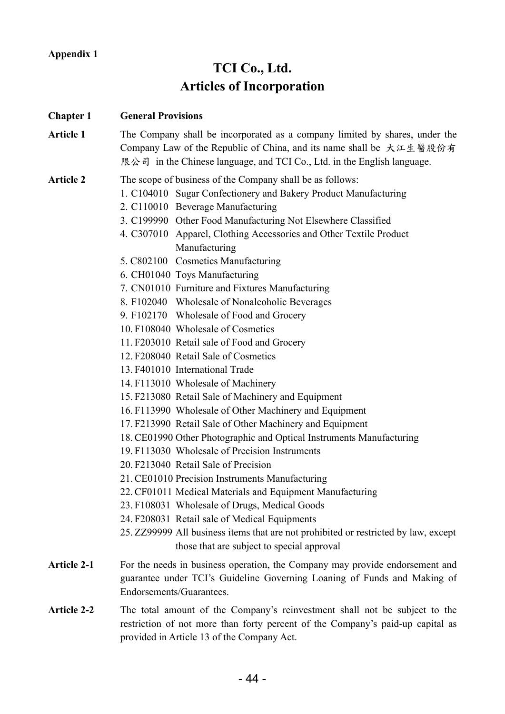## **TCI Co., Ltd. Articles of Incorporation**

**Chapter 1 General Provisions Article 1** The Company shall be incorporated as a company limited by shares, under the Company Law of the Republic of China, and its name shall be 大江生醫股份有 限公司 in the Chinese language, and TCI Co., Ltd. in the English language. **Article 2** The scope of business of the Company shall be as follows: 1. C104010 Sugar Confectionery and Bakery Product Manufacturing 2. C110010 Beverage Manufacturing 3. C199990 Other Food Manufacturing Not Elsewhere Classified 4. C307010 Apparel, Clothing Accessories and Other Textile Product Manufacturing 5. C802100 Cosmetics Manufacturing 6. CH01040 Toys Manufacturing 7. CN01010 Furniture and Fixtures Manufacturing 8. F102040 Wholesale of Nonalcoholic Beverages 9. F102170 Wholesale of Food and Grocery 10. F108040 Wholesale of Cosmetics 11. F203010 Retail sale of Food and Grocery 12. F208040 Retail Sale of Cosmetics 13. F401010 International Trade 14. F113010 Wholesale of Machinery 15. F213080 Retail Sale of Machinery and Equipment 16. F113990 Wholesale of Other Machinery and Equipment 17. F213990 Retail Sale of Other Machinery and Equipment 18. CE01990 Other Photographic and Optical Instruments Manufacturing 19. F113030 Wholesale of Precision Instruments 20. F213040 Retail Sale of Precision 21. CE01010 Precision Instruments Manufacturing 22. CF01011 Medical Materials and Equipment Manufacturing 23. F108031 Wholesale of Drugs, Medical Goods 24. F208031 Retail sale of Medical Equipments 25. ZZ99999 All business items that are not prohibited or restricted by law, except those that are subject to special approval Article 2-1 For the needs in business operation, the Company may provide endorsement and guarantee under TCI's Guideline Governing Loaning of Funds and Making of Endorsements/Guarantees.

**Article 2-2** The total amount of the Company's reinvestment shall not be subject to the restriction of not more than forty percent of the Company's paid-up capital as provided in Article 13 of the Company Act.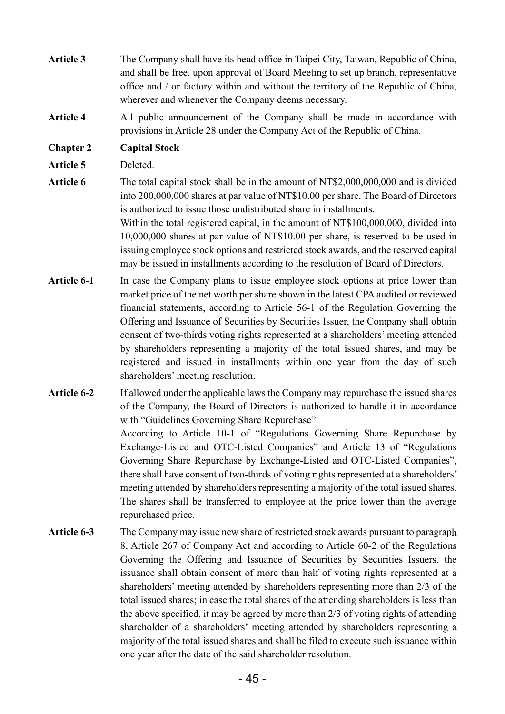- **Article 3** The Company shall have its head office in Taipei City, Taiwan, Republic of China, and shall be free, upon approval of Board Meeting to set up branch, representative office and / or factory within and without the territory of the Republic of China, wherever and whenever the Company deems necessary.
- **Article 4** All public announcement of the Company shall be made in accordance with provisions in Article 28 under the Company Act of the Republic of China.

### **Chapter 2 Capital Stock**

- **Article 5** Deleted.
- Article 6 The total capital stock shall be in the amount of NT\$2,000,000,000 and is divided into 200,000,000 shares at par value of NT\$10.00 per share. The Board of Directors is authorized to issue those undistributed share in installments. Within the total registered capital, in the amount of NT\$100,000,000, divided into 10,000,000 shares at par value of NT\$10.00 per share, is reserved to be used in issuing employee stock options and restricted stock awards, and the reserved capital may be issued in installments according to the resolution of Board of Directors.
- Article 6-1 In case the Company plans to issue employee stock options at price lower than market price of the net worth per share shown in the latest CPA audited or reviewed financial statements, according to Article 56-1 of the Regulation Governing the Offering and Issuance of Securities by Securities Issuer, the Company shall obtain consent of two-thirds voting rights represented at a shareholders' meeting attended by shareholders representing a majority of the total issued shares, and may be registered and issued in installments within one year from the day of such shareholders' meeting resolution.
- **Article 6-2** If allowed under the applicable laws the Company may repurchase the issued shares of the Company, the Board of Directors is authorized to handle it in accordance with "Guidelines Governing Share Repurchase". According to Article 10-1 of "Regulations Governing Share Repurchase by Exchange-Listed and OTC-Listed Companies" and Article 13 of "Regulations Governing Share Repurchase by Exchange-Listed and OTC-Listed Companies", there shall have consent of two-thirds of voting rights represented at a shareholders' meeting attended by shareholders representing a majority of the total issued shares. The shares shall be transferred to employee at the price lower than the average repurchased price.
- **Article 6-3** The Company may issue new share of restricted stock awards pursuant to paragraph 8, Article 267 of Company Act and according to Article 60-2 of the Regulations Governing the Offering and Issuance of Securities by Securities Issuers, the issuance shall obtain consent of more than half of voting rights represented at a shareholders' meeting attended by shareholders representing more than 2/3 of the total issued shares; in case the total shares of the attending shareholders is less than the above specified, it may be agreed by more than 2/3 of voting rights of attending shareholder of a shareholders' meeting attended by shareholders representing a majority of the total issued shares and shall be filed to execute such issuance within one year after the date of the said shareholder resolution.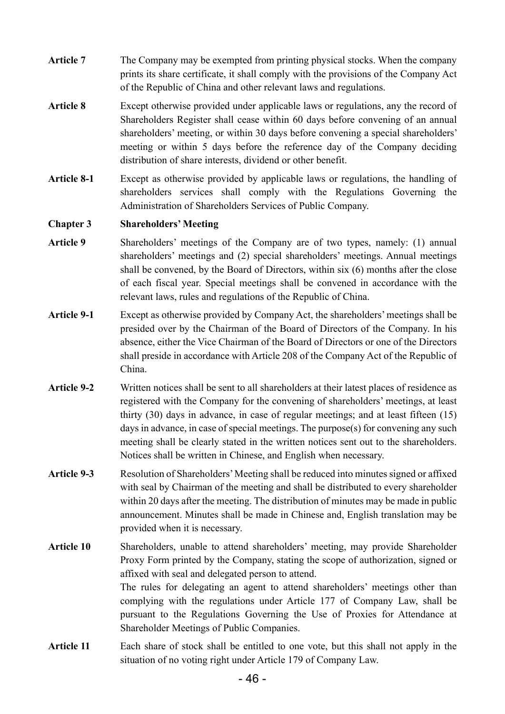- Article 7 The Company may be exempted from printing physical stocks. When the company prints its share certificate, it shall comply with the provisions of the Company Act of the Republic of China and other relevant laws and regulations.
- **Article 8** Except otherwise provided under applicable laws or regulations, any the record of Shareholders Register shall cease within 60 days before convening of an annual shareholders' meeting, or within 30 days before convening a special shareholders' meeting or within 5 days before the reference day of the Company deciding distribution of share interests, dividend or other benefit.
- **Article 8-1** Except as otherwise provided by applicable laws or regulations, the handling of shareholders services shall comply with the Regulations Governing the Administration of Shareholders Services of Public Company.

#### **Chapter 3 Shareholders' Meeting**

- **Article 9** Shareholders' meetings of the Company are of two types, namely: (1) annual shareholders' meetings and (2) special shareholders' meetings. Annual meetings shall be convened, by the Board of Directors, within six (6) months after the close of each fiscal year. Special meetings shall be convened in accordance with the relevant laws, rules and regulations of the Republic of China.
- **Article 9-1** Except as otherwise provided by Company Act, the shareholders' meetings shall be presided over by the Chairman of the Board of Directors of the Company. In his absence, either the Vice Chairman of the Board of Directors or one of the Directors shall preside in accordance with Article 208 of the Company Act of the Republic of China.
- **Article 9-2** Written notices shall be sent to all shareholders at their latest places of residence as registered with the Company for the convening of shareholders' meetings, at least thirty (30) days in advance, in case of regular meetings; and at least fifteen (15) days in advance, in case of special meetings. The purpose(s) for convening any such meeting shall be clearly stated in the written notices sent out to the shareholders. Notices shall be written in Chinese, and English when necessary.
- **Article 9-3** Resolution of Shareholders' Meeting shall be reduced into minutes signed or affixed with seal by Chairman of the meeting and shall be distributed to every shareholder within 20 days after the meeting. The distribution of minutes may be made in public announcement. Minutes shall be made in Chinese and, English translation may be provided when it is necessary.
- **Article 10** Shareholders, unable to attend shareholders' meeting, may provide Shareholder Proxy Form printed by the Company, stating the scope of authorization, signed or affixed with seal and delegated person to attend. The rules for delegating an agent to attend shareholders' meetings other than complying with the regulations under Article 177 of Company Law, shall be pursuant to the Regulations Governing the Use of Proxies for Attendance at Shareholder Meetings of Public Companies.
- **Article 11** Each share of stock shall be entitled to one vote, but this shall not apply in the situation of no voting right under Article 179 of Company Law.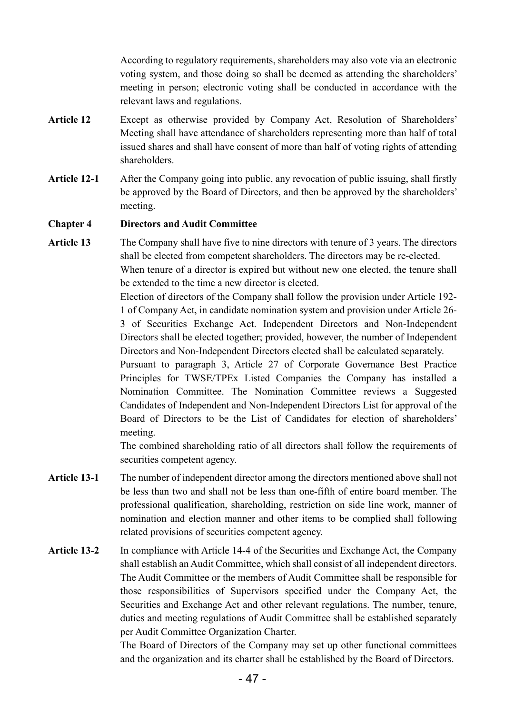According to regulatory requirements, shareholders may also vote via an electronic voting system, and those doing so shall be deemed as attending the shareholders' meeting in person; electronic voting shall be conducted in accordance with the relevant laws and regulations.

- **Article 12** Except as otherwise provided by Company Act, Resolution of Shareholders' Meeting shall have attendance of shareholders representing more than half of total issued shares and shall have consent of more than half of voting rights of attending shareholders.
- **Article 12-1** After the Company going into public, any revocation of public issuing, shall firstly be approved by the Board of Directors, and then be approved by the shareholders' meeting.

#### **Chapter 4 Directors and Audit Committee**

**Article 13** The Company shall have five to nine directors with tenure of 3 years. The directors shall be elected from competent shareholders. The directors may be re-elected. When tenure of a director is expired but without new one elected, the tenure shall be extended to the time a new director is elected.

> Election of directors of the Company shall follow the provision under Article 192- 1 of Company Act, in candidate nomination system and provision under Article 26- 3 of Securities Exchange Act. Independent Directors and Non-Independent Directors shall be elected together; provided, however, the number of Independent Directors and Non-Independent Directors elected shall be calculated separately.

> Pursuant to paragraph 3, Article 27 of Corporate Governance Best Practice Principles for TWSE/TPEx Listed Companies the Company has installed a Nomination Committee. The Nomination Committee reviews a Suggested Candidates of Independent and Non-Independent Directors List for approval of the Board of Directors to be the List of Candidates for election of shareholders' meeting.

> The combined shareholding ratio of all directors shall follow the requirements of securities competent agency.

- **Article 13-1** The number of independent director among the directors mentioned above shall not be less than two and shall not be less than one-fifth of entire board member. The professional qualification, shareholding, restriction on side line work, manner of nomination and election manner and other items to be complied shall following related provisions of securities competent agency.
- **Article 13-2** In compliance with Article 14-4 of the Securities and Exchange Act, the Company shall establish an Audit Committee, which shall consist of all independent directors. The Audit Committee or the members of Audit Committee shall be responsible for those responsibilities of Supervisors specified under the Company Act, the Securities and Exchange Act and other relevant regulations. The number, tenure, duties and meeting regulations of Audit Committee shall be established separately per Audit Committee Organization Charter.

The Board of Directors of the Company may set up other functional committees and the organization and its charter shall be established by the Board of Directors.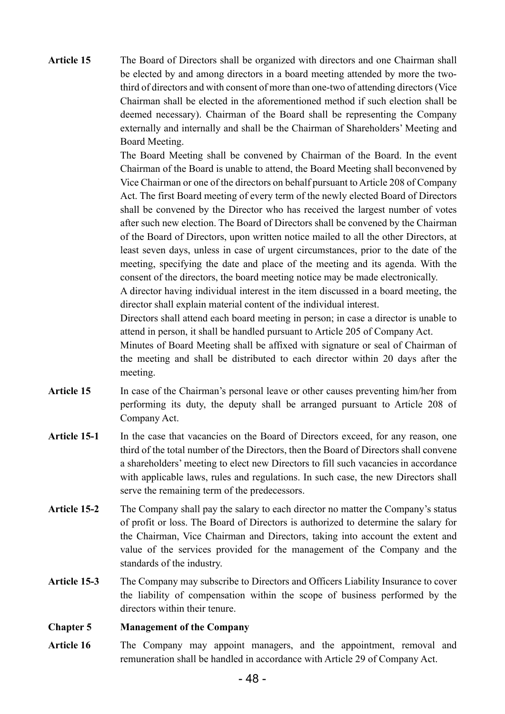**Article 15** The Board of Directors shall be organized with directors and one Chairman shall be elected by and among directors in a board meeting attended by more the twothird of directors and with consent of more than one-two of attending directors (Vice Chairman shall be elected in the aforementioned method if such election shall be deemed necessary). Chairman of the Board shall be representing the Company externally and internally and shall be the Chairman of Shareholders' Meeting and Board Meeting.

> The Board Meeting shall be convened by Chairman of the Board. In the event Chairman of the Board is unable to attend, the Board Meeting shall beconvened by Vice Chairman or one of the directors on behalf pursuant to Article 208 of Company Act. The first Board meeting of every term of the newly elected Board of Directors shall be convened by the Director who has received the largest number of votes after such new election. The Board of Directors shall be convened by the Chairman of the Board of Directors, upon written notice mailed to all the other Directors, at least seven days, unless in case of urgent circumstances, prior to the date of the meeting, specifying the date and place of the meeting and its agenda. With the consent of the directors, the board meeting notice may be made electronically.

> A director having individual interest in the item discussed in a board meeting, the director shall explain material content of the individual interest.

> Directors shall attend each board meeting in person; in case a director is unable to attend in person, it shall be handled pursuant to Article 205 of Company Act.

> Minutes of Board Meeting shall be affixed with signature or seal of Chairman of the meeting and shall be distributed to each director within 20 days after the meeting.

- Article 15 In case of the Chairman's personal leave or other causes preventing him/her from performing its duty, the deputy shall be arranged pursuant to Article 208 of Company Act.
- Article 15-1 In the case that vacancies on the Board of Directors exceed, for any reason, one third of the total number of the Directors, then the Board of Directors shall convene a shareholders' meeting to elect new Directors to fill such vacancies in accordance with applicable laws, rules and regulations. In such case, the new Directors shall serve the remaining term of the predecessors.
- **Article 15-2** The Company shall pay the salary to each director no matter the Company's status of profit or loss. The Board of Directors is authorized to determine the salary for the Chairman, Vice Chairman and Directors, taking into account the extent and value of the services provided for the management of the Company and the standards of the industry.
- **Article 15-3** The Company may subscribe to Directors and Officers Liability Insurance to cover the liability of compensation within the scope of business performed by the directors within their tenure.

**Chapter 5 Management of the Company** 

Article 16 The Company may appoint managers, and the appointment, removal and remuneration shall be handled in accordance with Article 29 of Company Act.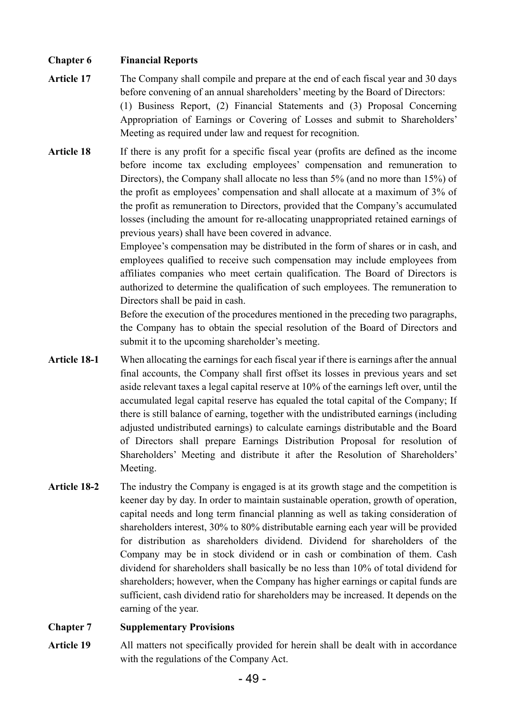### **Chapter 6 Financial Reports**

- **Article 17** The Company shall compile and prepare at the end of each fiscal year and 30 days before convening of an annual shareholders' meeting by the Board of Directors: (1) Business Report, (2) Financial Statements and (3) Proposal Concerning Appropriation of Earnings or Covering of Losses and submit to Shareholders' Meeting as required under law and request for recognition.
- **Article 18** If there is any profit for a specific fiscal year (profits are defined as the income before income tax excluding employees' compensation and remuneration to Directors), the Company shall allocate no less than 5% (and no more than 15%) of the profit as employees' compensation and shall allocate at a maximum of 3% of the profit as remuneration to Directors, provided that the Company's accumulated losses (including the amount for re-allocating unappropriated retained earnings of previous years) shall have been covered in advance.

Employee's compensation may be distributed in the form of shares or in cash, and employees qualified to receive such compensation may include employees from affiliates companies who meet certain qualification. The Board of Directors is authorized to determine the qualification of such employees. The remuneration to Directors shall be paid in cash.

Before the execution of the procedures mentioned in the preceding two paragraphs, the Company has to obtain the special resolution of the Board of Directors and submit it to the upcoming shareholder's meeting.

- **Article 18-1** When allocating the earnings for each fiscal year if there is earnings after the annual final accounts, the Company shall first offset its losses in previous years and set aside relevant taxes a legal capital reserve at 10% of the earnings left over, until the accumulated legal capital reserve has equaled the total capital of the Company; If there is still balance of earning, together with the undistributed earnings (including adjusted undistributed earnings) to calculate earnings distributable and the Board of Directors shall prepare Earnings Distribution Proposal for resolution of Shareholders' Meeting and distribute it after the Resolution of Shareholders' Meeting.
- Article 18-2 The industry the Company is engaged is at its growth stage and the competition is keener day by day. In order to maintain sustainable operation, growth of operation, capital needs and long term financial planning as well as taking consideration of shareholders interest, 30% to 80% distributable earning each year will be provided for distribution as shareholders dividend. Dividend for shareholders of the Company may be in stock dividend or in cash or combination of them. Cash dividend for shareholders shall basically be no less than 10% of total dividend for shareholders; however, when the Company has higher earnings or capital funds are sufficient, cash dividend ratio for shareholders may be increased. It depends on the earning of the year.

#### **Chapter 7 Supplementary Provisions**

Article 19 All matters not specifically provided for herein shall be dealt with in accordance with the regulations of the Company Act.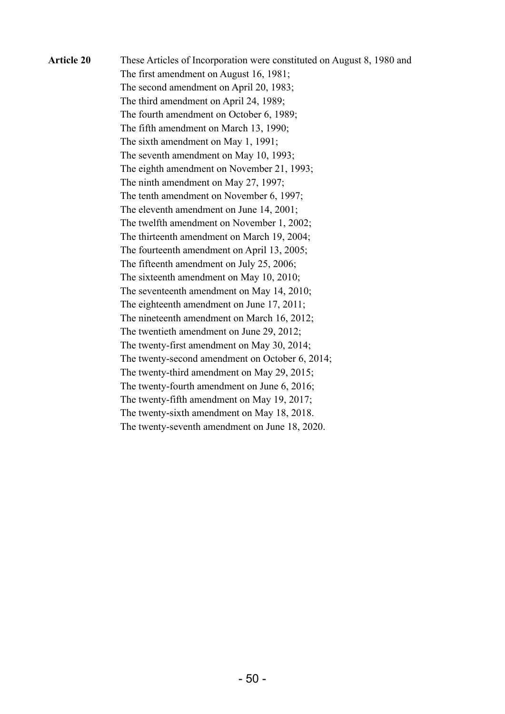| <b>Article 20</b> | These Articles of Incorporation were constituted on August 8, 1980 and |
|-------------------|------------------------------------------------------------------------|
|                   | The first amendment on August 16, 1981;                                |
|                   | The second amendment on April 20, 1983;                                |
|                   | The third amendment on April 24, 1989;                                 |
|                   | The fourth amendment on October 6, 1989;                               |
|                   | The fifth amendment on March 13, 1990;                                 |
|                   | The sixth amendment on May 1, 1991;                                    |
|                   | The seventh amendment on May 10, 1993;                                 |
|                   | The eighth amendment on November 21, 1993;                             |
|                   | The ninth amendment on May 27, 1997;                                   |
|                   | The tenth amendment on November 6, 1997;                               |
|                   | The eleventh amendment on June 14, 2001;                               |
|                   | The twelfth amendment on November 1, 2002;                             |
|                   | The thirteenth amendment on March 19, 2004;                            |
|                   | The fourteenth amendment on April 13, 2005;                            |
|                   | The fifteenth amendment on July 25, 2006;                              |
|                   | The sixteenth amendment on May 10, 2010;                               |
|                   | The seventeenth amendment on May 14, 2010;                             |
|                   | The eighteenth amendment on June 17, 2011;                             |
|                   | The nineteenth amendment on March 16, 2012;                            |
|                   | The twentieth amendment on June 29, 2012;                              |
|                   | The twenty-first amendment on May 30, 2014;                            |
|                   | The twenty-second amendment on October 6, 2014;                        |
|                   | The twenty-third amendment on May 29, 2015;                            |
|                   | The twenty-fourth amendment on June 6, 2016;                           |
|                   | The twenty-fifth amendment on May 19, 2017;                            |
|                   | The twenty-sixth amendment on May 18, 2018.                            |
|                   | The twenty-seventh amendment on June 18, 2020.                         |
|                   |                                                                        |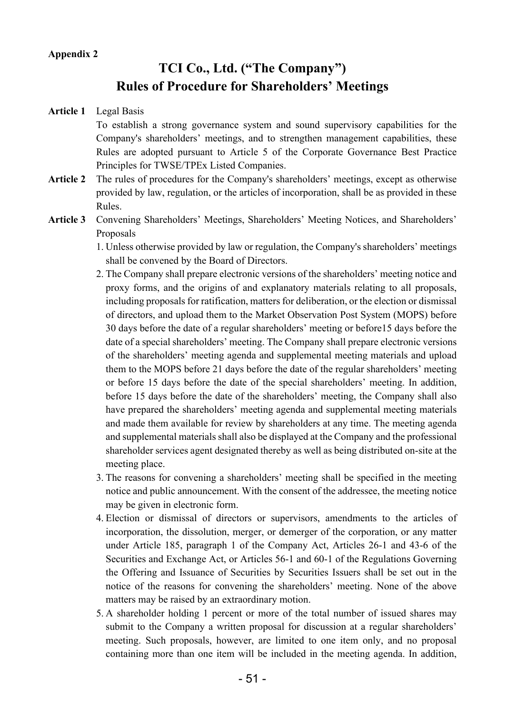#### **Appendix 2**

## **TCI Co., Ltd. ("The Company") Rules of Procedure for Shareholders' Meetings**

#### **Article 1** Legal Basis

To establish a strong governance system and sound supervisory capabilities for the Company's shareholders' meetings, and to strengthen management capabilities, these Rules are adopted pursuant to Article 5 of the Corporate Governance Best Practice Principles for TWSE/TPEx Listed Companies.

- **Article 2** The rules of procedures for the Company's shareholders' meetings, except as otherwise provided by law, regulation, or the articles of incorporation, shall be as provided in these Rules.
- **Article 3** Convening Shareholders' Meetings, Shareholders' Meeting Notices, and Shareholders' Proposals
	- 1. Unless otherwise provided by law or regulation, the Company's shareholders' meetings shall be convened by the Board of Directors.
	- 2. The Company shall prepare electronic versions of the shareholders' meeting notice and proxy forms, and the origins of and explanatory materials relating to all proposals, including proposals for ratification, matters for deliberation, or the election or dismissal of directors, and upload them to the Market Observation Post System (MOPS) before 30 days before the date of a regular shareholders' meeting or before15 days before the date of a special shareholders' meeting. The Company shall prepare electronic versions of the shareholders' meeting agenda and supplemental meeting materials and upload them to the MOPS before 21 days before the date of the regular shareholders' meeting or before 15 days before the date of the special shareholders' meeting. In addition, before 15 days before the date of the shareholders' meeting, the Company shall also have prepared the shareholders' meeting agenda and supplemental meeting materials and made them available for review by shareholders at any time. The meeting agenda and supplemental materials shall also be displayed at the Company and the professional shareholder services agent designated thereby as well as being distributed on-site at the meeting place.
	- 3. The reasons for convening a shareholders' meeting shall be specified in the meeting notice and public announcement. With the consent of the addressee, the meeting notice may be given in electronic form.
	- 4. Election or dismissal of directors or supervisors, amendments to the articles of incorporation, the dissolution, merger, or demerger of the corporation, or any matter under Article 185, paragraph 1 of the Company Act, Articles 26-1 and 43-6 of the Securities and Exchange Act, or Articles 56-1 and 60-1 of the Regulations Governing the Offering and Issuance of Securities by Securities Issuers shall be set out in the notice of the reasons for convening the shareholders' meeting. None of the above matters may be raised by an extraordinary motion.
	- 5. A shareholder holding 1 percent or more of the total number of issued shares may submit to the Company a written proposal for discussion at a regular shareholders' meeting. Such proposals, however, are limited to one item only, and no proposal containing more than one item will be included in the meeting agenda. In addition,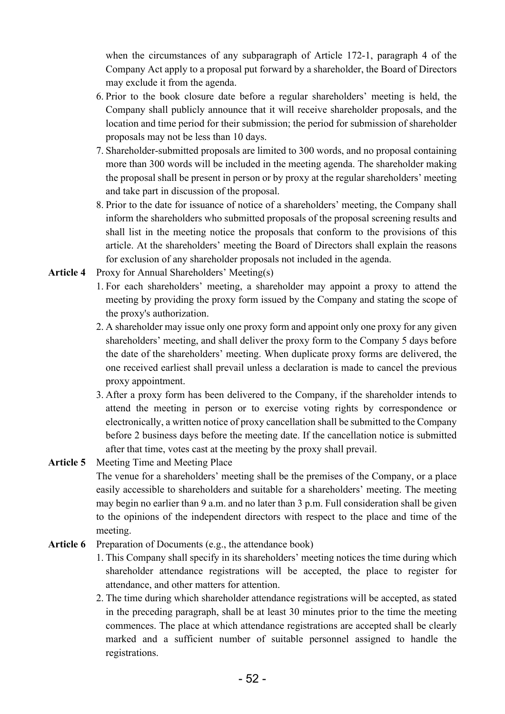when the circumstances of any subparagraph of Article 172-1, paragraph 4 of the Company Act apply to a proposal put forward by a shareholder, the Board of Directors may exclude it from the agenda.

- 6. Prior to the book closure date before a regular shareholders' meeting is held, the Company shall publicly announce that it will receive shareholder proposals, and the location and time period for their submission; the period for submission of shareholder proposals may not be less than 10 days.
- 7. Shareholder-submitted proposals are limited to 300 words, and no proposal containing more than 300 words will be included in the meeting agenda. The shareholder making the proposal shall be present in person or by proxy at the regular shareholders' meeting and take part in discussion of the proposal.
- 8. Prior to the date for issuance of notice of a shareholders' meeting, the Company shall inform the shareholders who submitted proposals of the proposal screening results and shall list in the meeting notice the proposals that conform to the provisions of this article. At the shareholders' meeting the Board of Directors shall explain the reasons for exclusion of any shareholder proposals not included in the agenda.
- **Article 4** Proxy for Annual Shareholders' Meeting(s)
	- 1. For each shareholders' meeting, a shareholder may appoint a proxy to attend the meeting by providing the proxy form issued by the Company and stating the scope of the proxy's authorization.
	- 2. A shareholder may issue only one proxy form and appoint only one proxy for any given shareholders' meeting, and shall deliver the proxy form to the Company 5 days before the date of the shareholders' meeting. When duplicate proxy forms are delivered, the one received earliest shall prevail unless a declaration is made to cancel the previous proxy appointment.
	- 3. After a proxy form has been delivered to the Company, if the shareholder intends to attend the meeting in person or to exercise voting rights by correspondence or electronically, a written notice of proxy cancellation shall be submitted to the Company before 2 business days before the meeting date. If the cancellation notice is submitted after that time, votes cast at the meeting by the proxy shall prevail.
- **Article 5** Meeting Time and Meeting Place The venue for a shareholders' meeting shall be the premises of the Company, or a place easily accessible to shareholders and suitable for a shareholders' meeting. The meeting may begin no earlier than 9 a.m. and no later than 3 p.m. Full consideration shall be given to the opinions of the independent directors with respect to the place and time of the meeting.
- **Article 6** Preparation of Documents (e.g., the attendance book)
	- 1. This Company shall specify in its shareholders' meeting notices the time during which shareholder attendance registrations will be accepted, the place to register for attendance, and other matters for attention.
	- 2. The time during which shareholder attendance registrations will be accepted, as stated in the preceding paragraph, shall be at least 30 minutes prior to the time the meeting commences. The place at which attendance registrations are accepted shall be clearly marked and a sufficient number of suitable personnel assigned to handle the registrations.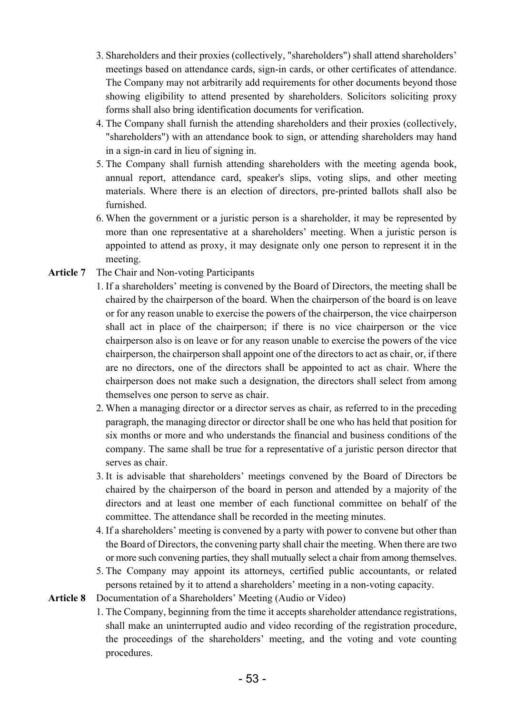- 3. Shareholders and their proxies (collectively, "shareholders") shall attend shareholders' meetings based on attendance cards, sign-in cards, or other certificates of attendance. The Company may not arbitrarily add requirements for other documents beyond those showing eligibility to attend presented by shareholders. Solicitors soliciting proxy forms shall also bring identification documents for verification.
- 4. The Company shall furnish the attending shareholders and their proxies (collectively, "shareholders") with an attendance book to sign, or attending shareholders may hand in a sign-in card in lieu of signing in.
- 5. The Company shall furnish attending shareholders with the meeting agenda book, annual report, attendance card, speaker's slips, voting slips, and other meeting materials. Where there is an election of directors, pre-printed ballots shall also be furnished.
- 6. When the government or a juristic person is a shareholder, it may be represented by more than one representative at a shareholders' meeting. When a juristic person is appointed to attend as proxy, it may designate only one person to represent it in the meeting.
- **Article 7** The Chair and Non-voting Participants
	- 1. If a shareholders' meeting is convened by the Board of Directors, the meeting shall be chaired by the chairperson of the board. When the chairperson of the board is on leave or for any reason unable to exercise the powers of the chairperson, the vice chairperson shall act in place of the chairperson; if there is no vice chairperson or the vice chairperson also is on leave or for any reason unable to exercise the powers of the vice chairperson, the chairperson shall appoint one of the directors to act as chair, or, if there are no directors, one of the directors shall be appointed to act as chair. Where the chairperson does not make such a designation, the directors shall select from among themselves one person to serve as chair.
	- 2. When a managing director or a director serves as chair, as referred to in the preceding paragraph, the managing director or director shall be one who has held that position for six months or more and who understands the financial and business conditions of the company. The same shall be true for a representative of a juristic person director that serves as chair.
	- 3. It is advisable that shareholders' meetings convened by the Board of Directors be chaired by the chairperson of the board in person and attended by a majority of the directors and at least one member of each functional committee on behalf of the committee. The attendance shall be recorded in the meeting minutes.
	- 4. If a shareholders' meeting is convened by a party with power to convene but other than the Board of Directors, the convening party shall chair the meeting. When there are two or more such convening parties, they shall mutually select a chair from among themselves.
	- 5. The Company may appoint its attorneys, certified public accountants, or related persons retained by it to attend a shareholders' meeting in a non-voting capacity.
- **Article 8** Documentation of a Shareholders' Meeting (Audio or Video)
	- 1. The Company, beginning from the time it accepts shareholder attendance registrations, shall make an uninterrupted audio and video recording of the registration procedure, the proceedings of the shareholders' meeting, and the voting and vote counting procedures.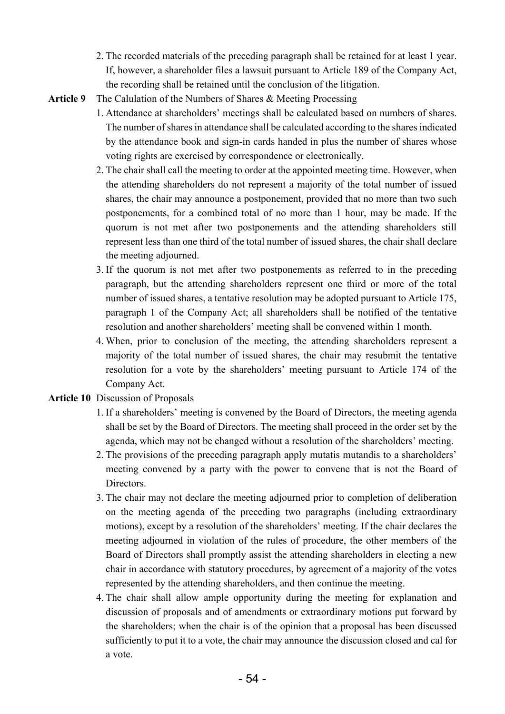- 2. The recorded materials of the preceding paragraph shall be retained for at least 1 year. If, however, a shareholder files a lawsuit pursuant to Article 189 of the Company Act, the recording shall be retained until the conclusion of the litigation.
- **Article 9** The Calulation of the Numbers of Shares & Meeting Processing
	- 1. Attendance at shareholders' meetings shall be calculated based on numbers of shares. The number of shares in attendance shall be calculated according to the shares indicated by the attendance book and sign-in cards handed in plus the number of shares whose voting rights are exercised by correspondence or electronically.
	- 2. The chair shall call the meeting to order at the appointed meeting time. However, when the attending shareholders do not represent a majority of the total number of issued shares, the chair may announce a postponement, provided that no more than two such postponements, for a combined total of no more than 1 hour, may be made. If the quorum is not met after two postponements and the attending shareholders still represent less than one third of the total number of issued shares, the chair shall declare the meeting adjourned.
	- 3. If the quorum is not met after two postponements as referred to in the preceding paragraph, but the attending shareholders represent one third or more of the total number of issued shares, a tentative resolution may be adopted pursuant to Article 175, paragraph 1 of the Company Act; all shareholders shall be notified of the tentative resolution and another shareholders' meeting shall be convened within 1 month.
	- 4. When, prior to conclusion of the meeting, the attending shareholders represent a majority of the total number of issued shares, the chair may resubmit the tentative resolution for a vote by the shareholders' meeting pursuant to Article 174 of the Company Act.

#### **Article 10** Discussion of Proposals

- 1. If a shareholders' meeting is convened by the Board of Directors, the meeting agenda shall be set by the Board of Directors. The meeting shall proceed in the order set by the agenda, which may not be changed without a resolution of the shareholders' meeting.
- 2. The provisions of the preceding paragraph apply mutatis mutandis to a shareholders' meeting convened by a party with the power to convene that is not the Board of Directors.
- 3. The chair may not declare the meeting adjourned prior to completion of deliberation on the meeting agenda of the preceding two paragraphs (including extraordinary motions), except by a resolution of the shareholders' meeting. If the chair declares the meeting adjourned in violation of the rules of procedure, the other members of the Board of Directors shall promptly assist the attending shareholders in electing a new chair in accordance with statutory procedures, by agreement of a majority of the votes represented by the attending shareholders, and then continue the meeting.
- 4. The chair shall allow ample opportunity during the meeting for explanation and discussion of proposals and of amendments or extraordinary motions put forward by the shareholders; when the chair is of the opinion that a proposal has been discussed sufficiently to put it to a vote, the chair may announce the discussion closed and cal for a vote.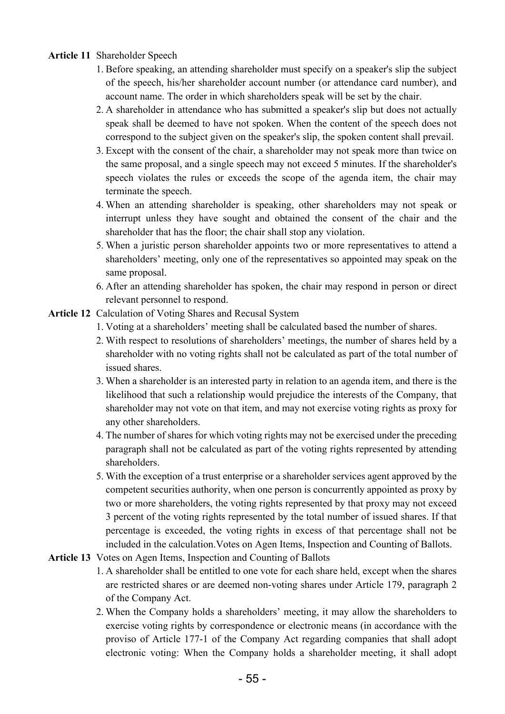### **Article 11** Shareholder Speech

- 1. Before speaking, an attending shareholder must specify on a speaker's slip the subject of the speech, his/her shareholder account number (or attendance card number), and account name. The order in which shareholders speak will be set by the chair.
- 2. A shareholder in attendance who has submitted a speaker's slip but does not actually speak shall be deemed to have not spoken. When the content of the speech does not correspond to the subject given on the speaker's slip, the spoken content shall prevail.
- 3. Except with the consent of the chair, a shareholder may not speak more than twice on the same proposal, and a single speech may not exceed 5 minutes. If the shareholder's speech violates the rules or exceeds the scope of the agenda item, the chair may terminate the speech.
- 4. When an attending shareholder is speaking, other shareholders may not speak or interrupt unless they have sought and obtained the consent of the chair and the shareholder that has the floor; the chair shall stop any violation.
- 5. When a juristic person shareholder appoints two or more representatives to attend a shareholders' meeting, only one of the representatives so appointed may speak on the same proposal.
- 6. After an attending shareholder has spoken, the chair may respond in person or direct relevant personnel to respond.
- **Article 12** Calculation of Voting Shares and Recusal System
	- 1. Voting at a shareholders' meeting shall be calculated based the number of shares.
	- 2. With respect to resolutions of shareholders' meetings, the number of shares held by a shareholder with no voting rights shall not be calculated as part of the total number of issued shares.
	- 3. When a shareholder is an interested party in relation to an agenda item, and there is the likelihood that such a relationship would prejudice the interests of the Company, that shareholder may not vote on that item, and may not exercise voting rights as proxy for any other shareholders.
	- 4. The number of shares for which voting rights may not be exercised under the preceding paragraph shall not be calculated as part of the voting rights represented by attending shareholders.
	- 5. With the exception of a trust enterprise or a shareholder services agent approved by the competent securities authority, when one person is concurrently appointed as proxy by two or more shareholders, the voting rights represented by that proxy may not exceed 3 percent of the voting rights represented by the total number of issued shares. If that percentage is exceeded, the voting rights in excess of that percentage shall not be included in the calculation.Votes on Agen Items, Inspection and Counting of Ballots.
- **Article 13** Votes on Agen Items, Inspection and Counting of Ballots
	- 1. A shareholder shall be entitled to one vote for each share held, except when the shares are restricted shares or are deemed non-voting shares under Article 179, paragraph 2 of the Company Act.
	- 2. When the Company holds a shareholders' meeting, it may allow the shareholders to exercise voting rights by correspondence or electronic means (in accordance with the proviso of Article 177-1 of the Company Act regarding companies that shall adopt electronic voting: When the Company holds a shareholder meeting, it shall adopt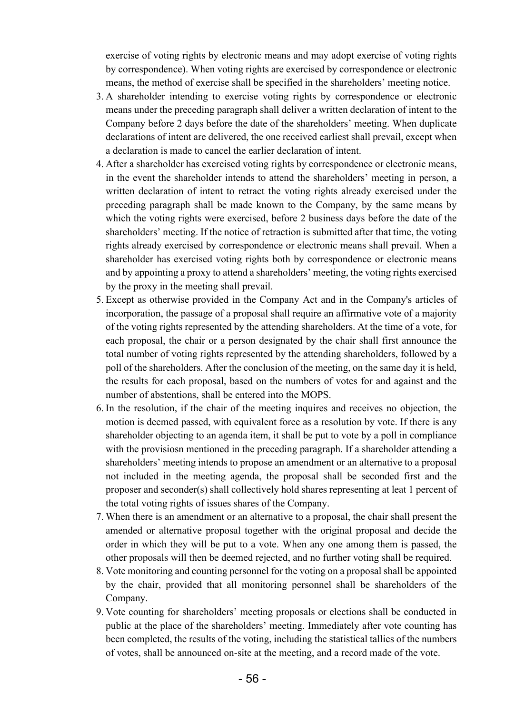exercise of voting rights by electronic means and may adopt exercise of voting rights by correspondence). When voting rights are exercised by correspondence or electronic means, the method of exercise shall be specified in the shareholders' meeting notice.

- 3. A shareholder intending to exercise voting rights by correspondence or electronic means under the preceding paragraph shall deliver a written declaration of intent to the Company before 2 days before the date of the shareholders' meeting. When duplicate declarations of intent are delivered, the one received earliest shall prevail, except when a declaration is made to cancel the earlier declaration of intent.
- 4. After a shareholder has exercised voting rights by correspondence or electronic means, in the event the shareholder intends to attend the shareholders' meeting in person, a written declaration of intent to retract the voting rights already exercised under the preceding paragraph shall be made known to the Company, by the same means by which the voting rights were exercised, before 2 business days before the date of the shareholders' meeting. If the notice of retraction is submitted after that time, the voting rights already exercised by correspondence or electronic means shall prevail. When a shareholder has exercised voting rights both by correspondence or electronic means and by appointing a proxy to attend a shareholders' meeting, the voting rights exercised by the proxy in the meeting shall prevail.
- 5. Except as otherwise provided in the Company Act and in the Company's articles of incorporation, the passage of a proposal shall require an affirmative vote of a majority of the voting rights represented by the attending shareholders. At the time of a vote, for each proposal, the chair or a person designated by the chair shall first announce the total number of voting rights represented by the attending shareholders, followed by a poll of the shareholders. After the conclusion of the meeting, on the same day it is held, the results for each proposal, based on the numbers of votes for and against and the number of abstentions, shall be entered into the MOPS.
- 6. In the resolution, if the chair of the meeting inquires and receives no objection, the motion is deemed passed, with equivalent force as a resolution by vote. If there is any shareholder objecting to an agenda item, it shall be put to vote by a poll in compliance with the provisiosn mentioned in the preceding paragraph. If a shareholder attending a shareholders' meeting intends to propose an amendment or an alternative to a proposal not included in the meeting agenda, the proposal shall be seconded first and the proposer and seconder(s) shall collectively hold shares representing at leat 1 percent of the total voting rights of issues shares of the Company.
- 7. When there is an amendment or an alternative to a proposal, the chair shall present the amended or alternative proposal together with the original proposal and decide the order in which they will be put to a vote. When any one among them is passed, the other proposals will then be deemed rejected, and no further voting shall be required.
- 8. Vote monitoring and counting personnel for the voting on a proposal shall be appointed by the chair, provided that all monitoring personnel shall be shareholders of the Company.
- 9. Vote counting for shareholders' meeting proposals or elections shall be conducted in public at the place of the shareholders' meeting. Immediately after vote counting has been completed, the results of the voting, including the statistical tallies of the numbers of votes, shall be announced on-site at the meeting, and a record made of the vote.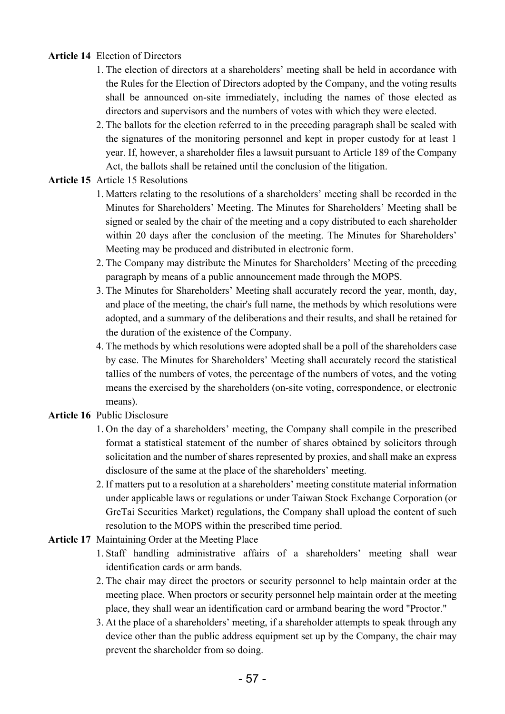## **Article 14** Election of Directors

- 1. The election of directors at a shareholders' meeting shall be held in accordance with the Rules for the Election of Directors adopted by the Company, and the voting results shall be announced on-site immediately, including the names of those elected as directors and supervisors and the numbers of votes with which they were elected.
- 2. The ballots for the election referred to in the preceding paragraph shall be sealed with the signatures of the monitoring personnel and kept in proper custody for at least 1 year. If, however, a shareholder files a lawsuit pursuant to Article 189 of the Company Act, the ballots shall be retained until the conclusion of the litigation.

### **Article 15** Article 15 Resolutions

- 1. Matters relating to the resolutions of a shareholders' meeting shall be recorded in the Minutes for Shareholders' Meeting. The Minutes for Shareholders' Meeting shall be signed or sealed by the chair of the meeting and a copy distributed to each shareholder within 20 days after the conclusion of the meeting. The Minutes for Shareholders' Meeting may be produced and distributed in electronic form.
- 2. The Company may distribute the Minutes for Shareholders' Meeting of the preceding paragraph by means of a public announcement made through the MOPS.
- 3. The Minutes for Shareholders' Meeting shall accurately record the year, month, day, and place of the meeting, the chair's full name, the methods by which resolutions were adopted, and a summary of the deliberations and their results, and shall be retained for the duration of the existence of the Company.
- 4. The methods by which resolutions were adopted shall be a poll of the shareholders case by case. The Minutes for Shareholders' Meeting shall accurately record the statistical tallies of the numbers of votes, the percentage of the numbers of votes, and the voting means the exercised by the shareholders (on-site voting, correspondence, or electronic means).

### **Article 16** Public Disclosure

- 1. On the day of a shareholders' meeting, the Company shall compile in the prescribed format a statistical statement of the number of shares obtained by solicitors through solicitation and the number of shares represented by proxies, and shall make an express disclosure of the same at the place of the shareholders' meeting.
- 2. If matters put to a resolution at a shareholders' meeting constitute material information under applicable laws or regulations or under Taiwan Stock Exchange Corporation (or GreTai Securities Market) regulations, the Company shall upload the content of such resolution to the MOPS within the prescribed time period.
- **Article 17** Maintaining Order at the Meeting Place
	- 1. Staff handling administrative affairs of a shareholders' meeting shall wear identification cards or arm bands.
	- 2. The chair may direct the proctors or security personnel to help maintain order at the meeting place. When proctors or security personnel help maintain order at the meeting place, they shall wear an identification card or armband bearing the word "Proctor."
	- 3. At the place of a shareholders' meeting, if a shareholder attempts to speak through any device other than the public address equipment set up by the Company, the chair may prevent the shareholder from so doing.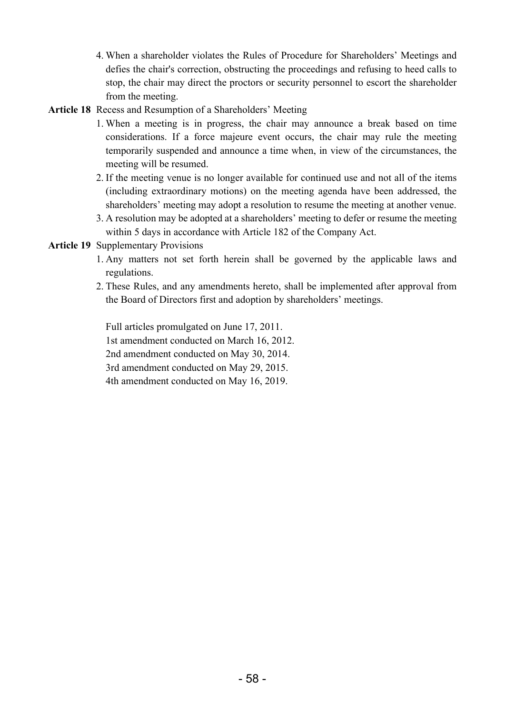- 4. When a shareholder violates the Rules of Procedure for Shareholders' Meetings and defies the chair's correction, obstructing the proceedings and refusing to heed calls to stop, the chair may direct the proctors or security personnel to escort the shareholder from the meeting.
- **Article 18** Recess and Resumption of a Shareholders' Meeting
	- 1. When a meeting is in progress, the chair may announce a break based on time considerations. If a force majeure event occurs, the chair may rule the meeting temporarily suspended and announce a time when, in view of the circumstances, the meeting will be resumed.
	- 2. If the meeting venue is no longer available for continued use and not all of the items (including extraordinary motions) on the meeting agenda have been addressed, the shareholders' meeting may adopt a resolution to resume the meeting at another venue.
	- 3. A resolution may be adopted at a shareholders' meeting to defer or resume the meeting within 5 days in accordance with Article 182 of the Company Act.
- **Article 19** Supplementary Provisions
	- 1. Any matters not set forth herein shall be governed by the applicable laws and regulations.
	- 2. These Rules, and any amendments hereto, shall be implemented after approval from the Board of Directors first and adoption by shareholders' meetings.

Full articles promulgated on June 17, 2011. 1st amendment conducted on March 16, 2012. 2nd amendment conducted on May 30, 2014. 3rd amendment conducted on May 29, 2015. 4th amendment conducted on May 16, 2019.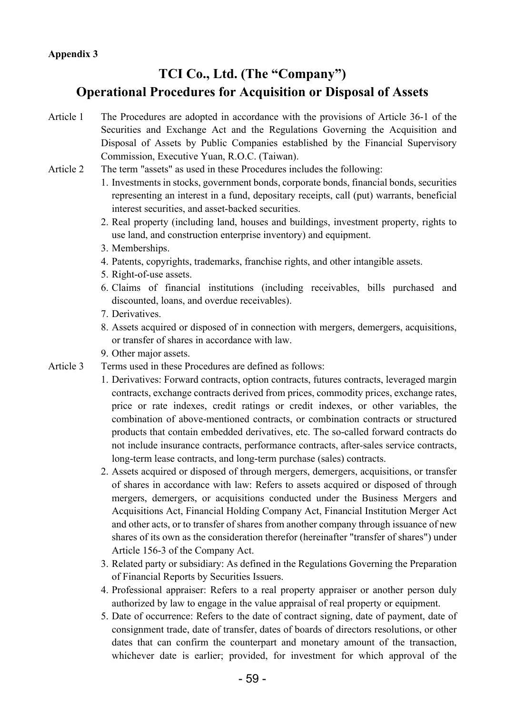# **TCI Co., Ltd. (The "Company") Operational Procedures for Acquisition or Disposal of Assets**

- Article 1 The Procedures are adopted in accordance with the provisions of Article 36-1 of the Securities and Exchange Act and the Regulations Governing the Acquisition and Disposal of Assets by Public Companies established by the Financial Supervisory Commission, Executive Yuan, R.O.C. (Taiwan).
- Article 2 The term "assets" as used in these Procedures includes the following:
	- 1. Investments in stocks, government bonds, corporate bonds, financial bonds, securities representing an interest in a fund, depositary receipts, call (put) warrants, beneficial interest securities, and asset-backed securities.
	- 2. Real property (including land, houses and buildings, investment property, rights to use land, and construction enterprise inventory) and equipment.
	- 3. Memberships.
	- 4. Patents, copyrights, trademarks, franchise rights, and other intangible assets.
	- 5. Right-of-use assets.
	- 6. Claims of financial institutions (including receivables, bills purchased and discounted, loans, and overdue receivables).
	- 7. Derivatives.
	- 8. Assets acquired or disposed of in connection with mergers, demergers, acquisitions, or transfer of shares in accordance with law.
	- 9. Other major assets.
- Article 3 Terms used in these Procedures are defined as follows:
	- 1. Derivatives: Forward contracts, option contracts, futures contracts, leveraged margin contracts, exchange contracts derived from prices, commodity prices, exchange rates, price or rate indexes, credit ratings or credit indexes, or other variables, the combination of above-mentioned contracts, or combination contracts or structured products that contain embedded derivatives, etc. The so-called forward contracts do not include insurance contracts, performance contracts, after-sales service contracts, long-term lease contracts, and long-term purchase (sales) contracts.
	- 2. Assets acquired or disposed of through mergers, demergers, acquisitions, or transfer of shares in accordance with law: Refers to assets acquired or disposed of through mergers, demergers, or acquisitions conducted under the Business Mergers and Acquisitions Act, Financial Holding Company Act, Financial Institution Merger Act and other acts, or to transfer of shares from another company through issuance of new shares of its own as the consideration therefor (hereinafter "transfer of shares") under Article 156-3 of the Company Act.
	- 3. Related party or subsidiary: As defined in the Regulations Governing the Preparation of Financial Reports by Securities Issuers.
	- 4. Professional appraiser: Refers to a real property appraiser or another person duly authorized by law to engage in the value appraisal of real property or equipment.
	- 5. Date of occurrence: Refers to the date of contract signing, date of payment, date of consignment trade, date of transfer, dates of boards of directors resolutions, or other dates that can confirm the counterpart and monetary amount of the transaction, whichever date is earlier; provided, for investment for which approval of the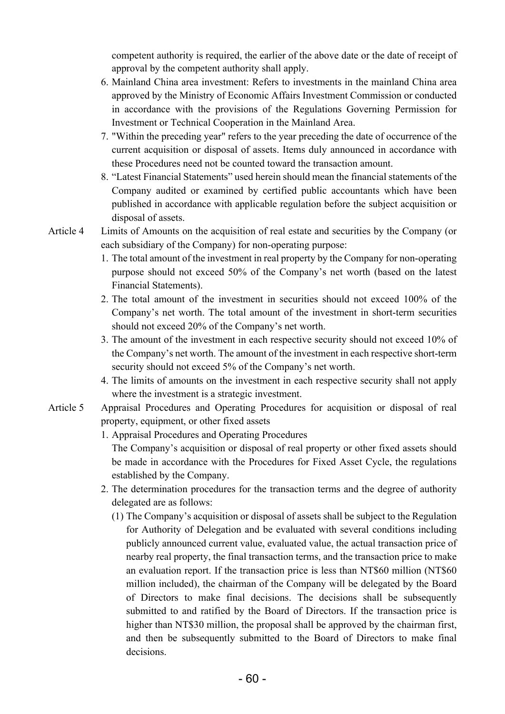competent authority is required, the earlier of the above date or the date of receipt of approval by the competent authority shall apply.

- 6. Mainland China area investment: Refers to investments in the mainland China area approved by the Ministry of Economic Affairs Investment Commission or conducted in accordance with the provisions of the Regulations Governing Permission for Investment or Technical Cooperation in the Mainland Area.
- 7. "Within the preceding year" refers to the year preceding the date of occurrence of the current acquisition or disposal of assets. Items duly announced in accordance with these Procedures need not be counted toward the transaction amount.
- 8. "Latest Financial Statements" used herein should mean the financial statements of the Company audited or examined by certified public accountants which have been published in accordance with applicable regulation before the subject acquisition or disposal of assets.
- Article 4 Limits of Amounts on the acquisition of real estate and securities by the Company (or each subsidiary of the Company) for non-operating purpose:
	- 1. The total amount of the investment in real property by the Company for non-operating purpose should not exceed 50% of the Company's net worth (based on the latest Financial Statements).
	- 2. The total amount of the investment in securities should not exceed 100% of the Company's net worth. The total amount of the investment in short-term securities should not exceed 20% of the Company's net worth.
	- 3. The amount of the investment in each respective security should not exceed 10% of the Company's net worth. The amount of the investment in each respective short-term security should not exceed 5% of the Company's net worth.
	- 4. The limits of amounts on the investment in each respective security shall not apply where the investment is a strategic investment.
- Article 5 Appraisal Procedures and Operating Procedures for acquisition or disposal of real property, equipment, or other fixed assets
	- 1. Appraisal Procedures and Operating Procedures

The Company's acquisition or disposal of real property or other fixed assets should be made in accordance with the Procedures for Fixed Asset Cycle, the regulations established by the Company.

- 2. The determination procedures for the transaction terms and the degree of authority delegated are as follows:
	- (1) The Company's acquisition or disposal of assets shall be subject to the Regulation for Authority of Delegation and be evaluated with several conditions including publicly announced current value, evaluated value, the actual transaction price of nearby real property, the final transaction terms, and the transaction price to make an evaluation report. If the transaction price is less than NT\$60 million (NT\$60 million included), the chairman of the Company will be delegated by the Board of Directors to make final decisions. The decisions shall be subsequently submitted to and ratified by the Board of Directors. If the transaction price is higher than NT\$30 million, the proposal shall be approved by the chairman first, and then be subsequently submitted to the Board of Directors to make final decisions.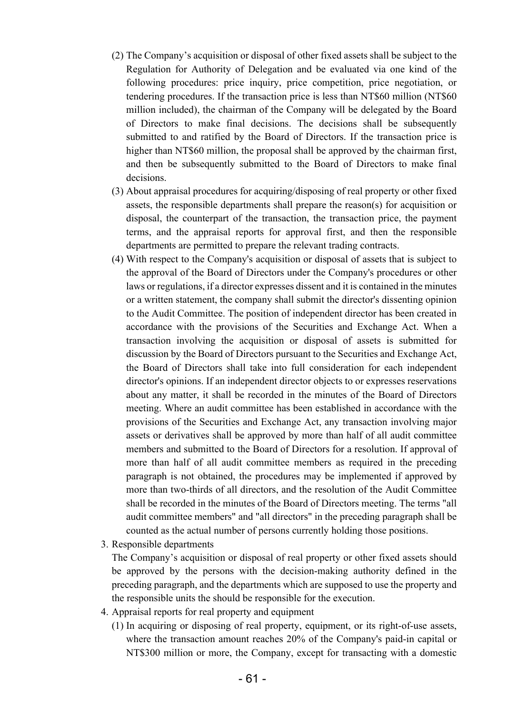- (2) The Company's acquisition or disposal of other fixed assets shall be subject to the Regulation for Authority of Delegation and be evaluated via one kind of the following procedures: price inquiry, price competition, price negotiation, or tendering procedures. If the transaction price is less than NT\$60 million (NT\$60 million included), the chairman of the Company will be delegated by the Board of Directors to make final decisions. The decisions shall be subsequently submitted to and ratified by the Board of Directors. If the transaction price is higher than NT\$60 million, the proposal shall be approved by the chairman first, and then be subsequently submitted to the Board of Directors to make final decisions.
- (3) About appraisal procedures for acquiring/disposing of real property or other fixed assets, the responsible departments shall prepare the reason(s) for acquisition or disposal, the counterpart of the transaction, the transaction price, the payment terms, and the appraisal reports for approval first, and then the responsible departments are permitted to prepare the relevant trading contracts.
- (4) With respect to the Company's acquisition or disposal of assets that is subject to the approval of the Board of Directors under the Company's procedures or other laws or regulations, if a director expresses dissent and it is contained in the minutes or a written statement, the company shall submit the director's dissenting opinion to the Audit Committee. The position of independent director has been created in accordance with the provisions of the Securities and Exchange Act. When a transaction involving the acquisition or disposal of assets is submitted for discussion by the Board of Directors pursuant to the Securities and Exchange Act, the Board of Directors shall take into full consideration for each independent director's opinions. If an independent director objects to or expresses reservations about any matter, it shall be recorded in the minutes of the Board of Directors meeting. Where an audit committee has been established in accordance with the provisions of the Securities and Exchange Act, any transaction involving major assets or derivatives shall be approved by more than half of all audit committee members and submitted to the Board of Directors for a resolution. If approval of more than half of all audit committee members as required in the preceding paragraph is not obtained, the procedures may be implemented if approved by more than two-thirds of all directors, and the resolution of the Audit Committee shall be recorded in the minutes of the Board of Directors meeting. The terms "all audit committee members" and "all directors" in the preceding paragraph shall be counted as the actual number of persons currently holding those positions.
- 3. Responsible departments

The Company's acquisition or disposal of real property or other fixed assets should be approved by the persons with the decision-making authority defined in the preceding paragraph, and the departments which are supposed to use the property and the responsible units the should be responsible for the execution.

- 4. Appraisal reports for real property and equipment
	- (1) In acquiring or disposing of real property, equipment, or its right-of-use assets, where the transaction amount reaches 20% of the Company's paid-in capital or NT\$300 million or more, the Company, except for transacting with a domestic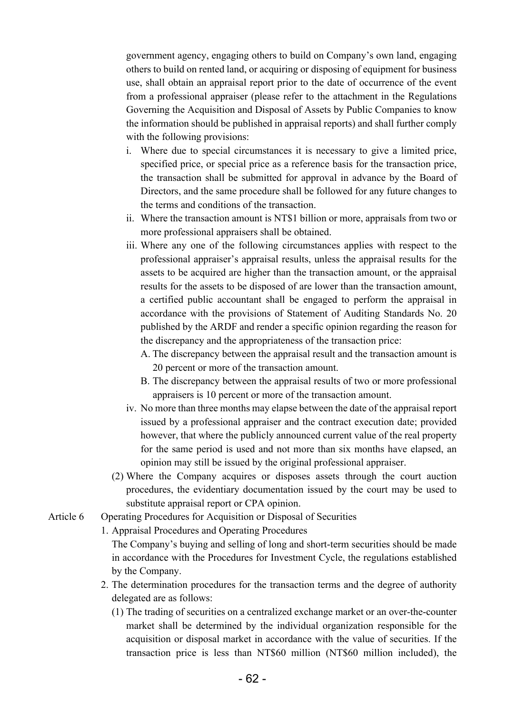government agency, engaging others to build on Company's own land, engaging others to build on rented land, or acquiring or disposing of equipment for business use, shall obtain an appraisal report prior to the date of occurrence of the event from a professional appraiser (please refer to the attachment in the Regulations Governing the Acquisition and Disposal of Assets by Public Companies to know the information should be published in appraisal reports) and shall further comply with the following provisions:

- i. Where due to special circumstances it is necessary to give a limited price, specified price, or special price as a reference basis for the transaction price, the transaction shall be submitted for approval in advance by the Board of Directors, and the same procedure shall be followed for any future changes to the terms and conditions of the transaction.
- ii. Where the transaction amount is NT\$1 billion or more, appraisals from two or more professional appraisers shall be obtained.
- iii. Where any one of the following circumstances applies with respect to the professional appraiser's appraisal results, unless the appraisal results for the assets to be acquired are higher than the transaction amount, or the appraisal results for the assets to be disposed of are lower than the transaction amount, a certified public accountant shall be engaged to perform the appraisal in accordance with the provisions of Statement of Auditing Standards No. 20 published by the ARDF and render a specific opinion regarding the reason for the discrepancy and the appropriateness of the transaction price:
	- A. The discrepancy between the appraisal result and the transaction amount is 20 percent or more of the transaction amount.
	- B. The discrepancy between the appraisal results of two or more professional appraisers is 10 percent or more of the transaction amount.
- iv. No more than three months may elapse between the date of the appraisal report issued by a professional appraiser and the contract execution date; provided however, that where the publicly announced current value of the real property for the same period is used and not more than six months have elapsed, an opinion may still be issued by the original professional appraiser.
- (2) Where the Company acquires or disposes assets through the court auction procedures, the evidentiary documentation issued by the court may be used to substitute appraisal report or CPA opinion.
- Article 6 Operating Procedures for Acquisition or Disposal of Securities

1. Appraisal Procedures and Operating Procedures

The Company's buying and selling of long and short-term securities should be made in accordance with the Procedures for Investment Cycle, the regulations established by the Company.

- 2. The determination procedures for the transaction terms and the degree of authority delegated are as follows:
	- (1) The trading of securities on a centralized exchange market or an over-the-counter market shall be determined by the individual organization responsible for the acquisition or disposal market in accordance with the value of securities. If the transaction price is less than NT\$60 million (NT\$60 million included), the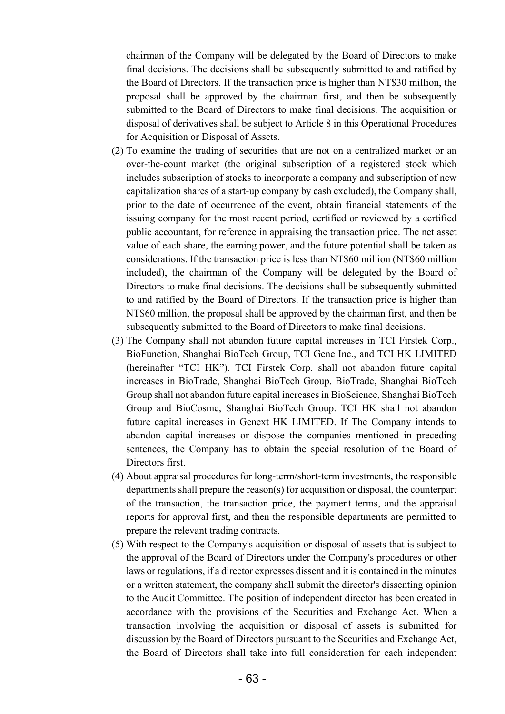chairman of the Company will be delegated by the Board of Directors to make final decisions. The decisions shall be subsequently submitted to and ratified by the Board of Directors. If the transaction price is higher than NT\$30 million, the proposal shall be approved by the chairman first, and then be subsequently submitted to the Board of Directors to make final decisions. The acquisition or disposal of derivatives shall be subject to Article 8 in this Operational Procedures for Acquisition or Disposal of Assets.

- (2) To examine the trading of securities that are not on a centralized market or an over-the-count market (the original subscription of a registered stock which includes subscription of stocks to incorporate a company and subscription of new capitalization shares of a start-up company by cash excluded), the Company shall, prior to the date of occurrence of the event, obtain financial statements of the issuing company for the most recent period, certified or reviewed by a certified public accountant, for reference in appraising the transaction price. The net asset value of each share, the earning power, and the future potential shall be taken as considerations. If the transaction price is less than NT\$60 million (NT\$60 million included), the chairman of the Company will be delegated by the Board of Directors to make final decisions. The decisions shall be subsequently submitted to and ratified by the Board of Directors. If the transaction price is higher than NT\$60 million, the proposal shall be approved by the chairman first, and then be subsequently submitted to the Board of Directors to make final decisions.
- (3) The Company shall not abandon future capital increases in TCI Firstek Corp., BioFunction, Shanghai BioTech Group, TCI Gene Inc., and TCI HK LIMITED (hereinafter "TCI HK"). TCI Firstek Corp. shall not abandon future capital increases in BioTrade, Shanghai BioTech Group. BioTrade, Shanghai BioTech Group shall not abandon future capital increases in BioScience, Shanghai BioTech Group and BioCosme, Shanghai BioTech Group. TCI HK shall not abandon future capital increases in Genext HK LIMITED. If The Company intends to abandon capital increases or dispose the companies mentioned in preceding sentences, the Company has to obtain the special resolution of the Board of Directors first.
- (4) About appraisal procedures for long-term/short-term investments, the responsible departments shall prepare the reason(s) for acquisition or disposal, the counterpart of the transaction, the transaction price, the payment terms, and the appraisal reports for approval first, and then the responsible departments are permitted to prepare the relevant trading contracts.
- (5) With respect to the Company's acquisition or disposal of assets that is subject to the approval of the Board of Directors under the Company's procedures or other laws or regulations, if a director expresses dissent and it is contained in the minutes or a written statement, the company shall submit the director's dissenting opinion to the Audit Committee. The position of independent director has been created in accordance with the provisions of the Securities and Exchange Act. When a transaction involving the acquisition or disposal of assets is submitted for discussion by the Board of Directors pursuant to the Securities and Exchange Act, the Board of Directors shall take into full consideration for each independent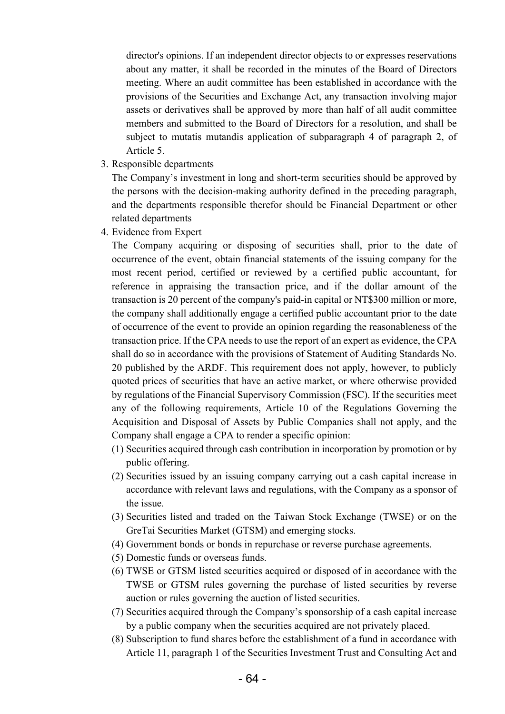director's opinions. If an independent director objects to or expresses reservations about any matter, it shall be recorded in the minutes of the Board of Directors meeting. Where an audit committee has been established in accordance with the provisions of the Securities and Exchange Act, any transaction involving major assets or derivatives shall be approved by more than half of all audit committee members and submitted to the Board of Directors for a resolution, and shall be subject to mutatis mutandis application of subparagraph 4 of paragraph 2, of Article 5.

3. Responsible departments

The Company's investment in long and short-term securities should be approved by the persons with the decision-making authority defined in the preceding paragraph, and the departments responsible therefor should be Financial Department or other related departments

4. Evidence from Expert

The Company acquiring or disposing of securities shall, prior to the date of occurrence of the event, obtain financial statements of the issuing company for the most recent period, certified or reviewed by a certified public accountant, for reference in appraising the transaction price, and if the dollar amount of the transaction is 20 percent of the company's paid-in capital or NT\$300 million or more, the company shall additionally engage a certified public accountant prior to the date of occurrence of the event to provide an opinion regarding the reasonableness of the transaction price. If the CPA needs to use the report of an expert as evidence, the CPA shall do so in accordance with the provisions of Statement of Auditing Standards No. 20 published by the ARDF. This requirement does not apply, however, to publicly quoted prices of securities that have an active market, or where otherwise provided by regulations of the Financial Supervisory Commission (FSC). If the securities meet any of the following requirements, Article 10 of the Regulations Governing the Acquisition and Disposal of Assets by Public Companies shall not apply, and the Company shall engage a CPA to render a specific opinion:

- (1) Securities acquired through cash contribution in incorporation by promotion or by public offering.
- (2) Securities issued by an issuing company carrying out a cash capital increase in accordance with relevant laws and regulations, with the Company as a sponsor of the issue.
- (3) Securities listed and traded on the Taiwan Stock Exchange (TWSE) or on the GreTai Securities Market (GTSM) and emerging stocks.
- (4) Government bonds or bonds in repurchase or reverse purchase agreements.
- (5) Domestic funds or overseas funds.
- (6) TWSE or GTSM listed securities acquired or disposed of in accordance with the TWSE or GTSM rules governing the purchase of listed securities by reverse auction or rules governing the auction of listed securities.
- (7) Securities acquired through the Company's sponsorship of a cash capital increase by a public company when the securities acquired are not privately placed.
- (8) Subscription to fund shares before the establishment of a fund in accordance with Article 11, paragraph 1 of the Securities Investment Trust and Consulting Act and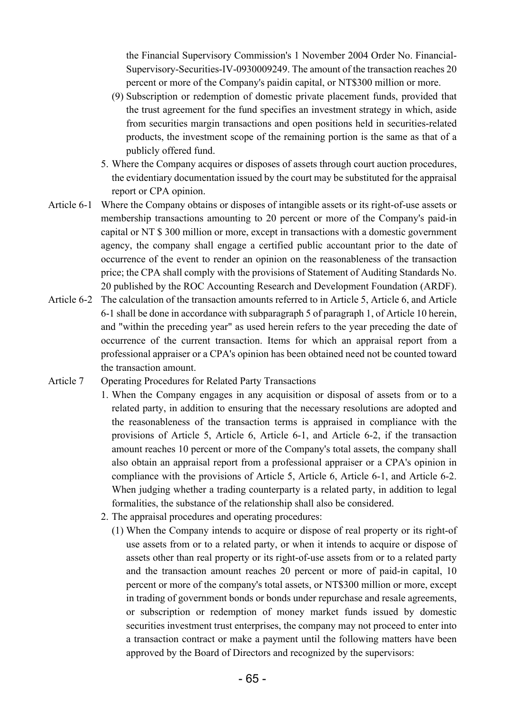the Financial Supervisory Commission's 1 November 2004 Order No. Financial-Supervisory-Securities-IV-0930009249. The amount of the transaction reaches 20 percent or more of the Company's paidin capital, or NT\$300 million or more.

- (9) Subscription or redemption of domestic private placement funds, provided that the trust agreement for the fund specifies an investment strategy in which, aside from securities margin transactions and open positions held in securities-related products, the investment scope of the remaining portion is the same as that of a publicly offered fund.
- 5. Where the Company acquires or disposes of assets through court auction procedures, the evidentiary documentation issued by the court may be substituted for the appraisal report or CPA opinion.
- Article 6-1 Where the Company obtains or disposes of intangible assets or its right-of-use assets or membership transactions amounting to 20 percent or more of the Company's paid-in capital or NT \$ 300 million or more, except in transactions with a domestic government agency, the company shall engage a certified public accountant prior to the date of occurrence of the event to render an opinion on the reasonableness of the transaction price; the CPA shall comply with the provisions of Statement of Auditing Standards No. 20 published by the ROC Accounting Research and Development Foundation (ARDF).
- Article 6-2 The calculation of the transaction amounts referred to in Article 5, Article 6, and Article 6-1 shall be done in accordance with subparagraph 5 of paragraph 1, of Article 10 herein, and "within the preceding year" as used herein refers to the year preceding the date of occurrence of the current transaction. Items for which an appraisal report from a professional appraiser or a CPA's opinion has been obtained need not be counted toward the transaction amount.
- Article 7 Operating Procedures for Related Party Transactions
	- 1. When the Company engages in any acquisition or disposal of assets from or to a related party, in addition to ensuring that the necessary resolutions are adopted and the reasonableness of the transaction terms is appraised in compliance with the provisions of Article 5, Article 6, Article 6-1, and Article 6-2, if the transaction amount reaches 10 percent or more of the Company's total assets, the company shall also obtain an appraisal report from a professional appraiser or a CPA's opinion in compliance with the provisions of Article 5, Article 6, Article 6-1, and Article 6-2. When judging whether a trading counterparty is a related party, in addition to legal formalities, the substance of the relationship shall also be considered.
		- 2. The appraisal procedures and operating procedures:
			- (1) When the Company intends to acquire or dispose of real property or its right-of use assets from or to a related party, or when it intends to acquire or dispose of assets other than real property or its right-of-use assets from or to a related party and the transaction amount reaches 20 percent or more of paid-in capital, 10 percent or more of the company's total assets, or NT\$300 million or more, except in trading of government bonds or bonds under repurchase and resale agreements, or subscription or redemption of money market funds issued by domestic securities investment trust enterprises, the company may not proceed to enter into a transaction contract or make a payment until the following matters have been approved by the Board of Directors and recognized by the supervisors: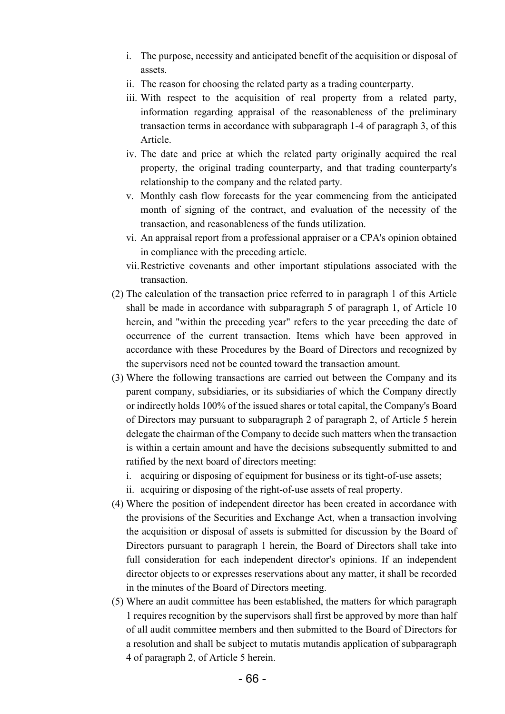- i. The purpose, necessity and anticipated benefit of the acquisition or disposal of assets.
- ii. The reason for choosing the related party as a trading counterparty.
- iii. With respect to the acquisition of real property from a related party, information regarding appraisal of the reasonableness of the preliminary transaction terms in accordance with subparagraph 1-4 of paragraph 3, of this Article.
- iv. The date and price at which the related party originally acquired the real property, the original trading counterparty, and that trading counterparty's relationship to the company and the related party.
- v. Monthly cash flow forecasts for the year commencing from the anticipated month of signing of the contract, and evaluation of the necessity of the transaction, and reasonableness of the funds utilization.
- vi. An appraisal report from a professional appraiser or a CPA's opinion obtained in compliance with the preceding article.
- vii. Restrictive covenants and other important stipulations associated with the transaction.
- (2) The calculation of the transaction price referred to in paragraph 1 of this Article shall be made in accordance with subparagraph 5 of paragraph 1, of Article 10 herein, and "within the preceding year" refers to the year preceding the date of occurrence of the current transaction. Items which have been approved in accordance with these Procedures by the Board of Directors and recognized by the supervisors need not be counted toward the transaction amount.
- (3) Where the following transactions are carried out between the Company and its parent company, subsidiaries, or its subsidiaries of which the Company directly or indirectly holds 100% of the issued shares or total capital, the Company's Board of Directors may pursuant to subparagraph 2 of paragraph 2, of Article 5 herein delegate the chairman of the Company to decide such matters when the transaction is within a certain amount and have the decisions subsequently submitted to and ratified by the next board of directors meeting:
	- i. acquiring or disposing of equipment for business or its tight-of-use assets;
	- ii. acquiring or disposing of the right-of-use assets of real property.
- (4) Where the position of independent director has been created in accordance with the provisions of the Securities and Exchange Act, when a transaction involving the acquisition or disposal of assets is submitted for discussion by the Board of Directors pursuant to paragraph 1 herein, the Board of Directors shall take into full consideration for each independent director's opinions. If an independent director objects to or expresses reservations about any matter, it shall be recorded in the minutes of the Board of Directors meeting.
- (5) Where an audit committee has been established, the matters for which paragraph 1 requires recognition by the supervisors shall first be approved by more than half of all audit committee members and then submitted to the Board of Directors for a resolution and shall be subject to mutatis mutandis application of subparagraph 4 of paragraph 2, of Article 5 herein.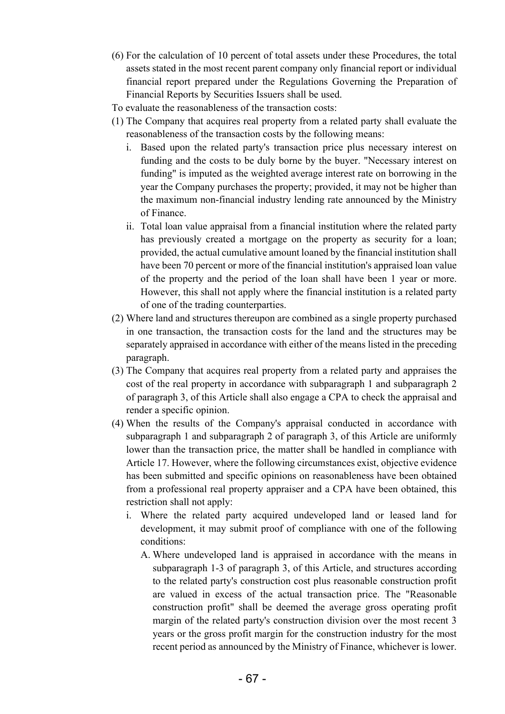- (6) For the calculation of 10 percent of total assets under these Procedures, the total assets stated in the most recent parent company only financial report or individual financial report prepared under the Regulations Governing the Preparation of Financial Reports by Securities Issuers shall be used.
- To evaluate the reasonableness of the transaction costs:
- (1) The Company that acquires real property from a related party shall evaluate the reasonableness of the transaction costs by the following means:
	- i. Based upon the related party's transaction price plus necessary interest on funding and the costs to be duly borne by the buyer. "Necessary interest on funding" is imputed as the weighted average interest rate on borrowing in the year the Company purchases the property; provided, it may not be higher than the maximum non-financial industry lending rate announced by the Ministry of Finance.
	- ii. Total loan value appraisal from a financial institution where the related party has previously created a mortgage on the property as security for a loan; provided, the actual cumulative amount loaned by the financial institution shall have been 70 percent or more of the financial institution's appraised loan value of the property and the period of the loan shall have been 1 year or more. However, this shall not apply where the financial institution is a related party of one of the trading counterparties.
- (2) Where land and structures thereupon are combined as a single property purchased in one transaction, the transaction costs for the land and the structures may be separately appraised in accordance with either of the means listed in the preceding paragraph.
- (3) The Company that acquires real property from a related party and appraises the cost of the real property in accordance with subparagraph 1 and subparagraph 2 of paragraph 3, of this Article shall also engage a CPA to check the appraisal and render a specific opinion.
- (4) When the results of the Company's appraisal conducted in accordance with subparagraph 1 and subparagraph 2 of paragraph 3, of this Article are uniformly lower than the transaction price, the matter shall be handled in compliance with Article 17. However, where the following circumstances exist, objective evidence has been submitted and specific opinions on reasonableness have been obtained from a professional real property appraiser and a CPA have been obtained, this restriction shall not apply:
	- i. Where the related party acquired undeveloped land or leased land for development, it may submit proof of compliance with one of the following conditions:
		- A. Where undeveloped land is appraised in accordance with the means in subparagraph 1-3 of paragraph 3, of this Article, and structures according to the related party's construction cost plus reasonable construction profit are valued in excess of the actual transaction price. The "Reasonable construction profit" shall be deemed the average gross operating profit margin of the related party's construction division over the most recent 3 years or the gross profit margin for the construction industry for the most recent period as announced by the Ministry of Finance, whichever is lower.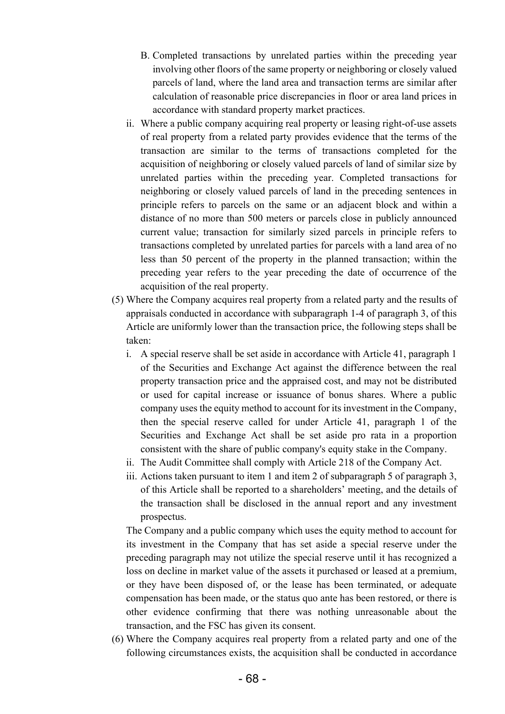- B. Completed transactions by unrelated parties within the preceding year involving other floors of the same property or neighboring or closely valued parcels of land, where the land area and transaction terms are similar after calculation of reasonable price discrepancies in floor or area land prices in accordance with standard property market practices.
- ii. Where a public company acquiring real property or leasing right-of-use assets of real property from a related party provides evidence that the terms of the transaction are similar to the terms of transactions completed for the acquisition of neighboring or closely valued parcels of land of similar size by unrelated parties within the preceding year. Completed transactions for neighboring or closely valued parcels of land in the preceding sentences in principle refers to parcels on the same or an adjacent block and within a distance of no more than 500 meters or parcels close in publicly announced current value; transaction for similarly sized parcels in principle refers to transactions completed by unrelated parties for parcels with a land area of no less than 50 percent of the property in the planned transaction; within the preceding year refers to the year preceding the date of occurrence of the acquisition of the real property.
- (5) Where the Company acquires real property from a related party and the results of appraisals conducted in accordance with subparagraph 1-4 of paragraph 3, of this Article are uniformly lower than the transaction price, the following steps shall be taken:
	- i. A special reserve shall be set aside in accordance with Article 41, paragraph 1 of the Securities and Exchange Act against the difference between the real property transaction price and the appraised cost, and may not be distributed or used for capital increase or issuance of bonus shares. Where a public company uses the equity method to account for its investment in the Company, then the special reserve called for under Article 41, paragraph 1 of the Securities and Exchange Act shall be set aside pro rata in a proportion consistent with the share of public company's equity stake in the Company.
	- ii. The Audit Committee shall comply with Article 218 of the Company Act.
	- iii. Actions taken pursuant to item 1 and item 2 of subparagraph 5 of paragraph 3, of this Article shall be reported to a shareholders' meeting, and the details of the transaction shall be disclosed in the annual report and any investment prospectus.

The Company and a public company which uses the equity method to account for its investment in the Company that has set aside a special reserve under the preceding paragraph may not utilize the special reserve until it has recognized a loss on decline in market value of the assets it purchased or leased at a premium, or they have been disposed of, or the lease has been terminated, or adequate compensation has been made, or the status quo ante has been restored, or there is other evidence confirming that there was nothing unreasonable about the transaction, and the FSC has given its consent.

(6) Where the Company acquires real property from a related party and one of the following circumstances exists, the acquisition shall be conducted in accordance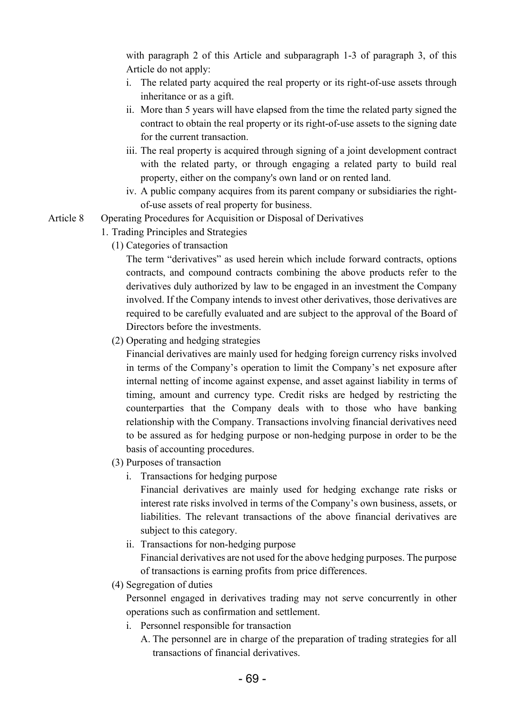with paragraph 2 of this Article and subparagraph 1-3 of paragraph 3, of this Article do not apply:

- i. The related party acquired the real property or its right-of-use assets through inheritance or as a gift.
- ii. More than 5 years will have elapsed from the time the related party signed the contract to obtain the real property or its right-of-use assets to the signing date for the current transaction.
- iii. The real property is acquired through signing of a joint development contract with the related party, or through engaging a related party to build real property, either on the company's own land or on rented land.
- iv. A public company acquires from its parent company or subsidiaries the rightof-use assets of real property for business.
- Article 8 Operating Procedures for Acquisition or Disposal of Derivatives
	- 1. Trading Principles and Strategies
		- (1) Categories of transaction

The term "derivatives" as used herein which include forward contracts, options contracts, and compound contracts combining the above products refer to the derivatives duly authorized by law to be engaged in an investment the Company involved. If the Company intends to invest other derivatives, those derivatives are required to be carefully evaluated and are subject to the approval of the Board of Directors before the investments.

(2) Operating and hedging strategies

Financial derivatives are mainly used for hedging foreign currency risks involved in terms of the Company's operation to limit the Company's net exposure after internal netting of income against expense, and asset against liability in terms of timing, amount and currency type. Credit risks are hedged by restricting the counterparties that the Company deals with to those who have banking relationship with the Company. Transactions involving financial derivatives need to be assured as for hedging purpose or non-hedging purpose in order to be the basis of accounting procedures.

- (3) Purposes of transaction
	- i. Transactions for hedging purpose

Financial derivatives are mainly used for hedging exchange rate risks or interest rate risks involved in terms of the Company's own business, assets, or liabilities. The relevant transactions of the above financial derivatives are subject to this category.

- ii. Transactions for non-hedging purpose Financial derivatives are not used for the above hedging purposes. The purpose of transactions is earning profits from price differences.
- (4) Segregation of duties

Personnel engaged in derivatives trading may not serve concurrently in other operations such as confirmation and settlement.

- i. Personnel responsible for transaction
	- A. The personnel are in charge of the preparation of trading strategies for all transactions of financial derivatives.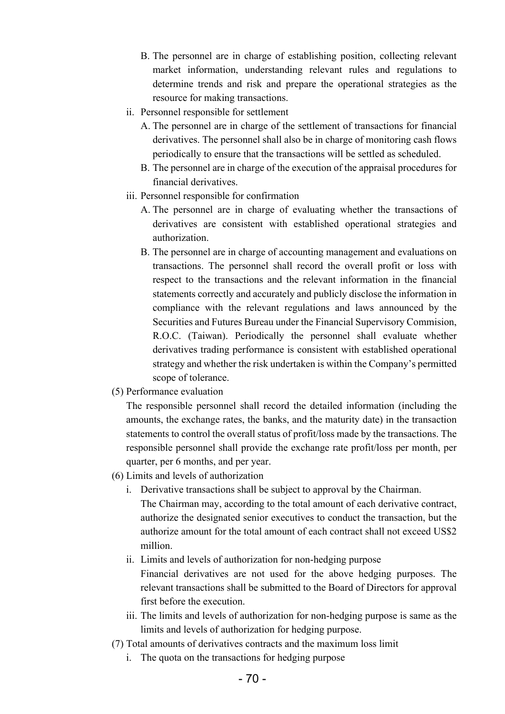- B. The personnel are in charge of establishing position, collecting relevant market information, understanding relevant rules and regulations to determine trends and risk and prepare the operational strategies as the resource for making transactions.
- ii. Personnel responsible for settlement
	- A. The personnel are in charge of the settlement of transactions for financial derivatives. The personnel shall also be in charge of monitoring cash flows periodically to ensure that the transactions will be settled as scheduled.
	- B. The personnel are in charge of the execution of the appraisal procedures for financial derivatives.
- iii. Personnel responsible for confirmation
	- A. The personnel are in charge of evaluating whether the transactions of derivatives are consistent with established operational strategies and authorization.
	- B. The personnel are in charge of accounting management and evaluations on transactions. The personnel shall record the overall profit or loss with respect to the transactions and the relevant information in the financial statements correctly and accurately and publicly disclose the information in compliance with the relevant regulations and laws announced by the Securities and Futures Bureau under the Financial Supervisory Commision, R.O.C. (Taiwan). Periodically the personnel shall evaluate whether derivatives trading performance is consistent with established operational strategy and whether the risk undertaken is within the Company's permitted scope of tolerance.
- (5) Performance evaluation

The responsible personnel shall record the detailed information (including the amounts, the exchange rates, the banks, and the maturity date) in the transaction statements to control the overall status of profit/loss made by the transactions. The responsible personnel shall provide the exchange rate profit/loss per month, per quarter, per 6 months, and per year.

- (6) Limits and levels of authorization
	- i. Derivative transactions shall be subject to approval by the Chairman. The Chairman may, according to the total amount of each derivative contract, authorize the designated senior executives to conduct the transaction, but the authorize amount for the total amount of each contract shall not exceed US\$2 million.
	- ii. Limits and levels of authorization for non-hedging purpose Financial derivatives are not used for the above hedging purposes. The relevant transactions shall be submitted to the Board of Directors for approval first before the execution.
	- iii. The limits and levels of authorization for non-hedging purpose is same as the limits and levels of authorization for hedging purpose.
- (7) Total amounts of derivatives contracts and the maximum loss limit
	- i. The quota on the transactions for hedging purpose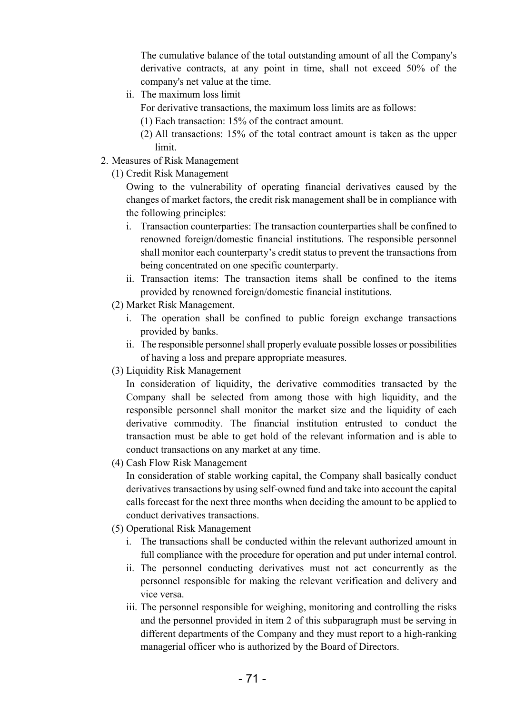The cumulative balance of the total outstanding amount of all the Company's derivative contracts, at any point in time, shall not exceed 50% of the company's net value at the time.

ii. The maximum loss limit

For derivative transactions, the maximum loss limits are as follows:

- (1) Each transaction: 15% of the contract amount.
- (2) All transactions: 15% of the total contract amount is taken as the upper limit.
- 2. Measures of Risk Management
	- (1) Credit Risk Management

Owing to the vulnerability of operating financial derivatives caused by the changes of market factors, the credit risk management shall be in compliance with the following principles:

- i. Transaction counterparties: The transaction counterparties shall be confined to renowned foreign/domestic financial institutions. The responsible personnel shall monitor each counterparty's credit status to prevent the transactions from being concentrated on one specific counterparty.
- ii. Transaction items: The transaction items shall be confined to the items provided by renowned foreign/domestic financial institutions.
- (2) Market Risk Management.
	- i. The operation shall be confined to public foreign exchange transactions provided by banks.
	- ii. The responsible personnel shall properly evaluate possible losses or possibilities of having a loss and prepare appropriate measures.
- (3) Liquidity Risk Management

In consideration of liquidity, the derivative commodities transacted by the Company shall be selected from among those with high liquidity, and the responsible personnel shall monitor the market size and the liquidity of each derivative commodity. The financial institution entrusted to conduct the transaction must be able to get hold of the relevant information and is able to conduct transactions on any market at any time.

(4) Cash Flow Risk Management

In consideration of stable working capital, the Company shall basically conduct derivatives transactions by using self-owned fund and take into account the capital calls forecast for the next three months when deciding the amount to be applied to conduct derivatives transactions.

- (5) Operational Risk Management
	- i. The transactions shall be conducted within the relevant authorized amount in full compliance with the procedure for operation and put under internal control.
	- ii. The personnel conducting derivatives must not act concurrently as the personnel responsible for making the relevant verification and delivery and vice versa.
	- iii. The personnel responsible for weighing, monitoring and controlling the risks and the personnel provided in item 2 of this subparagraph must be serving in different departments of the Company and they must report to a high-ranking managerial officer who is authorized by the Board of Directors.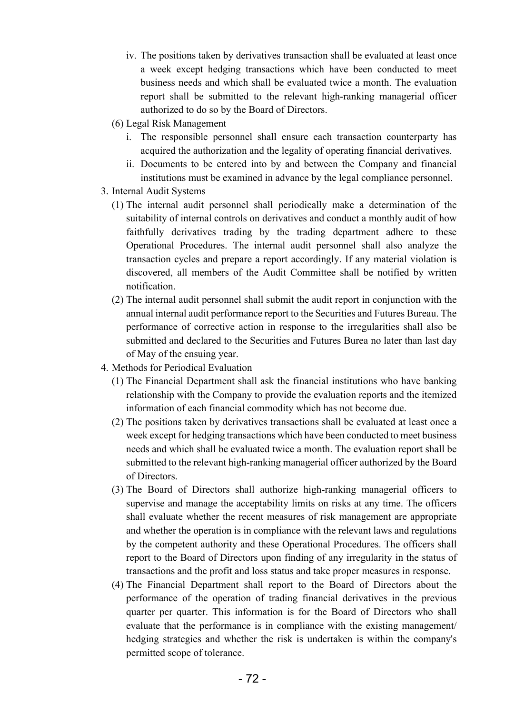- iv. The positions taken by derivatives transaction shall be evaluated at least once a week except hedging transactions which have been conducted to meet business needs and which shall be evaluated twice a month. The evaluation report shall be submitted to the relevant high-ranking managerial officer authorized to do so by the Board of Directors.
- (6) Legal Risk Management
	- i. The responsible personnel shall ensure each transaction counterparty has acquired the authorization and the legality of operating financial derivatives.
	- ii. Documents to be entered into by and between the Company and financial institutions must be examined in advance by the legal compliance personnel.
- 3. Internal Audit Systems
	- (1) The internal audit personnel shall periodically make a determination of the suitability of internal controls on derivatives and conduct a monthly audit of how faithfully derivatives trading by the trading department adhere to these Operational Procedures. The internal audit personnel shall also analyze the transaction cycles and prepare a report accordingly. If any material violation is discovered, all members of the Audit Committee shall be notified by written notification.
	- (2) The internal audit personnel shall submit the audit report in conjunction with the annual internal audit performance report to the Securities and Futures Bureau. The performance of corrective action in response to the irregularities shall also be submitted and declared to the Securities and Futures Burea no later than last day of May of the ensuing year.
- 4. Methods for Periodical Evaluation
	- (1) The Financial Department shall ask the financial institutions who have banking relationship with the Company to provide the evaluation reports and the itemized information of each financial commodity which has not become due.
	- (2) The positions taken by derivatives transactions shall be evaluated at least once a week except for hedging transactions which have been conducted to meet business needs and which shall be evaluated twice a month. The evaluation report shall be submitted to the relevant high-ranking managerial officer authorized by the Board of Directors.
	- (3) The Board of Directors shall authorize high-ranking managerial officers to supervise and manage the acceptability limits on risks at any time. The officers shall evaluate whether the recent measures of risk management are appropriate and whether the operation is in compliance with the relevant laws and regulations by the competent authority and these Operational Procedures. The officers shall report to the Board of Directors upon finding of any irregularity in the status of transactions and the profit and loss status and take proper measures in response.
	- (4) The Financial Department shall report to the Board of Directors about the performance of the operation of trading financial derivatives in the previous quarter per quarter. This information is for the Board of Directors who shall evaluate that the performance is in compliance with the existing management/ hedging strategies and whether the risk is undertaken is within the company's permitted scope of tolerance.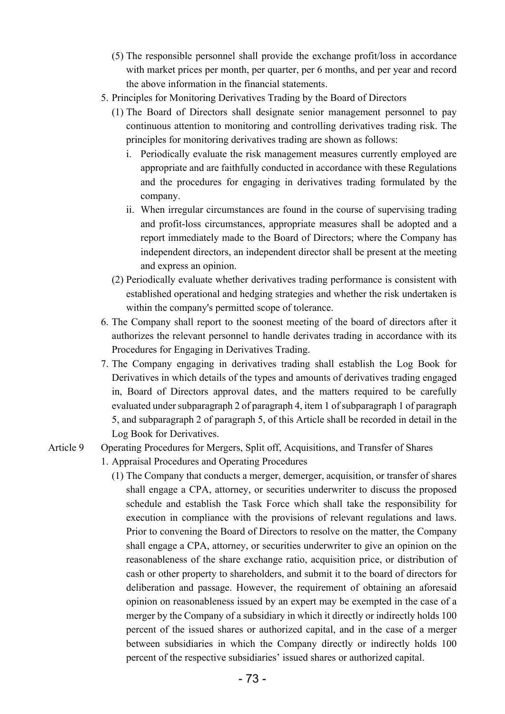- (5) The responsible personnel shall provide the exchange profit/loss in accordance with market prices per month, per quarter, per 6 months, and per year and record the above information in the financial statements.
- 5. Principles for Monitoring Derivatives Trading by the Board of Directors
	- (1) The Board of Directors shall designate senior management personnel to pay continuous attention to monitoring and controlling derivatives trading risk. The principles for monitoring derivatives trading are shown as follows:
		- i. Periodically evaluate the risk management measures currently employed are appropriate and are faithfully conducted in accordance with these Regulations and the procedures for engaging in derivatives trading formulated by the company.
		- ii. When irregular circumstances are found in the course of supervising trading and profit-loss circumstances, appropriate measures shall be adopted and a report immediately made to the Board of Directors; where the Company has independent directors, an independent director shall be present at the meeting and express an opinion.
	- (2) Periodically evaluate whether derivatives trading performance is consistent with established operational and hedging strategies and whether the risk undertaken is within the company's permitted scope of tolerance.
- 6. The Company shall report to the soonest meeting of the board of directors after it authorizes the relevant personnel to handle derivates trading in accordance with its Procedures for Engaging in Derivatives Trading.
- 7. The Company engaging in derivatives trading shall establish the Log Book for Derivatives in which details of the types and amounts of derivatives trading engaged in, Board of Directors approval dates, and the matters required to be carefully evaluated under subparagraph 2 of paragraph 4, item 1 of subparagraph 1 of paragraph 5, and subparagraph 2 of paragraph 5, of this Article shall be recorded in detail in the Log Book for Derivatives.

#### Article 9 Operating Procedures for Mergers, Split off, Acquisitions, and Transfer of Shares

- 1. Appraisal Procedures and Operating Procedures
	- (1) The Company that conducts a merger, demerger, acquisition, or transfer of shares shall engage a CPA, attorney, or securities underwriter to discuss the proposed schedule and establish the Task Force which shall take the responsibility for execution in compliance with the provisions of relevant regulations and laws. Prior to convening the Board of Directors to resolve on the matter, the Company shall engage a CPA, attorney, or securities underwriter to give an opinion on the reasonableness of the share exchange ratio, acquisition price, or distribution of cash or other property to shareholders, and submit it to the board of directors for deliberation and passage. However, the requirement of obtaining an aforesaid opinion on reasonableness issued by an expert may be exempted in the case of a merger by the Company of a subsidiary in which it directly or indirectly holds 100 percent of the issued shares or authorized capital, and in the case of a merger between subsidiaries in which the Company directly or indirectly holds 100 percent of the respective subsidiaries' issued shares or authorized capital.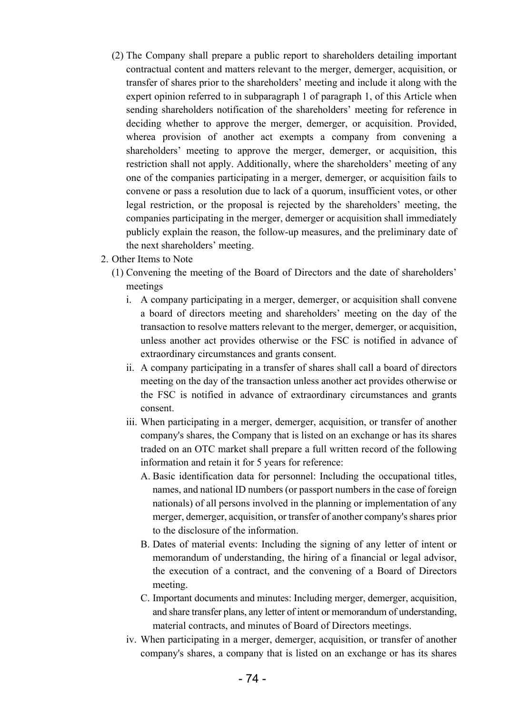- (2) The Company shall prepare a public report to shareholders detailing important contractual content and matters relevant to the merger, demerger, acquisition, or transfer of shares prior to the shareholders' meeting and include it along with the expert opinion referred to in subparagraph 1 of paragraph 1, of this Article when sending shareholders notification of the shareholders' meeting for reference in deciding whether to approve the merger, demerger, or acquisition. Provided, wherea provision of another act exempts a company from convening a shareholders' meeting to approve the merger, demerger, or acquisition, this restriction shall not apply. Additionally, where the shareholders' meeting of any one of the companies participating in a merger, demerger, or acquisition fails to convene or pass a resolution due to lack of a quorum, insufficient votes, or other legal restriction, or the proposal is rejected by the shareholders' meeting, the companies participating in the merger, demerger or acquisition shall immediately publicly explain the reason, the follow-up measures, and the preliminary date of the next shareholders' meeting.
- 2. Other Items to Note
	- (1) Convening the meeting of the Board of Directors and the date of shareholders' meetings
		- i. A company participating in a merger, demerger, or acquisition shall convene a board of directors meeting and shareholders' meeting on the day of the transaction to resolve matters relevant to the merger, demerger, or acquisition, unless another act provides otherwise or the FSC is notified in advance of extraordinary circumstances and grants consent.
		- ii. A company participating in a transfer of shares shall call a board of directors meeting on the day of the transaction unless another act provides otherwise or the FSC is notified in advance of extraordinary circumstances and grants consent.
		- iii. When participating in a merger, demerger, acquisition, or transfer of another company's shares, the Company that is listed on an exchange or has its shares traded on an OTC market shall prepare a full written record of the following information and retain it for 5 years for reference:
			- A. Basic identification data for personnel: Including the occupational titles, names, and national ID numbers (or passport numbers in the case of foreign nationals) of all persons involved in the planning or implementation of any merger, demerger, acquisition, or transfer of another company's shares prior to the disclosure of the information.
			- B. Dates of material events: Including the signing of any letter of intent or memorandum of understanding, the hiring of a financial or legal advisor, the execution of a contract, and the convening of a Board of Directors meeting.
			- C. Important documents and minutes: Including merger, demerger, acquisition, and share transfer plans, any letter of intent or memorandum of understanding, material contracts, and minutes of Board of Directors meetings.
		- iv. When participating in a merger, demerger, acquisition, or transfer of another company's shares, a company that is listed on an exchange or has its shares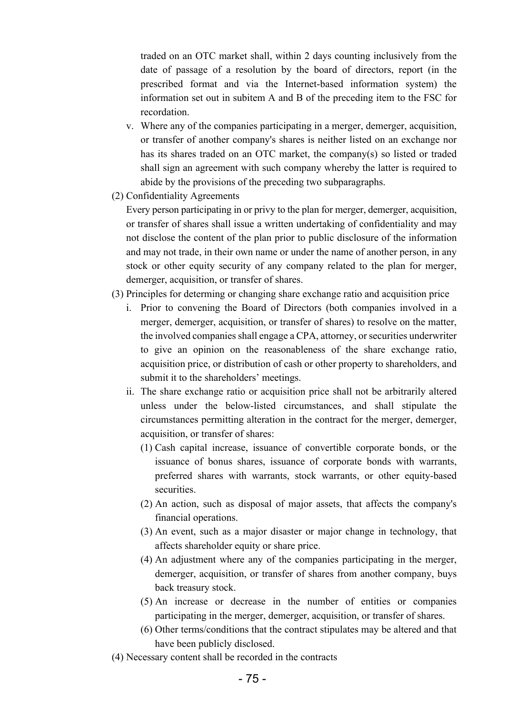traded on an OTC market shall, within 2 days counting inclusively from the date of passage of a resolution by the board of directors, report (in the prescribed format and via the Internet-based information system) the information set out in subitem A and B of the preceding item to the FSC for recordation.

- v. Where any of the companies participating in a merger, demerger, acquisition, or transfer of another company's shares is neither listed on an exchange nor has its shares traded on an OTC market, the company(s) so listed or traded shall sign an agreement with such company whereby the latter is required to abide by the provisions of the preceding two subparagraphs.
- (2) Confidentiality Agreements

Every person participating in or privy to the plan for merger, demerger, acquisition, or transfer of shares shall issue a written undertaking of confidentiality and may not disclose the content of the plan prior to public disclosure of the information and may not trade, in their own name or under the name of another person, in any stock or other equity security of any company related to the plan for merger, demerger, acquisition, or transfer of shares.

- (3) Principles for determing or changing share exchange ratio and acquisition price
	- i. Prior to convening the Board of Directors (both companies involved in a merger, demerger, acquisition, or transfer of shares) to resolve on the matter, the involved companies shall engage a CPA, attorney, or securities underwriter to give an opinion on the reasonableness of the share exchange ratio, acquisition price, or distribution of cash or other property to shareholders, and submit it to the shareholders' meetings.
	- ii. The share exchange ratio or acquisition price shall not be arbitrarily altered unless under the below-listed circumstances, and shall stipulate the circumstances permitting alteration in the contract for the merger, demerger, acquisition, or transfer of shares:
		- (1) Cash capital increase, issuance of convertible corporate bonds, or the issuance of bonus shares, issuance of corporate bonds with warrants, preferred shares with warrants, stock warrants, or other equity-based securities.
		- (2) An action, such as disposal of major assets, that affects the company's financial operations.
		- (3) An event, such as a major disaster or major change in technology, that affects shareholder equity or share price.
		- (4) An adjustment where any of the companies participating in the merger, demerger, acquisition, or transfer of shares from another company, buys back treasury stock.
		- (5) An increase or decrease in the number of entities or companies participating in the merger, demerger, acquisition, or transfer of shares.
		- (6) Other terms/conditions that the contract stipulates may be altered and that have been publicly disclosed.
- (4) Necessary content shall be recorded in the contracts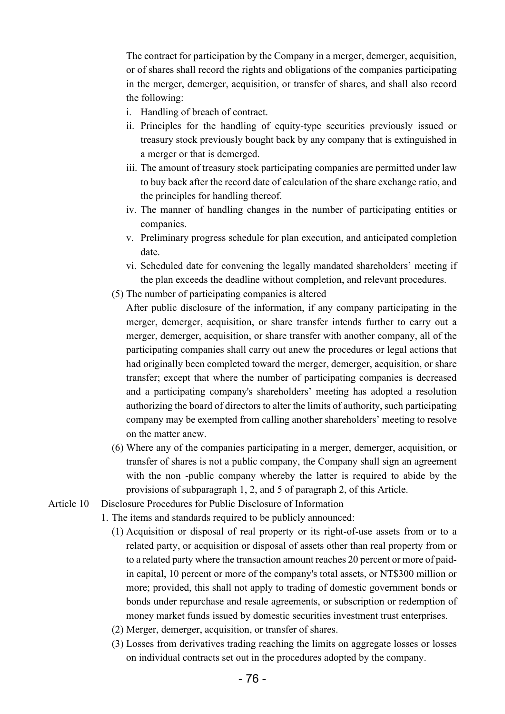The contract for participation by the Company in a merger, demerger, acquisition, or of shares shall record the rights and obligations of the companies participating in the merger, demerger, acquisition, or transfer of shares, and shall also record the following:

- i. Handling of breach of contract.
- ii. Principles for the handling of equity-type securities previously issued or treasury stock previously bought back by any company that is extinguished in a merger or that is demerged.
- iii. The amount of treasury stock participating companies are permitted under law to buy back after the record date of calculation of the share exchange ratio, and the principles for handling thereof.
- iv. The manner of handling changes in the number of participating entities or companies.
- v. Preliminary progress schedule for plan execution, and anticipated completion date.
- vi. Scheduled date for convening the legally mandated shareholders' meeting if the plan exceeds the deadline without completion, and relevant procedures.
- (5) The number of participating companies is altered
	- After public disclosure of the information, if any company participating in the merger, demerger, acquisition, or share transfer intends further to carry out a merger, demerger, acquisition, or share transfer with another company, all of the participating companies shall carry out anew the procedures or legal actions that had originally been completed toward the merger, demerger, acquisition, or share transfer; except that where the number of participating companies is decreased and a participating company's shareholders' meeting has adopted a resolution authorizing the board of directors to alter the limits of authority, such participating company may be exempted from calling another shareholders' meeting to resolve on the matter anew.
- (6) Where any of the companies participating in a merger, demerger, acquisition, or transfer of shares is not a public company, the Company shall sign an agreement with the non -public company whereby the latter is required to abide by the provisions of subparagraph 1, 2, and 5 of paragraph 2, of this Article.
- Article 10 Disclosure Procedures for Public Disclosure of Information
	- 1. The items and standards required to be publicly announced:
		- (1) Acquisition or disposal of real property or its right-of-use assets from or to a related party, or acquisition or disposal of assets other than real property from or to a related party where the transaction amount reaches 20 percent or more of paidin capital, 10 percent or more of the company's total assets, or NT\$300 million or more; provided, this shall not apply to trading of domestic government bonds or bonds under repurchase and resale agreements, or subscription or redemption of money market funds issued by domestic securities investment trust enterprises.
		- (2) Merger, demerger, acquisition, or transfer of shares.
		- (3) Losses from derivatives trading reaching the limits on aggregate losses or losses on individual contracts set out in the procedures adopted by the company.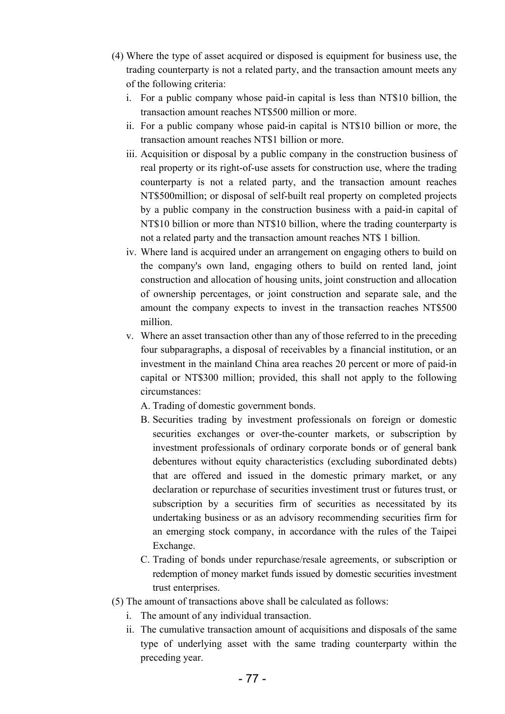- (4) Where the type of asset acquired or disposed is equipment for business use, the trading counterparty is not a related party, and the transaction amount meets any of the following criteria:
	- i. For a public company whose paid-in capital is less than NT\$10 billion, the transaction amount reaches NT\$500 million or more.
	- ii. For a public company whose paid-in capital is NT\$10 billion or more, the transaction amount reaches NT\$1 billion or more.
	- iii. Acquisition or disposal by a public company in the construction business of real property or its right-of-use assets for construction use, where the trading counterparty is not a related party, and the transaction amount reaches NT\$500million; or disposal of self-built real property on completed projects by a public company in the construction business with a paid-in capital of NT\$10 billion or more than NT\$10 billion, where the trading counterparty is not a related party and the transaction amount reaches NT\$ 1 billion.
	- iv. Where land is acquired under an arrangement on engaging others to build on the company's own land, engaging others to build on rented land, joint construction and allocation of housing units, joint construction and allocation of ownership percentages, or joint construction and separate sale, and the amount the company expects to invest in the transaction reaches NT\$500 million.
	- v. Where an asset transaction other than any of those referred to in the preceding four subparagraphs, a disposal of receivables by a financial institution, or an investment in the mainland China area reaches 20 percent or more of paid-in capital or NT\$300 million; provided, this shall not apply to the following circumstances:
		- A. Trading of domestic government bonds.
		- B. Securities trading by investment professionals on foreign or domestic securities exchanges or over-the-counter markets, or subscription by investment professionals of ordinary corporate bonds or of general bank debentures without equity characteristics (excluding subordinated debts) that are offered and issued in the domestic primary market, or any declaration or repurchase of securities investiment trust or futures trust, or subscription by a securities firm of securities as necessitated by its undertaking business or as an advisory recommending securities firm for an emerging stock company, in accordance with the rules of the Taipei Exchange.
		- C. Trading of bonds under repurchase/resale agreements, or subscription or redemption of money market funds issued by domestic securities investment trust enterprises.
- (5) The amount of transactions above shall be calculated as follows:
	- i. The amount of any individual transaction.
	- ii. The cumulative transaction amount of acquisitions and disposals of the same type of underlying asset with the same trading counterparty within the preceding year.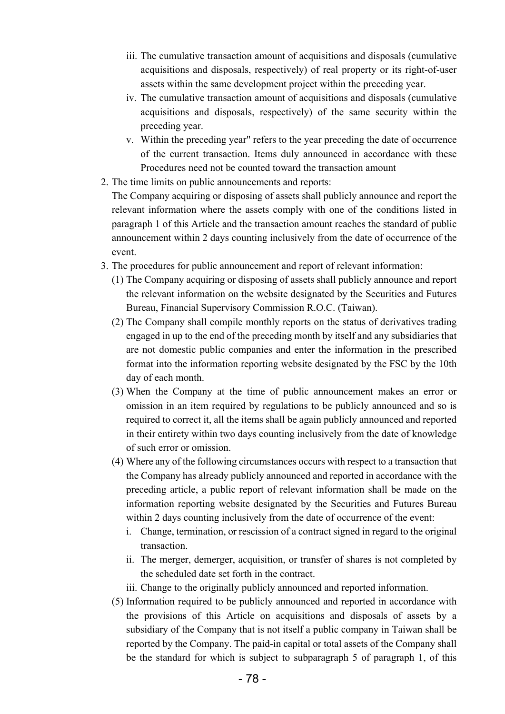- iii. The cumulative transaction amount of acquisitions and disposals (cumulative acquisitions and disposals, respectively) of real property or its right-of-user assets within the same development project within the preceding year.
- iv. The cumulative transaction amount of acquisitions and disposals (cumulative acquisitions and disposals, respectively) of the same security within the preceding year.
- v. Within the preceding year" refers to the year preceding the date of occurrence of the current transaction. Items duly announced in accordance with these Procedures need not be counted toward the transaction amount
- 2. The time limits on public announcements and reports:

The Company acquiring or disposing of assets shall publicly announce and report the relevant information where the assets comply with one of the conditions listed in paragraph 1 of this Article and the transaction amount reaches the standard of public announcement within 2 days counting inclusively from the date of occurrence of the event.

- 3. The procedures for public announcement and report of relevant information:
	- (1) The Company acquiring or disposing of assets shall publicly announce and report the relevant information on the website designated by the Securities and Futures Bureau, Financial Supervisory Commission R.O.C. (Taiwan).
	- (2) The Company shall compile monthly reports on the status of derivatives trading engaged in up to the end of the preceding month by itself and any subsidiaries that are not domestic public companies and enter the information in the prescribed format into the information reporting website designated by the FSC by the 10th day of each month.
	- (3) When the Company at the time of public announcement makes an error or omission in an item required by regulations to be publicly announced and so is required to correct it, all the items shall be again publicly announced and reported in their entirety within two days counting inclusively from the date of knowledge of such error or omission.
	- (4) Where any of the following circumstances occurs with respect to a transaction that the Company has already publicly announced and reported in accordance with the preceding article, a public report of relevant information shall be made on the information reporting website designated by the Securities and Futures Bureau within 2 days counting inclusively from the date of occurrence of the event:
		- i. Change, termination, or rescission of a contract signed in regard to the original transaction.
		- ii. The merger, demerger, acquisition, or transfer of shares is not completed by the scheduled date set forth in the contract.
		- iii. Change to the originally publicly announced and reported information.
	- (5) Information required to be publicly announced and reported in accordance with the provisions of this Article on acquisitions and disposals of assets by a subsidiary of the Company that is not itself a public company in Taiwan shall be reported by the Company. The paid-in capital or total assets of the Company shall be the standard for which is subject to subparagraph 5 of paragraph 1, of this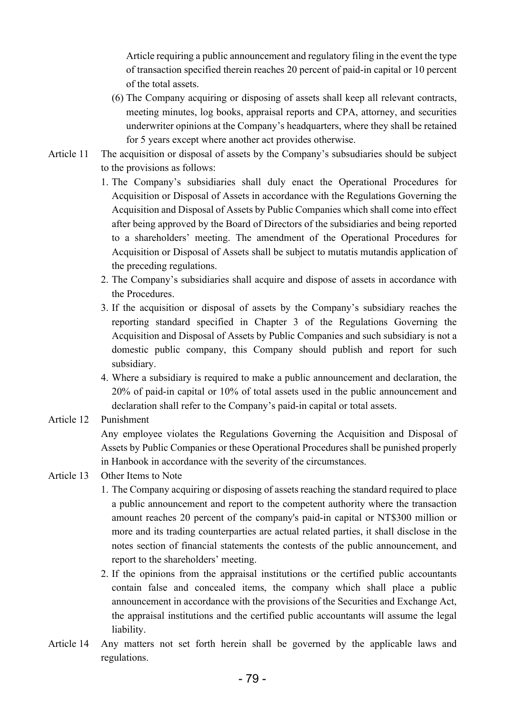Article requiring a public announcement and regulatory filing in the event the type of transaction specified therein reaches 20 percent of paid-in capital or 10 percent of the total assets.

- (6) The Company acquiring or disposing of assets shall keep all relevant contracts, meeting minutes, log books, appraisal reports and CPA, attorney, and securities underwriter opinions at the Company's headquarters, where they shall be retained for 5 years except where another act provides otherwise.
- Article 11 The acquisition or disposal of assets by the Company's subsudiaries should be subject to the provisions as follows:
	- 1. The Company's subsidiaries shall duly enact the Operational Procedures for Acquisition or Disposal of Assets in accordance with the Regulations Governing the Acquisition and Disposal of Assets by Public Companies which shall come into effect after being approved by the Board of Directors of the subsidiaries and being reported to a shareholders' meeting. The amendment of the Operational Procedures for Acquisition or Disposal of Assets shall be subject to mutatis mutandis application of the preceding regulations.
	- 2. The Company's subsidiaries shall acquire and dispose of assets in accordance with the Procedures.
	- 3. If the acquisition or disposal of assets by the Company's subsidiary reaches the reporting standard specified in Chapter 3 of the Regulations Governing the Acquisition and Disposal of Assets by Public Companies and such subsidiary is not a domestic public company, this Company should publish and report for such subsidiary.
	- 4. Where a subsidiary is required to make a public announcement and declaration, the 20% of paid-in capital or 10% of total assets used in the public announcement and declaration shall refer to the Company's paid-in capital or total assets.
- Article 12 Punishment

Any employee violates the Regulations Governing the Acquisition and Disposal of Assets by Public Companies or these Operational Procedures shall be punished properly in Hanbook in accordance with the severity of the circumstances.

## Article 13 Other Items to Note

- 1. The Company acquiring or disposing of assets reaching the standard required to place a public announcement and report to the competent authority where the transaction amount reaches 20 percent of the company's paid-in capital or NT\$300 million or more and its trading counterparties are actual related parties, it shall disclose in the notes section of financial statements the contests of the public announcement, and report to the shareholders' meeting.
- 2. If the opinions from the appraisal institutions or the certified public accountants contain false and concealed items, the company which shall place a public announcement in accordance with the provisions of the Securities and Exchange Act, the appraisal institutions and the certified public accountants will assume the legal liability.
- Article 14 Any matters not set forth herein shall be governed by the applicable laws and regulations.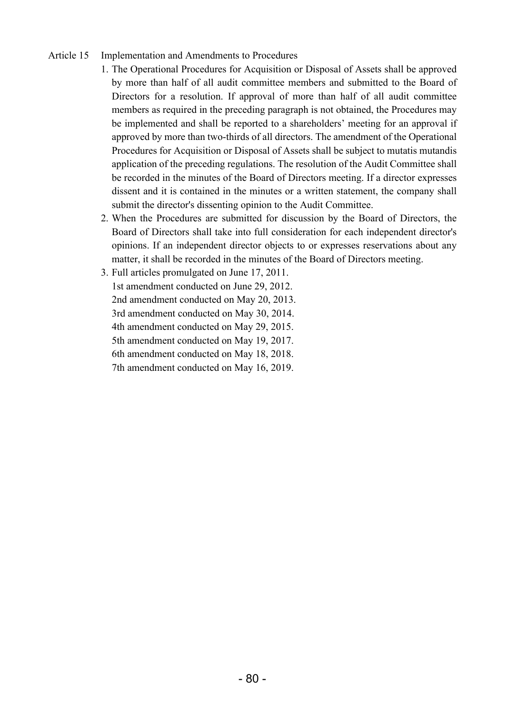### Article 15 Implementation and Amendments to Procedures

- 1. The Operational Procedures for Acquisition or Disposal of Assets shall be approved by more than half of all audit committee members and submitted to the Board of Directors for a resolution. If approval of more than half of all audit committee members as required in the preceding paragraph is not obtained, the Procedures may be implemented and shall be reported to a shareholders' meeting for an approval if approved by more than two-thirds of all directors. The amendment of the Operational Procedures for Acquisition or Disposal of Assets shall be subject to mutatis mutandis application of the preceding regulations. The resolution of the Audit Committee shall be recorded in the minutes of the Board of Directors meeting. If a director expresses dissent and it is contained in the minutes or a written statement, the company shall submit the director's dissenting opinion to the Audit Committee.
- 2. When the Procedures are submitted for discussion by the Board of Directors, the Board of Directors shall take into full consideration for each independent director's opinions. If an independent director objects to or expresses reservations about any matter, it shall be recorded in the minutes of the Board of Directors meeting.
- 3. Full articles promulgated on June 17, 2011.

1st amendment conducted on June 29, 2012. 2nd amendment conducted on May 20, 2013. 3rd amendment conducted on May 30, 2014.

4th amendment conducted on May 29, 2015.

5th amendment conducted on May 19, 2017.

6th amendment conducted on May 18, 2018.

7th amendment conducted on May 16, 2019.